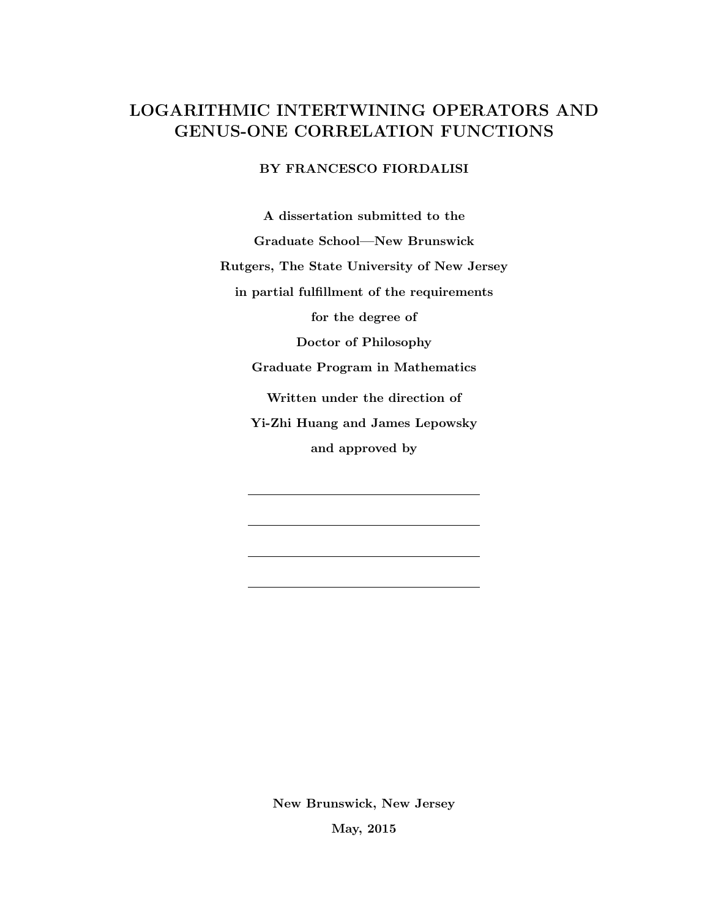# LOGARITHMIC INTERTWINING OPERATORS AND GENUS-ONE CORRELATION FUNCTIONS

## BY FRANCESCO FIORDALISI

A dissertation submitted to the Graduate School—New Brunswick Rutgers, The State University of New Jersey in partial fulfillment of the requirements for the degree of Doctor of Philosophy Graduate Program in Mathematics Written under the direction of Yi-Zhi Huang and James Lepowsky and approved by

New Brunswick, New Jersey

May, 2015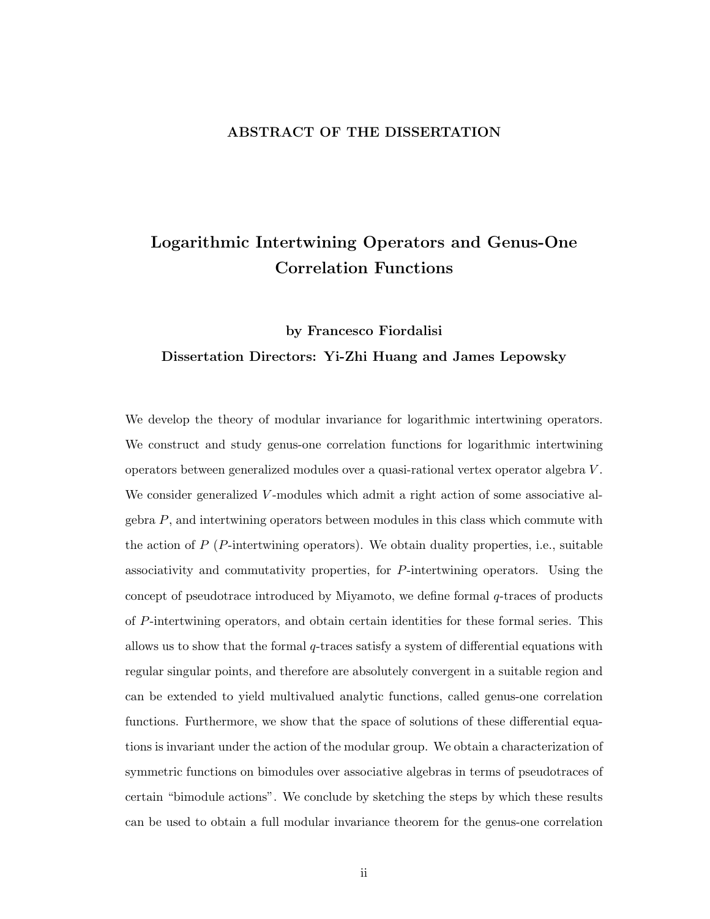### ABSTRACT OF THE DISSERTATION

# Logarithmic Intertwining Operators and Genus-One Correlation Functions

# by Francesco Fiordalisi Dissertation Directors: Yi-Zhi Huang and James Lepowsky

We develop the theory of modular invariance for logarithmic intertwining operators. We construct and study genus-one correlation functions for logarithmic intertwining operators between generalized modules over a quasi-rational vertex operator algebra V . We consider generalized V-modules which admit a right action of some associative algebra  $P$ , and intertwining operators between modules in this class which commute with the action of  $P(P$ -intertwining operators). We obtain duality properties, i.e., suitable associativity and commutativity properties, for P-intertwining operators. Using the concept of pseudotrace introduced by Miyamoto, we define formal q-traces of products of P-intertwining operators, and obtain certain identities for these formal series. This allows us to show that the formal  $q$ -traces satisfy a system of differential equations with regular singular points, and therefore are absolutely convergent in a suitable region and can be extended to yield multivalued analytic functions, called genus-one correlation functions. Furthermore, we show that the space of solutions of these differential equations is invariant under the action of the modular group. We obtain a characterization of symmetric functions on bimodules over associative algebras in terms of pseudotraces of certain "bimodule actions". We conclude by sketching the steps by which these results can be used to obtain a full modular invariance theorem for the genus-one correlation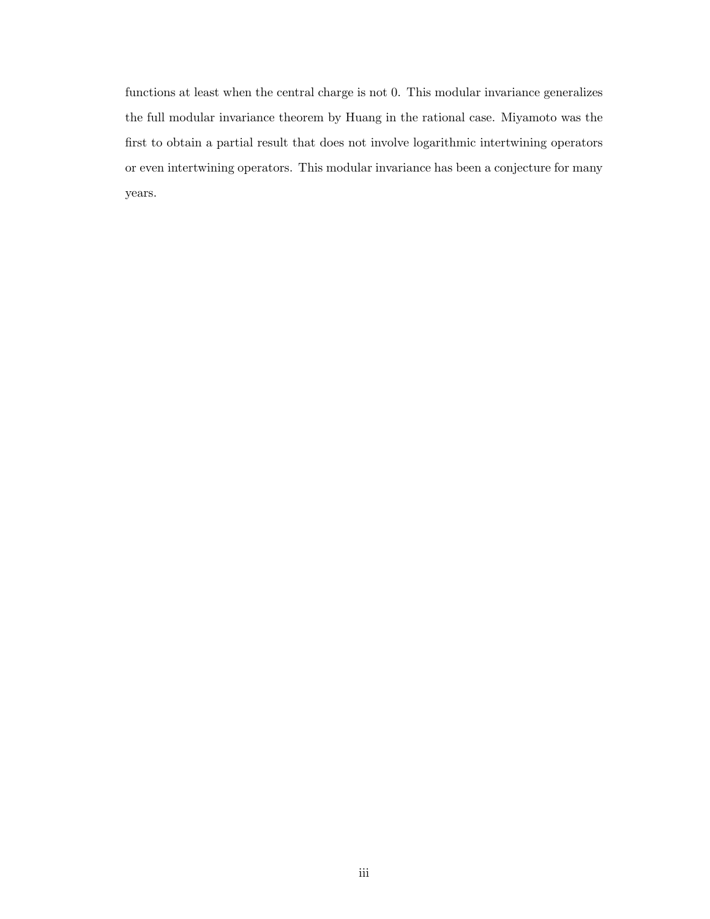functions at least when the central charge is not 0. This modular invariance generalizes the full modular invariance theorem by Huang in the rational case. Miyamoto was the first to obtain a partial result that does not involve logarithmic intertwining operators or even intertwining operators. This modular invariance has been a conjecture for many years.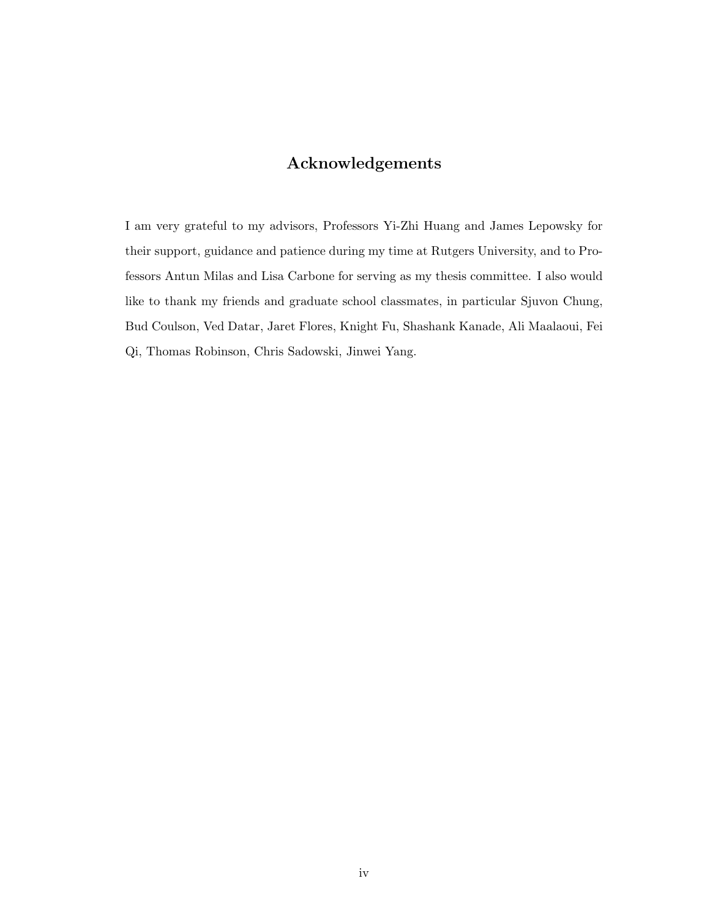## Acknowledgements

I am very grateful to my advisors, Professors Yi-Zhi Huang and James Lepowsky for their support, guidance and patience during my time at Rutgers University, and to Professors Antun Milas and Lisa Carbone for serving as my thesis committee. I also would like to thank my friends and graduate school classmates, in particular Sjuvon Chung, Bud Coulson, Ved Datar, Jaret Flores, Knight Fu, Shashank Kanade, Ali Maalaoui, Fei Qi, Thomas Robinson, Chris Sadowski, Jinwei Yang.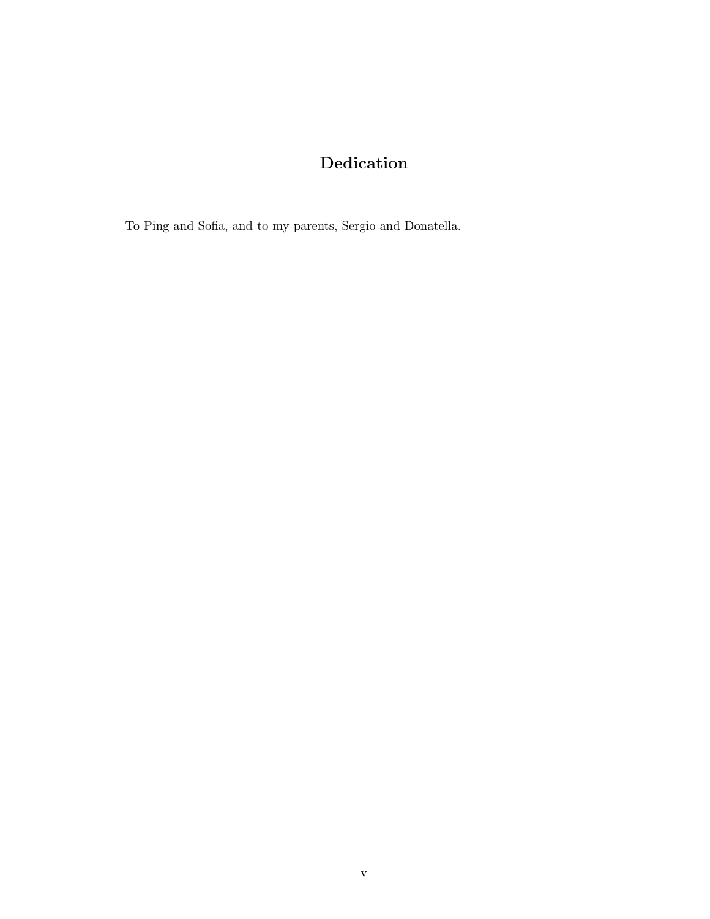# Dedication

To Ping and Sofia, and to my parents, Sergio and Donatella.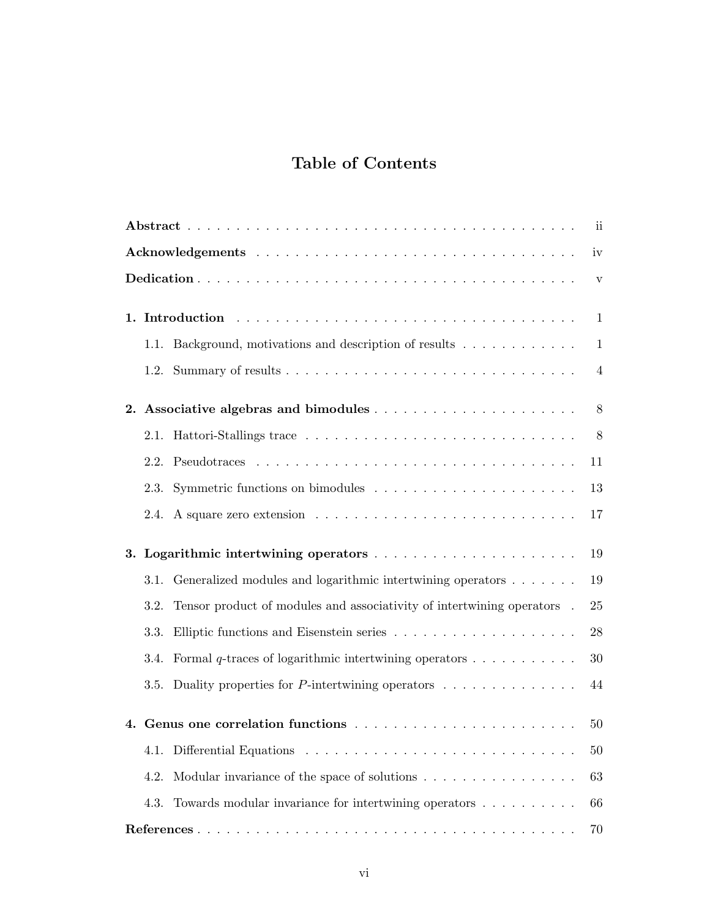# Table of Contents

| $\mathbf{ii}$ |      |                                                                                             |              |  |  |  |  |
|---------------|------|---------------------------------------------------------------------------------------------|--------------|--|--|--|--|
|               |      |                                                                                             | iv           |  |  |  |  |
|               |      |                                                                                             | $\mathbf{V}$ |  |  |  |  |
| 1.            |      |                                                                                             | 1            |  |  |  |  |
|               |      | 1.1. Background, motivations and description of results                                     | $\mathbf{1}$ |  |  |  |  |
|               | 1.2. |                                                                                             | 4            |  |  |  |  |
| 2.            |      |                                                                                             | $8\,$        |  |  |  |  |
|               | 2.1. |                                                                                             | 8            |  |  |  |  |
|               |      |                                                                                             | 11           |  |  |  |  |
|               | 2.3. |                                                                                             | 13           |  |  |  |  |
|               | 2.4. |                                                                                             | 17           |  |  |  |  |
| 3.            |      |                                                                                             | 19           |  |  |  |  |
|               | 3.1. | Generalized modules and logarithmic intertwining operators                                  | 19           |  |  |  |  |
|               | 3.2. | Tensor product of modules and associativity of intertwining operators .                     | 25           |  |  |  |  |
|               | 3.3. | Elliptic functions and Eisenstein series $\ldots \ldots \ldots \ldots \ldots \ldots \ldots$ | 28           |  |  |  |  |
|               | 3.4. | Formal q-traces of logarithmic intertwining operators $\dots \dots \dots$                   | 30           |  |  |  |  |
|               | 3.5. | Duality properties for $P$ -intertwining operators $\ldots \ldots \ldots \ldots$            | 44           |  |  |  |  |
|               |      |                                                                                             | 50           |  |  |  |  |
|               |      |                                                                                             | 50           |  |  |  |  |
|               | 4.2. | Modular invariance of the space of solutions                                                | 63           |  |  |  |  |
|               | 4.3. | Towards modular invariance for intertwining operators                                       | 66           |  |  |  |  |
|               |      |                                                                                             | 70           |  |  |  |  |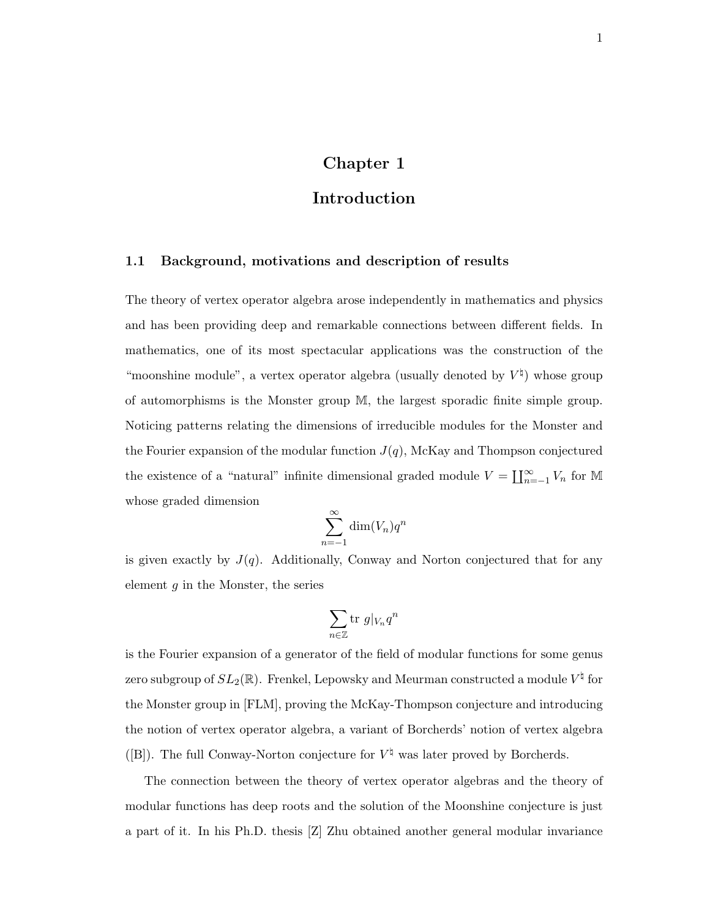## Chapter 1

## Introduction

### 1.1 Background, motivations and description of results

The theory of vertex operator algebra arose independently in mathematics and physics and has been providing deep and remarkable connections between different fields. In mathematics, one of its most spectacular applications was the construction of the "moonshine module", a vertex operator algebra (usually denoted by  $V^{\dagger}$ ) whose group of automorphisms is the Monster group M, the largest sporadic finite simple group. Noticing patterns relating the dimensions of irreducible modules for the Monster and the Fourier expansion of the modular function  $J(q)$ , McKay and Thompson conjectured the existence of a "natural" infinite dimensional graded module  $V = \coprod_{n=-1}^{\infty} V_n$  for M whose graded dimension

$$
\sum_{n=-1}^{\infty} \dim(V_n) q^n
$$

is given exactly by  $J(q)$ . Additionally, Conway and Norton conjectured that for any element  $g$  in the Monster, the series

$$
\sum_{n\in\mathbb{Z}}\mathrm{tr}\ g|_{V_n}q^n
$$

is the Fourier expansion of a generator of the field of modular functions for some genus zero subgroup of  $SL_2(\mathbb R)$ . Frenkel, Lepowsky and Meurman constructed a module  $V^\natural$  for the Monster group in [FLM], proving the McKay-Thompson conjecture and introducing the notion of vertex operator algebra, a variant of Borcherds' notion of vertex algebra ([B]). The full Conway-Norton conjecture for  $V^{\dagger}$  was later proved by Borcherds.

The connection between the theory of vertex operator algebras and the theory of modular functions has deep roots and the solution of the Moonshine conjecture is just a part of it. In his Ph.D. thesis [Z] Zhu obtained another general modular invariance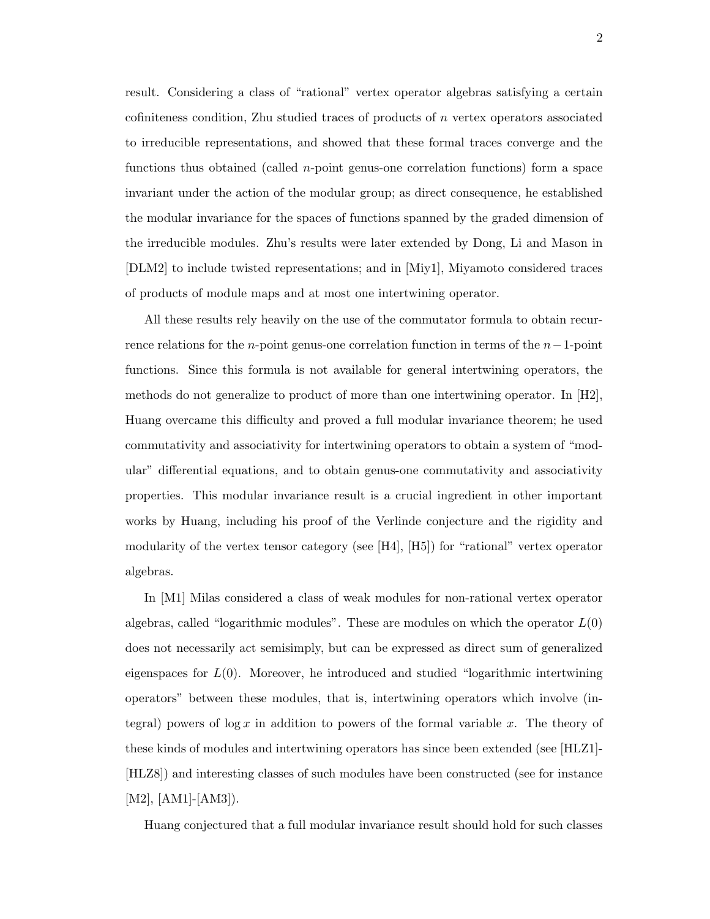result. Considering a class of "rational" vertex operator algebras satisfying a certain cofiniteness condition, Zhu studied traces of products of n vertex operators associated to irreducible representations, and showed that these formal traces converge and the functions thus obtained (called n-point genus-one correlation functions) form a space invariant under the action of the modular group; as direct consequence, he established the modular invariance for the spaces of functions spanned by the graded dimension of the irreducible modules. Zhu's results were later extended by Dong, Li and Mason in [DLM2] to include twisted representations; and in [Miy1], Miyamoto considered traces of products of module maps and at most one intertwining operator.

All these results rely heavily on the use of the commutator formula to obtain recurrence relations for the n-point genus-one correlation function in terms of the  $n-1$ -point functions. Since this formula is not available for general intertwining operators, the methods do not generalize to product of more than one intertwining operator. In [H2], Huang overcame this difficulty and proved a full modular invariance theorem; he used commutativity and associativity for intertwining operators to obtain a system of "modular" differential equations, and to obtain genus-one commutativity and associativity properties. This modular invariance result is a crucial ingredient in other important works by Huang, including his proof of the Verlinde conjecture and the rigidity and modularity of the vertex tensor category (see [H4], [H5]) for "rational" vertex operator algebras.

In [M1] Milas considered a class of weak modules for non-rational vertex operator algebras, called "logarithmic modules". These are modules on which the operator  $L(0)$ does not necessarily act semisimply, but can be expressed as direct sum of generalized eigenspaces for  $L(0)$ . Moreover, he introduced and studied "logarithmic intertwining" operators" between these modules, that is, intertwining operators which involve (integral) powers of  $\log x$  in addition to powers of the formal variable x. The theory of these kinds of modules and intertwining operators has since been extended (see [HLZ1]- [HLZ8]) and interesting classes of such modules have been constructed (see for instance  $[M2], [AM1]$ - $[AM3]$ ).

Huang conjectured that a full modular invariance result should hold for such classes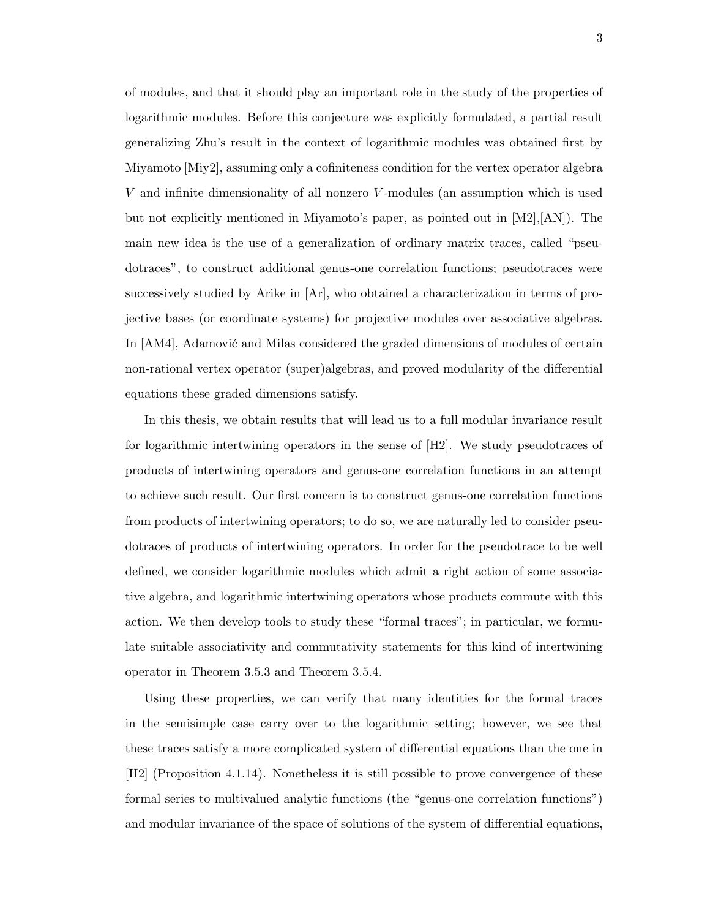of modules, and that it should play an important role in the study of the properties of logarithmic modules. Before this conjecture was explicitly formulated, a partial result generalizing Zhu's result in the context of logarithmic modules was obtained first by Miyamoto [Miy2], assuming only a cofiniteness condition for the vertex operator algebra V and infinite dimensionality of all nonzero V -modules (an assumption which is used but not explicitly mentioned in Miyamoto's paper, as pointed out in  $[M2], [AN]$ . The main new idea is the use of a generalization of ordinary matrix traces, called "pseudotraces", to construct additional genus-one correlation functions; pseudotraces were successively studied by Arike in [Ar], who obtained a characterization in terms of projective bases (or coordinate systems) for projective modules over associative algebras. In [AM4], Adamović and Milas considered the graded dimensions of modules of certain non-rational vertex operator (super)algebras, and proved modularity of the differential equations these graded dimensions satisfy.

In this thesis, we obtain results that will lead us to a full modular invariance result for logarithmic intertwining operators in the sense of [H2]. We study pseudotraces of products of intertwining operators and genus-one correlation functions in an attempt to achieve such result. Our first concern is to construct genus-one correlation functions from products of intertwining operators; to do so, we are naturally led to consider pseudotraces of products of intertwining operators. In order for the pseudotrace to be well defined, we consider logarithmic modules which admit a right action of some associative algebra, and logarithmic intertwining operators whose products commute with this action. We then develop tools to study these "formal traces"; in particular, we formulate suitable associativity and commutativity statements for this kind of intertwining operator in Theorem 3.5.3 and Theorem 3.5.4.

Using these properties, we can verify that many identities for the formal traces in the semisimple case carry over to the logarithmic setting; however, we see that these traces satisfy a more complicated system of differential equations than the one in [H2] (Proposition 4.1.14). Nonetheless it is still possible to prove convergence of these formal series to multivalued analytic functions (the "genus-one correlation functions") and modular invariance of the space of solutions of the system of differential equations,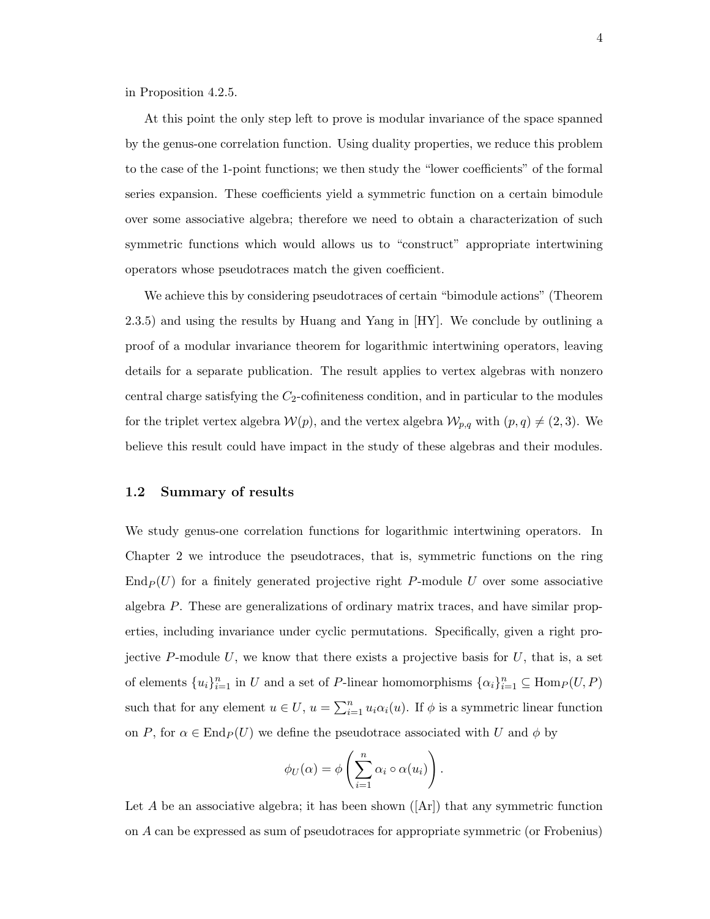in Proposition 4.2.5.

At this point the only step left to prove is modular invariance of the space spanned by the genus-one correlation function. Using duality properties, we reduce this problem to the case of the 1-point functions; we then study the "lower coefficients" of the formal series expansion. These coefficients yield a symmetric function on a certain bimodule over some associative algebra; therefore we need to obtain a characterization of such symmetric functions which would allows us to "construct" appropriate intertwining operators whose pseudotraces match the given coefficient.

We achieve this by considering pseudotraces of certain "bimodule actions" (Theorem 2.3.5) and using the results by Huang and Yang in [HY]. We conclude by outlining a proof of a modular invariance theorem for logarithmic intertwining operators, leaving details for a separate publication. The result applies to vertex algebras with nonzero central charge satisfying the  $C_2$ -cofiniteness condition, and in particular to the modules for the triplet vertex algebra  $W(p)$ , and the vertex algebra  $W_{p,q}$  with  $(p,q) \neq (2, 3)$ . We believe this result could have impact in the study of these algebras and their modules.

#### 1.2 Summary of results

We study genus-one correlation functions for logarithmic intertwining operators. In Chapter 2 we introduce the pseudotraces, that is, symmetric functions on the ring  $\text{End}_P(U)$  for a finitely generated projective right P-module U over some associative algebra P. These are generalizations of ordinary matrix traces, and have similar properties, including invariance under cyclic permutations. Specifically, given a right projective P-module U, we know that there exists a projective basis for  $U$ , that is, a set of elements  ${u_i}_{i=1}^n$  in U and a set of P-linear homomorphisms  ${\alpha_i}_{i=1}^n \subseteq \text{Hom}_P(U, P)$ such that for any element  $u \in U$ ,  $u = \sum_{i=1}^{n} u_i \alpha_i(u)$ . If  $\phi$  is a symmetric linear function on P, for  $\alpha \in \text{End}_P(U)$  we define the pseudotrace associated with U and  $\phi$  by

$$
\phi_U(\alpha) = \phi\left(\sum_{i=1}^n \alpha_i \circ \alpha(u_i)\right).
$$

Let A be an associative algebra; it has been shown  $(Ar)$  that any symmetric function on A can be expressed as sum of pseudotraces for appropriate symmetric (or Frobenius)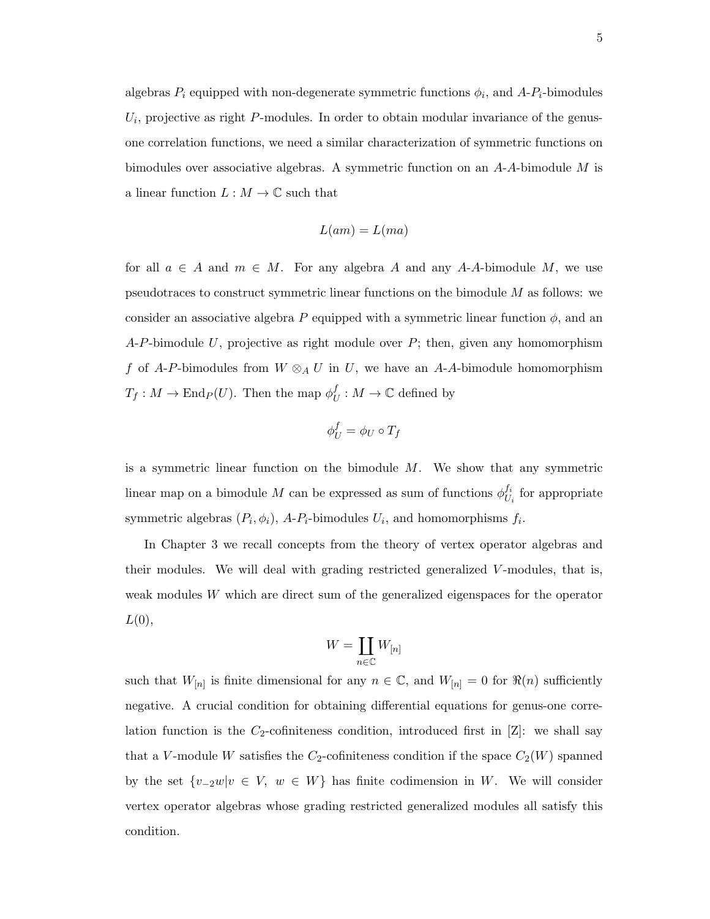algebras  $P_i$  equipped with non-degenerate symmetric functions  $\phi_i$ , and  $A-P_i$ -bimodules  $U_i$ , projective as right  $P$ -modules. In order to obtain modular invariance of the genusone correlation functions, we need a similar characterization of symmetric functions on bimodules over associative algebras. A symmetric function on an  $A-A$ -bimodule  $M$  is a linear function  $L : M \to \mathbb{C}$  such that

$$
L(am)=L(ma)
$$

for all  $a \in A$  and  $m \in M$ . For any algebra A and any A-A-bimodule M, we use pseudotraces to construct symmetric linear functions on the bimodule M as follows: we consider an associative algebra P equipped with a symmetric linear function  $\phi$ , and an  $A-P$ -bimodule U, projective as right module over P; then, given any homomorphism f of A-P-bimodules from  $W \otimes_A U$  in U, we have an A-A-bimodule homomorphism  $T_f: M \to \mathrm{End}_P(U)$ . Then the map  $\phi_l^f$  $U_t: M \to \mathbb{C}$  defined by

$$
\phi_U^f = \phi_U \circ T_f
$$

is a symmetric linear function on the bimodule  $M$ . We show that any symmetric linear map on a bimodule M can be expressed as sum of functions  $\phi_{LL}^{f_i}$  $U_i$  for appropriate symmetric algebras  $(P_i, \phi_i)$ , A- $P_i$ -bimodules  $U_i$ , and homomorphisms  $f_i$ .

In Chapter 3 we recall concepts from the theory of vertex operator algebras and their modules. We will deal with grading restricted generalized V-modules, that is, weak modules  $W$  which are direct sum of the generalized eigenspaces for the operator  $L(0),$ 

$$
W=\coprod_{n\in\mathbb{C}}W_{[n]}
$$

such that  $W_{[n]}$  is finite dimensional for any  $n \in \mathbb{C}$ , and  $W_{[n]} = 0$  for  $\Re(n)$  sufficiently negative. A crucial condition for obtaining differential equations for genus-one correlation function is the  $C_2$ -cofiniteness condition, introduced first in [Z]: we shall say that a V-module W satisfies the  $C_2$ -cofiniteness condition if the space  $C_2(W)$  spanned by the set  $\{v_{-2}w|v \in V, w \in W\}$  has finite codimension in W. We will consider vertex operator algebras whose grading restricted generalized modules all satisfy this condition.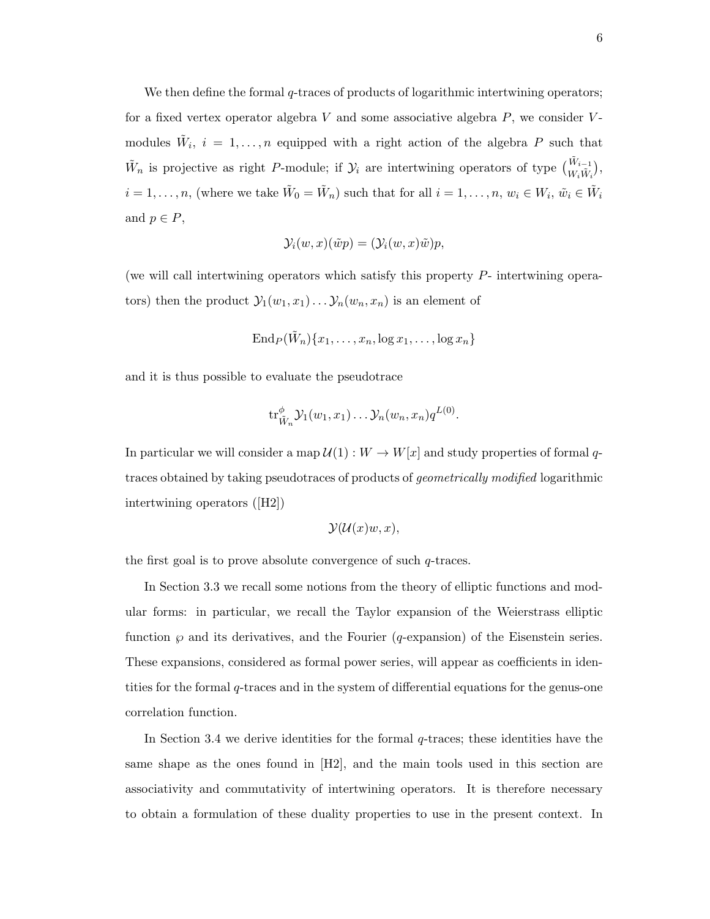We then define the formal q-traces of products of logarithmic intertwining operators; for a fixed vertex operator algebra  $V$  and some associative algebra  $P$ , we consider  $V$ modules  $\tilde{W}_i$ ,  $i = 1, \ldots, n$  equipped with a right action of the algebra P such that  $\tilde{W}_n$  is projective as right P-module; if  $\mathcal{Y}_i$  are intertwining operators of type  $\begin{pmatrix} \tilde{W}_{i-1} \\ W_i \tilde{W}_i \end{pmatrix}$ ,  $i=1,\ldots,n$ , (where we take  $\tilde{W}_0=\tilde{W}_n$ ) such that for all  $i=1,\ldots,n$ ,  $w_i\in W_i$ ,  $\tilde{w}_i\in \tilde{W}_i$ and  $p \in P$ ,

$$
\mathcal{Y}_i(w, x)(\tilde{w}p) = (\mathcal{Y}_i(w, x)\tilde{w})p,
$$

(we will call intertwining operators which satisfy this property P- intertwining operators) then the product  $\mathcal{Y}_1(w_1, x_1) \dots \mathcal{Y}_n(w_n, x_n)$  is an element of

$$
\operatorname{End}_P(\tilde{W}_n)\{x_1,\ldots,x_n,\log x_1,\ldots,\log x_n\}
$$

and it is thus possible to evaluate the pseudotrace

$$
{\rm tr}^{\phi}_{\tilde{W}_n}{\cal Y}_1(w_1,x_1)\ldots{\cal Y}_n(w_n,x_n)q^{L(0)}.
$$

In particular we will consider a map  $\mathcal{U}(1): W \to W[x]$  and study properties of formal qtraces obtained by taking pseudotraces of products of geometrically modified logarithmic intertwining operators ([H2])

$$
\mathcal{Y}(\mathcal{U}(x)w, x),
$$

the first goal is to prove absolute convergence of such  $q$ -traces.

In Section 3.3 we recall some notions from the theory of elliptic functions and modular forms: in particular, we recall the Taylor expansion of the Weierstrass elliptic function  $\wp$  and its derivatives, and the Fourier (q-expansion) of the Eisenstein series. These expansions, considered as formal power series, will appear as coefficients in identities for the formal q-traces and in the system of differential equations for the genus-one correlation function.

In Section 3.4 we derive identities for the formal  $q$ -traces; these identities have the same shape as the ones found in [H2], and the main tools used in this section are associativity and commutativity of intertwining operators. It is therefore necessary to obtain a formulation of these duality properties to use in the present context. In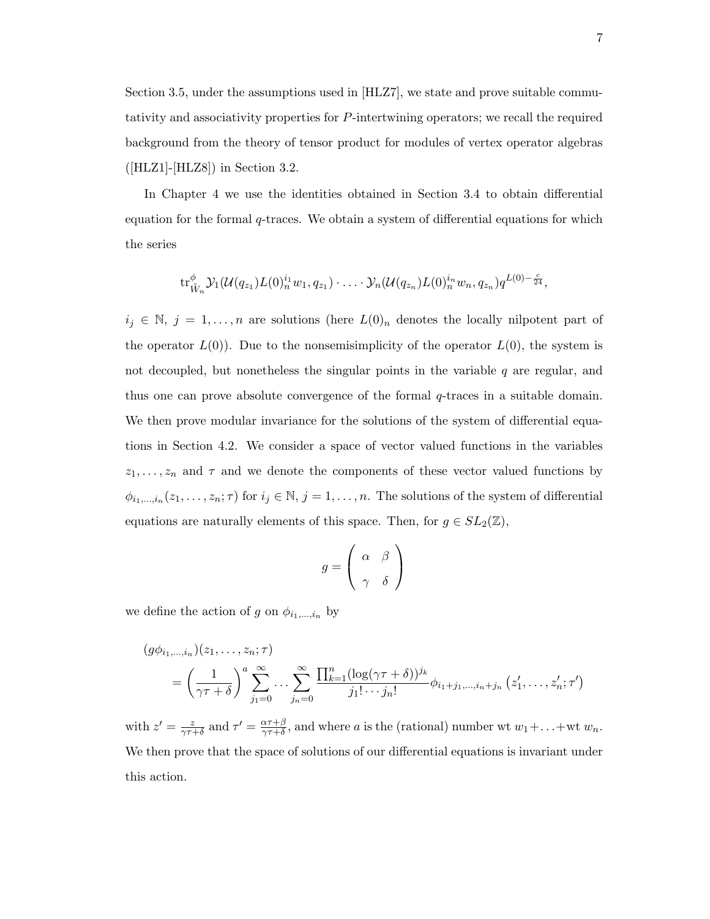Section 3.5, under the assumptions used in [HLZ7], we state and prove suitable commutativity and associativity properties for P-intertwining operators; we recall the required background from the theory of tensor product for modules of vertex operator algebras  $(HLZ1]$ -[HLZ8]) in Section 3.2.

In Chapter 4 we use the identities obtained in Section 3.4 to obtain differential equation for the formal  $q$ -traces. We obtain a system of differential equations for which the series

$$
\mathrm{tr}_{\tilde{W}_n}^{\phi} \mathcal{Y}_1(\mathcal{U}(q_{z_1}) L(0)_{n}^{i_1} w_1, q_{z_1}) \cdot \ldots \cdot \mathcal{Y}_n(\mathcal{U}(q_{z_n}) L(0)_{n}^{i_n} w_n, q_{z_n}) q^{L(0) - \frac{c}{24}},
$$

 $i_j \in \mathbb{N}, j = 1, \ldots, n$  are solutions (here  $L(0)_n$  denotes the locally nilpotent part of the operator  $L(0)$ . Due to the nonsemisimplicity of the operator  $L(0)$ , the system is not decoupled, but nonetheless the singular points in the variable  $q$  are regular, and thus one can prove absolute convergence of the formal  $q$ -traces in a suitable domain. We then prove modular invariance for the solutions of the system of differential equations in Section 4.2. We consider a space of vector valued functions in the variables  $z_1, \ldots, z_n$  and  $\tau$  and we denote the components of these vector valued functions by  $\phi_{i_1,\dots,i_n}(z_1,\dots,z_n;\tau)$  for  $i_j \in \mathbb{N}, j = 1,\dots,n$ . The solutions of the system of differential equations are naturally elements of this space. Then, for  $g \in SL_2(\mathbb{Z})$ ,

$$
g = \left(\begin{array}{cc} \alpha & \beta \\ \gamma & \delta \end{array}\right)
$$

we define the action of g on  $\phi_{i_1,\dots,i_n}$  by

$$
(g\phi_{i_1,\dots,i_n})(z_1,\dots,z_n;\tau) = \left(\frac{1}{\gamma\tau+\delta}\right)^a \sum_{j_1=0}^{\infty} \dots \sum_{j_n=0}^{\infty} \frac{\prod_{k=1}^n (\log(\gamma\tau+\delta))^{j_k}}{j_1!\cdots j_n!} \phi_{i_1+j_1,\dots,i_n+j_n} (z'_1,\dots,z'_n;\tau')
$$

with  $z' = \frac{z}{\gamma \tau}$  $\frac{z}{\gamma\tau+\delta}$  and  $\tau'=\frac{\alpha\tau+\beta}{\gamma\tau+\delta}$  $\frac{\alpha \tau + \beta}{\gamma \tau + \delta}$ , and where a is the (rational) number wt  $w_1 + \ldots + w_t w_n$ . We then prove that the space of solutions of our differential equations is invariant under this action.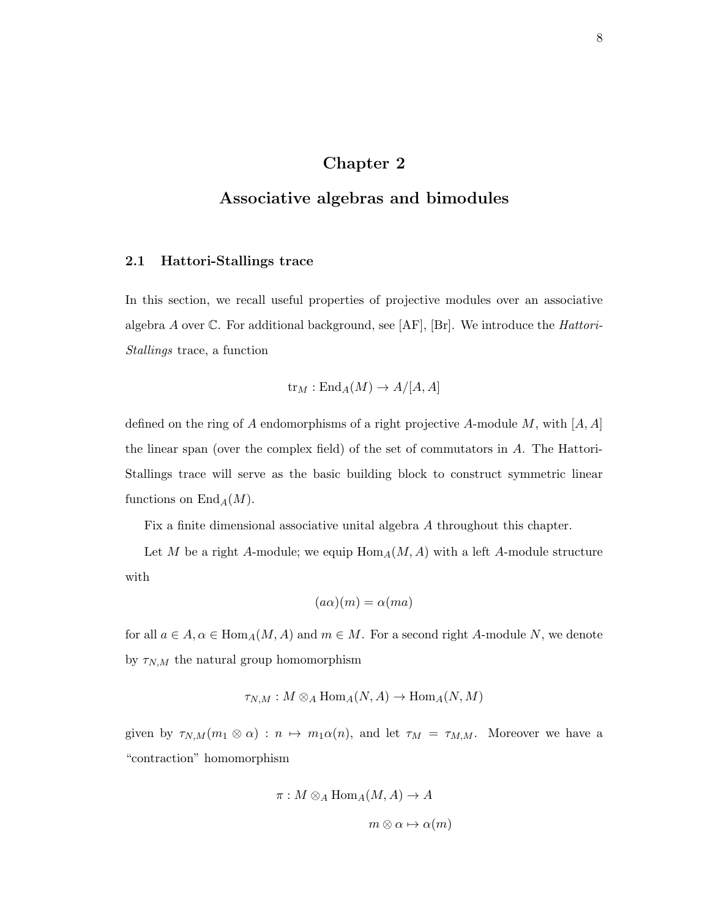## Chapter 2

## Associative algebras and bimodules

### 2.1 Hattori-Stallings trace

In this section, we recall useful properties of projective modules over an associative algebra A over  $\mathbb C$ . For additional background, see [AF], [Br]. We introduce the *Hattori*-Stallings trace, a function

$$
\text{tr}_M: \text{End}_A(M) \to A/[A, A]
$$

defined on the ring of A endomorphisms of a right projective A-module M, with  $[A, A]$ the linear span (over the complex field) of the set of commutators in A. The Hattori-Stallings trace will serve as the basic building block to construct symmetric linear functions on  $\text{End}_A(M)$ .

Fix a finite dimensional associative unital algebra A throughout this chapter.

Let M be a right A-module; we equip  $\text{Hom}_A(M, A)$  with a left A-module structure with

$$
(a\alpha)(m) = \alpha(ma)
$$

for all  $a \in A$ ,  $\alpha \in \text{Hom}_A(M, A)$  and  $m \in M$ . For a second right A-module N, we denote by  $\tau_{N,M}$  the natural group homomorphism

$$
\tau_{N,M}: M \otimes_A \text{Hom}_A(N, A) \to \text{Hom}_A(N, M)
$$

given by  $\tau_{N,M}(m_1 \otimes \alpha) : n \mapsto m_1\alpha(n)$ , and let  $\tau_M = \tau_{M,M}$ . Moreover we have a "contraction" homomorphism

$$
\pi: M \otimes_A \text{Hom}_A(M, A) \to A
$$

$$
m \otimes \alpha \mapsto \alpha(m)
$$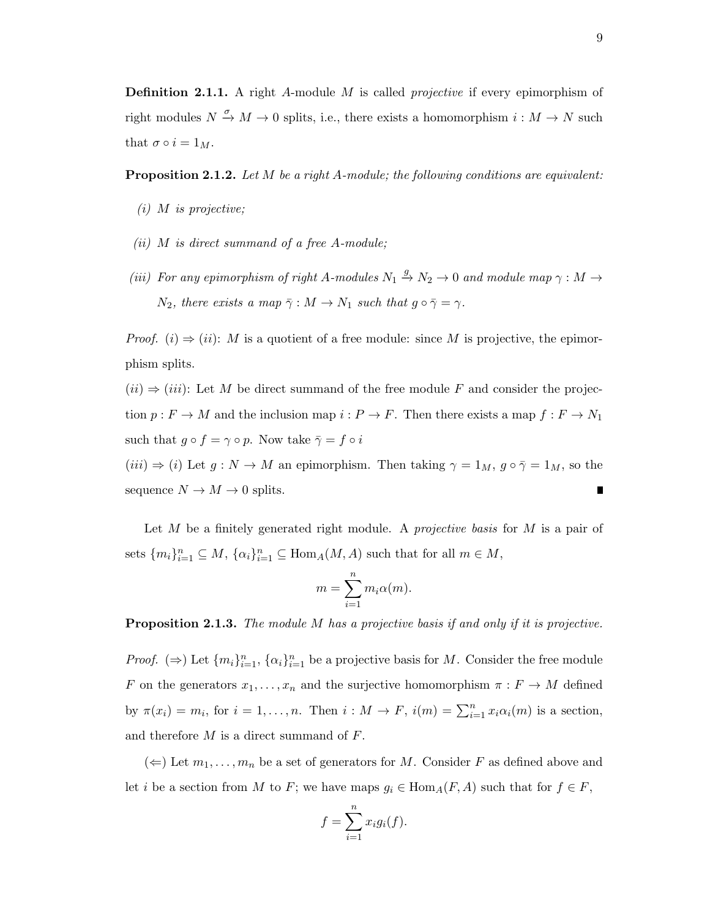**Definition 2.1.1.** A right A-module M is called *projective* if every epimorphism of right modules  $N \stackrel{\sigma}{\to} M \to 0$  splits, i.e., there exists a homomorphism  $i : M \to N$  such that  $\sigma \circ i = 1_M$ .

Proposition 2.1.2. Let M be a right A-module; the following conditions are equivalent:

- $(i)$  M is projective;
- (ii)  $M$  is direct summand of a free A-module;
- (iii) For any epimorphism of right A-modules  $N_1 \stackrel{g}{\to} N_2 \to 0$  and module map  $\gamma : M \to$  $N_2$ , there exists a map  $\bar{\gamma}: M \to N_1$  such that  $g \circ \bar{\gamma} = \gamma$ .

*Proof.* (i)  $\Rightarrow$  (ii): M is a quotient of a free module: since M is projective, the epimorphism splits.

 $(ii) \Rightarrow (iii)$ : Let M be direct summand of the free module F and consider the projection  $p : F \to M$  and the inclusion map  $i : P \to F$ . Then there exists a map  $f : F \to N_1$ such that  $g \circ f = \gamma \circ p$ . Now take  $\bar{\gamma} = f \circ i$  $(iii) \Rightarrow (i)$  Let  $g: N \to M$  an epimorphism. Then taking  $\gamma = 1_M$ ,  $g \circ \bar{\gamma} = 1_M$ , so the sequence  $N \to M \to 0$  splits.  $\blacksquare$ 

Let  $M$  be a finitely generated right module. A *projective basis* for  $M$  is a pair of sets  $\{m_i\}_{i=1}^n \subseteq M$ ,  $\{\alpha_i\}_{i=1}^n \subseteq \text{Hom}_A(M, A)$  such that for all  $m \in M$ ,

$$
m = \sum_{i=1}^{n} m_i \alpha(m).
$$

**Proposition 2.1.3.** The module M has a projective basis if and only if it is projective.

*Proof.*  $(\Rightarrow)$  Let  $\{m_i\}_{i=1}^n$ ,  $\{\alpha_i\}_{i=1}^n$  be a projective basis for M. Consider the free module F on the generators  $x_1, \ldots, x_n$  and the surjective homomorphism  $\pi : F \to M$  defined by  $\pi(x_i) = m_i$ , for  $i = 1, ..., n$ . Then  $i : M \to F$ ,  $i(m) = \sum_{i=1}^n x_i \alpha_i(m)$  is a section, and therefore  $M$  is a direct summand of  $F$ .

 $(\Leftarrow)$  Let  $m_1, \ldots, m_n$  be a set of generators for M. Consider F as defined above and let i be a section from M to F; we have maps  $g_i \in \text{Hom}_A(F, A)$  such that for  $f \in F$ ,

$$
f = \sum_{i=1}^{n} x_i g_i(f).
$$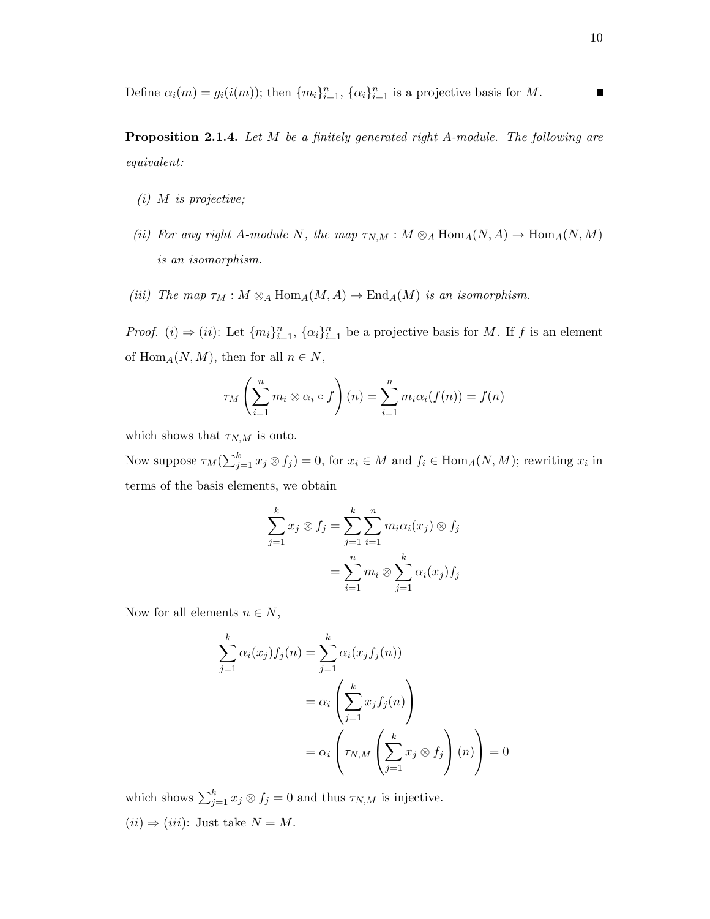Define  $\alpha_i(m) = g_i(i(m))$ ; then  $\{m_i\}_{i=1}^n$ ,  $\{\alpha_i\}_{i=1}^n$  is a projective basis for M.  $\blacksquare$ 

Proposition 2.1.4. Let M be a finitely generated right A-module. The following are equivalent:

- $(i)$  M is projective;
- (ii) For any right A-module N, the map  $\tau_{N,M}: M \otimes_A \text{Hom}_A(N, A) \to \text{Hom}_A(N, M)$ is an isomorphism.
- (iii) The map  $\tau_M : M \otimes_A \text{Hom}_A(M, A) \to \text{End}_A(M)$  is an isomorphism.

*Proof.* (*i*)  $\Rightarrow$  (*ii*): Let  $\{m_i\}_{i=1}^n$ ,  $\{\alpha_i\}_{i=1}^n$  be a projective basis for M. If f is an element of Hom<sub>A</sub> $(N, M)$ , then for all  $n \in N$ ,

$$
\tau_M\left(\sum_{i=1}^n m_i\otimes\alpha_i\circ f\right)(n)=\sum_{i=1}^n m_i\alpha_i(f(n))=f(n)
$$

which shows that  $\tau_{N,M}$  is onto.

Now suppose  $\tau_M(\sum_{j=1}^k x_j \otimes f_j) = 0$ , for  $x_i \in M$  and  $f_i \in \text{Hom}_A(N,M)$ ; rewriting  $x_i$  in terms of the basis elements, we obtain

$$
\sum_{j=1}^{k} x_j \otimes f_j = \sum_{j=1}^{k} \sum_{i=1}^{n} m_i \alpha_i(x_j) \otimes f_j
$$

$$
= \sum_{i=1}^{n} m_i \otimes \sum_{j=1}^{k} \alpha_i(x_j) f_j
$$

Now for all elements  $n \in N$ ,

$$
\sum_{j=1}^{k} \alpha_i(x_j) f_j(n) = \sum_{j=1}^{k} \alpha_i(x_j f_j(n))
$$

$$
= \alpha_i \left( \sum_{j=1}^{k} x_j f_j(n) \right)
$$

$$
= \alpha_i \left( \tau_{N,M} \left( \sum_{j=1}^{k} x_j \otimes f_j \right) (n) \right) = 0
$$

which shows  $\sum_{j=1}^{k} x_j \otimes f_j = 0$  and thus  $\tau_{N,M}$  is injective.  $(ii) \Rightarrow (iii)$ : Just take  $N = M$ .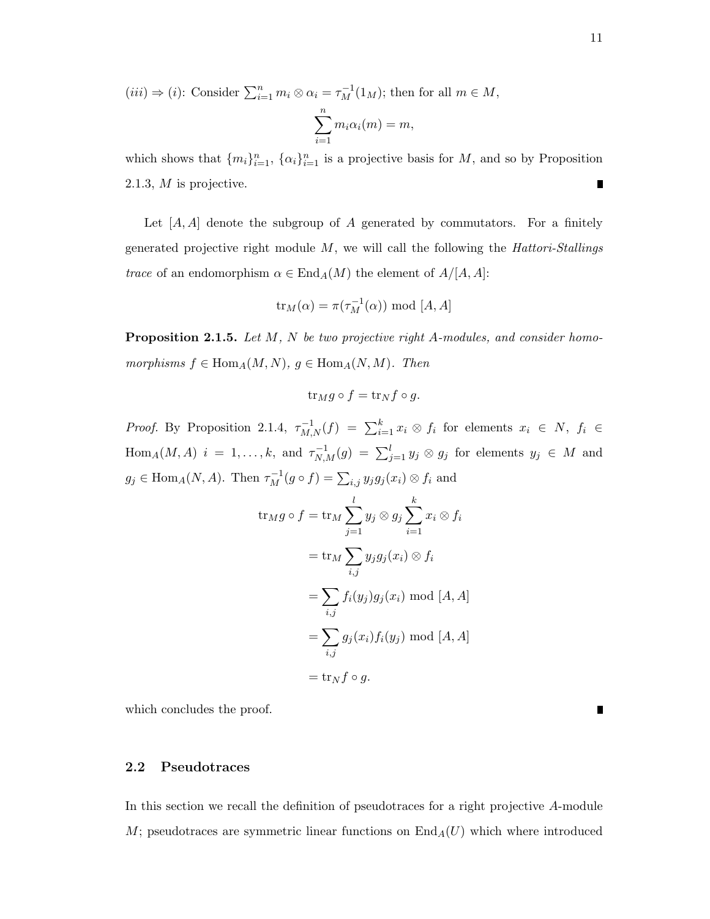$(iii) \Rightarrow (i)$ : Consider  $\sum_{i=1}^{n} m_i \otimes \alpha_i = \tau_M^{-1}(1_M)$ ; then for all  $m \in M$ ,  $\sum_{n=1}^{\infty}$ 

$$
\sum_{i=1} m_i \alpha_i(m) = m,
$$

which shows that  $\{m_i\}_{i=1}^n$ ,  $\{\alpha_i\}_{i=1}^n$  is a projective basis for M, and so by Proposition 2.1.3, M is projective. ∎

Let  $[A, A]$  denote the subgroup of A generated by commutators. For a finitely generated projective right module  $M$ , we will call the following the *Hattori-Stallings trace* of an endomorphism  $\alpha \in \text{End}_A(M)$  the element of  $A/[A, A]$ :

$$
\text{tr}_M(\alpha) = \pi(\tau_M^{-1}(\alpha)) \text{ mod } [A, A]
$$

Proposition 2.1.5. Let M, N be two projective right A-modules, and consider homomorphisms  $f \in \text{Hom}_A(M, N)$ ,  $g \in \text{Hom}_A(N, M)$ . Then

$$
\operatorname{tr}_M g \circ f = \operatorname{tr}_N f \circ g.
$$

*Proof.* By Proposition 2.1.4,  $\tau_{M,N}^{-1}(f) = \sum_{i=1}^{k} x_i \otimes f_i$  for elements  $x_i \in N$ ,  $f_i \in$  $\text{Hom}_A(M, A)$   $i = 1, \ldots, k$ , and  $\tau_{N,M}^{-1}(g) = \sum_{j=1}^l y_j \otimes g_j$  for elements  $y_j \in M$  and  $g_j \in \text{Hom}_A(N, A)$ . Then  $\tau_M^{-1}(g \circ f) = \sum_{i,j} y_j g_j(x_i) \otimes f_i$  and

$$
\operatorname{tr}_M g \circ f = \operatorname{tr}_M \sum_{j=1}^l y_j \otimes g_j \sum_{i=1}^k x_i \otimes f_i
$$

$$
= \operatorname{tr}_M \sum_{i,j} y_j g_j(x_i) \otimes f_i
$$

$$
= \sum_{i,j} f_i(y_j) g_j(x_i) \text{ mod } [A, A]
$$

$$
= \sum_{i,j} g_j(x_i) f_i(y_j) \text{ mod } [A, A]
$$

$$
= \operatorname{tr}_N f \circ g.
$$

which concludes the proof.

### 2.2 Pseudotraces

In this section we recall the definition of pseudotraces for a right projective A-module M; pseudotraces are symmetric linear functions on  $\text{End}_A(U)$  which where introduced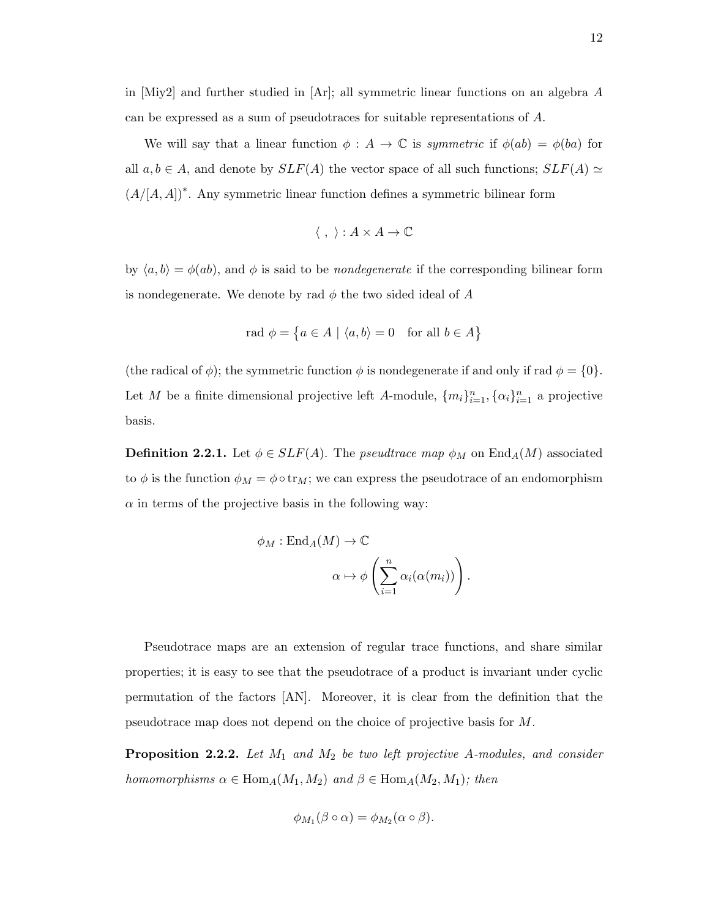in [Miy2] and further studied in [Ar]; all symmetric linear functions on an algebra  $A$ can be expressed as a sum of pseudotraces for suitable representations of A.

We will say that a linear function  $\phi : A \to \mathbb{C}$  is symmetric if  $\phi(ab) = \phi(ba)$  for all  $a, b \in A$ , and denote by  $SLF(A)$  the vector space of all such functions;  $SLF(A) \simeq$  $(A/[A, A])^*$ . Any symmetric linear function defines a symmetric bilinear form

$$
\langle , \rangle : A \times A \to \mathbb{C}
$$

by  $\langle a, b \rangle = \phi(ab)$ , and  $\phi$  is said to be *nondegenerate* if the corresponding bilinear form is nondegenerate. We denote by rad  $\phi$  the two sided ideal of A

$$
rad \phi = \{ a \in A \mid \langle a, b \rangle = 0 \text{ for all } b \in A \}
$$

(the radical of  $\phi$ ); the symmetric function  $\phi$  is nondegenerate if and only if rad  $\phi = \{0\}.$ Let M be a finite dimensional projective left A-module,  $\{m_i\}_{i=1}^n$ ,  $\{\alpha_i\}_{i=1}^n$  a projective basis.

**Definition 2.2.1.** Let  $\phi \in SLF(A)$ . The *pseudtrace map*  $\phi_M$  on  $\text{End}_A(M)$  associated to  $\phi$  is the function  $\phi_M = \phi \circ \text{tr}_M$ ; we can express the pseudotrace of an endomorphism  $\alpha$  in terms of the projective basis in the following way:

$$
\phi_M : \text{End}_A(M) \to \mathbb{C}
$$
  

$$
\alpha \mapsto \phi \left( \sum_{i=1}^n \alpha_i(\alpha(m_i)) \right).
$$

Pseudotrace maps are an extension of regular trace functions, and share similar properties; it is easy to see that the pseudotrace of a product is invariant under cyclic permutation of the factors [AN]. Moreover, it is clear from the definition that the pseudotrace map does not depend on the choice of projective basis for M.

**Proposition 2.2.2.** Let  $M_1$  and  $M_2$  be two left projective A-modules, and consider homomorphisms  $\alpha \in \text{Hom}_A(M_1, M_2)$  and  $\beta \in \text{Hom}_A(M_2, M_1)$ ; then

$$
\phi_{M_1}(\beta \circ \alpha) = \phi_{M_2}(\alpha \circ \beta).
$$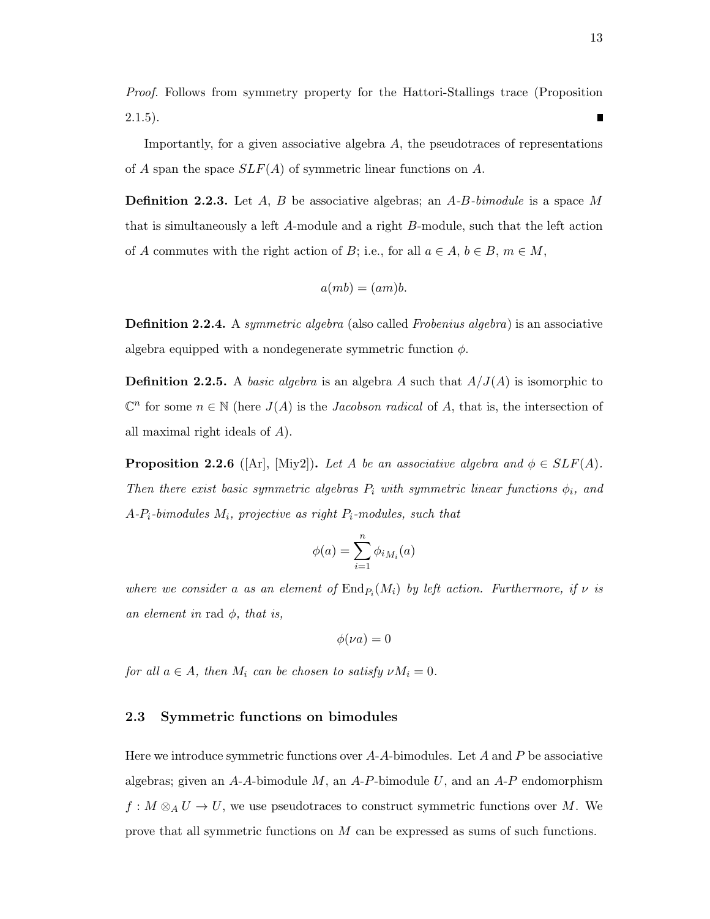Proof. Follows from symmetry property for the Hattori-Stallings trace (Proposition  $2.1.5$ ).

Importantly, for a given associative algebra  $A$ , the pseudotraces of representations of A span the space  $SLF(A)$  of symmetric linear functions on A.

**Definition 2.2.3.** Let A, B be associative algebras; an  $A$ -B-bimodule is a space M that is simultaneously a left A-module and a right B-module, such that the left action of A commutes with the right action of B; i.e., for all  $a \in A, b \in B, m \in M$ ,

$$
a(mb) = (am)b.
$$

**Definition 2.2.4.** A symmetric algebra (also called Frobenius algebra) is an associative algebra equipped with a nondegenerate symmetric function  $\phi$ .

**Definition 2.2.5.** A basic algebra is an algebra A such that  $A/J(A)$  is isomorphic to  $\mathbb{C}^n$  for some  $n \in \mathbb{N}$  (here  $J(A)$  is the *Jacobson radical* of A, that is, the intersection of all maximal right ideals of A).

**Proposition 2.2.6** ([Ar], [Miy2]). Let A be an associative algebra and  $\phi \in SLF(A)$ . Then there exist basic symmetric algebras  $P_i$  with symmetric linear functions  $\phi_i$ , and  $A-P_i$ -bimodules  $M_i$ , projective as right  $P_i$ -modules, such that

$$
\phi(a) = \sum_{i=1}^n \phi_{iM_i}(a)
$$

where we consider a as an element of  $\text{End}_{P_i}(M_i)$  by left action. Furthermore, if  $\nu$  is an element in rad  $\phi$ , that is,

$$
\phi(\nu a)=0
$$

for all  $a \in A$ , then  $M_i$  can be chosen to satisfy  $\nu M_i = 0$ .

### 2.3 Symmetric functions on bimodules

Here we introduce symmetric functions over  $A-A$ -bimodules. Let A and P be associative algebras; given an  $A-A$ -bimodule  $M$ , an  $A-P$ -bimodule  $U$ , and an  $A-P$  endomorphism  $f: M \otimes_A U \to U$ , we use pseudotraces to construct symmetric functions over M. We prove that all symmetric functions on M can be expressed as sums of such functions.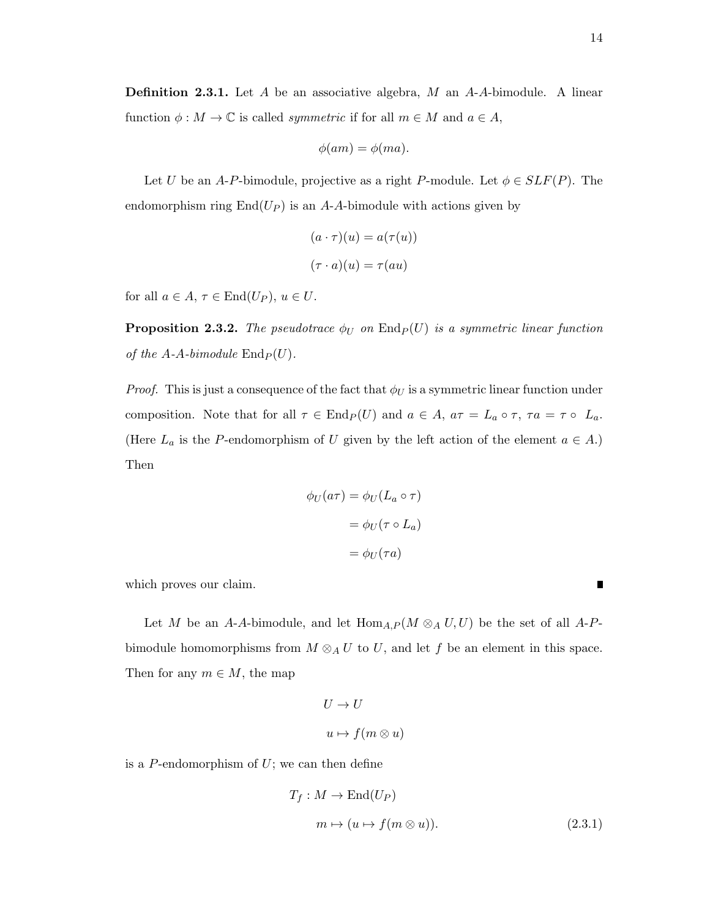$$
\phi(am)=\phi(ma).
$$

Let U be an A-P-bimodule, projective as a right P-module. Let  $\phi \in SLF(P)$ . The endomorphism ring  $\text{End}(U_P)$  is an A-A-bimodule with actions given by

$$
(a \cdot \tau)(u) = a(\tau(u))
$$

$$
(\tau \cdot a)(u) = \tau(au)
$$

for all  $a \in A$ ,  $\tau \in \text{End}(U_P)$ ,  $u \in U$ .

**Proposition 2.3.2.** The pseudotrace  $\phi_U$  on  $\text{End}_P(U)$  is a symmetric linear function of the A-A-bimodule  $\text{End}_P(U)$ .

*Proof.* This is just a consequence of the fact that  $\phi_U$  is a symmetric linear function under composition. Note that for all  $\tau \in \text{End}_P(U)$  and  $a \in A$ ,  $a\tau = L_a \circ \tau$ ,  $\tau a = \tau \circ L_a$ . (Here  $L_a$  is the P-endomorphism of U given by the left action of the element  $a \in A$ .) Then

$$
\phi_U(a\tau) = \phi_U(L_a \circ \tau)
$$

$$
= \phi_U(\tau \circ L_a)
$$

$$
= \phi_U(\tau a)
$$

which proves our claim.

Let M be an A-A-bimodule, and let  $\text{Hom}_{A,P}(M \otimes_A U, U)$  be the set of all A-Pbimodule homomorphisms from  $M \otimes_A U$  to U, and let f be an element in this space. Then for any  $m \in M$ , the map

$$
U \to U
$$

$$
u \mapsto f(m \otimes u)
$$

is a  $P$ -endomorphism of  $U$ ; we can then define

$$
T_f: M \to \text{End}(U_P)
$$
  
\n
$$
m \mapsto (u \mapsto f(m \otimes u)).
$$
\n(2.3.1)

П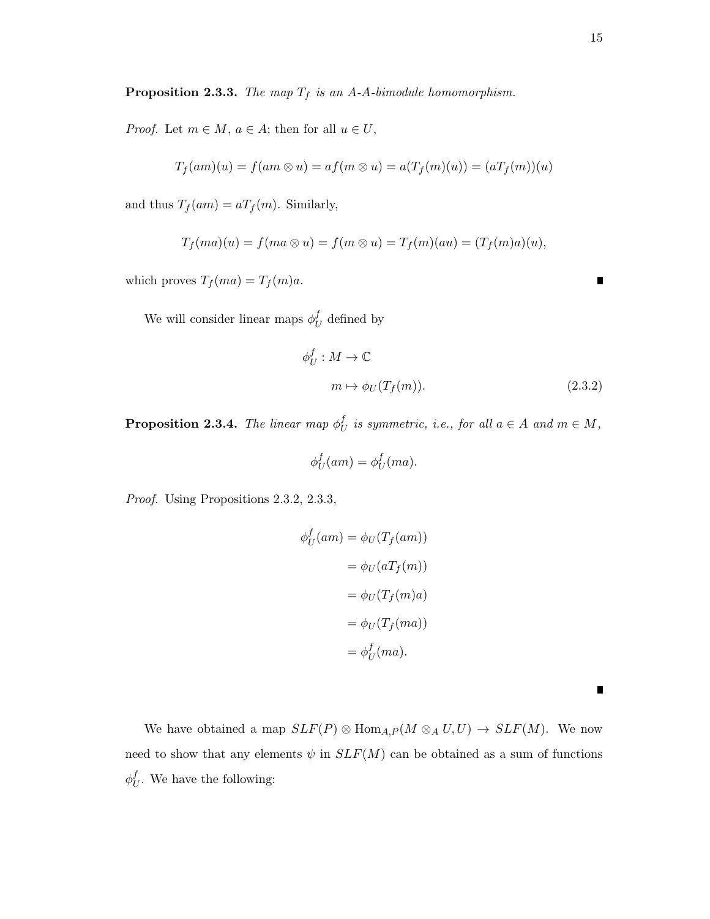**Proposition 2.3.3.** The map  $T_f$  is an A-A-bimodule homomorphism.

*Proof.* Let  $m \in M$ ,  $a \in A$ ; then for all  $u \in U$ ,

$$
T_f(am)(u) = f(am\otimes u) = af(m\otimes u) = a(T_f(m)(u)) = (aT_f(m))(u)
$$

and thus  $T_f(am) = aT_f(m)$ . Similarly,

$$
T_f(ma)(u) = f(ma \otimes u) = f(m \otimes u) = T_f(m)(au) = (T_f(m)a)(u),
$$

which proves  $T_f(ma) = T_f(m)a$ .

We will consider linear maps  $\phi_I^f$  $U_U$  defined by

$$
\phi_U^f : M \to \mathbb{C}
$$
  

$$
m \mapsto \phi_U(T_f(m)).
$$
 (2.3.2)

**Proposition 2.3.4.** The linear map  $\phi_I^f$  $U$  is symmetric, i.e., for all  $a \in A$  and  $m \in M$ ,

$$
\phi_U^f(am) = \phi_U^f(ma).
$$

Proof. Using Propositions 2.3.2, 2.3.3,

$$
\phi_U^f(am) = \phi_U(T_f(am))
$$
  
= 
$$
\phi_U(aT_f(m))
$$
  
= 
$$
\phi_U(T_f(m)a)
$$
  
= 
$$
\phi_U(T_f(ma))
$$
  
= 
$$
\phi_U^f(ma).
$$

We have obtained a map  $SLF(P) \otimes \text{Hom}_{A,P}(M \otimes_A U, U) \to SLF(M)$ . We now need to show that any elements  $\psi$  in  $SLF(M)$  can be obtained as a sum of functions  $\phi_I^f$  $U_U^{\mathcal{U}}$ . We have the following:

 $\blacksquare$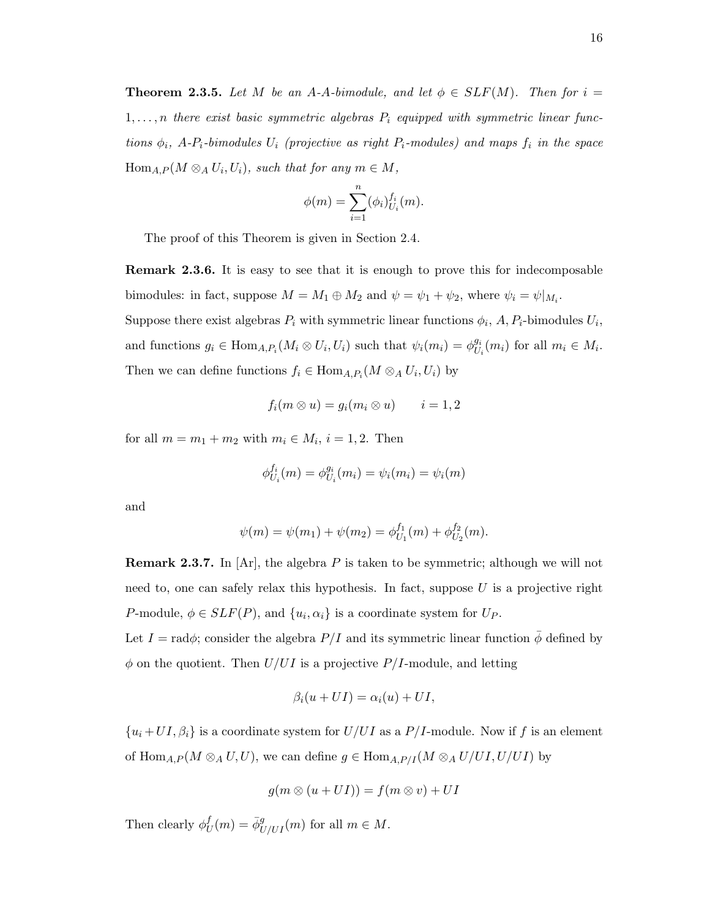**Theorem 2.3.5.** Let M be an A-A-bimodule, and let  $\phi \in SLF(M)$ . Then for  $i =$  $1, \ldots, n$  there exist basic symmetric algebras  $P_i$  equipped with symmetric linear functions  $\phi_i$ , A-P<sub>i</sub>-bimodules  $U_i$  (projective as right P<sub>i</sub>-modules) and maps  $f_i$  in the space  $\text{Hom}_{A,P}(M \otimes_A U_i, U_i)$ , such that for any  $m \in M$ ,

$$
\phi(m) = \sum_{i=1}^{n} (\phi_i)_{U_i}^{f_i}(m).
$$

The proof of this Theorem is given in Section 2.4.

Remark 2.3.6. It is easy to see that it is enough to prove this for indecomposable bimodules: in fact, suppose  $M = M_1 \oplus M_2$  and  $\psi = \psi_1 + \psi_2$ , where  $\psi_i = \psi|_{M_i}$ . Suppose there exist algebras  $P_i$  with symmetric linear functions  $\phi_i$ ,  $A$ ,  $P_i$ -bimodules  $U_i$ ,

and functions  $g_i \in \text{Hom}_{A,P_i}(M_i \otimes U_i, U_i)$  such that  $\psi_i(m_i) = \phi_{U_i}^{g_i}$  $U_i^{g_i}(m_i)$  for all  $m_i \in M_i$ . Then we can define functions  $f_i \in \text{Hom}_{A,P_i}(M \otimes_A U_i, U_i)$  by

$$
f_i(m \otimes u) = g_i(m_i \otimes u) \qquad i = 1, 2
$$

for all  $m = m_1 + m_2$  with  $m_i \in M_i$ ,  $i = 1, 2$ . Then

$$
\phi_{U_i}^{f_i}(m) = \phi_{U_i}^{g_i}(m_i) = \psi_i(m_i) = \psi_i(m)
$$

and

$$
\psi(m) = \psi(m_1) + \psi(m_2) = \phi_{U_1}^{f_1}(m) + \phi_{U_2}^{f_2}(m).
$$

**Remark 2.3.7.** In  $[Ar]$ , the algebra P is taken to be symmetric; although we will not need to, one can safely relax this hypothesis. In fact, suppose  $U$  is a projective right P-module,  $\phi \in SLF(P)$ , and  $\{u_i, \alpha_i\}$  is a coordinate system for  $U_P$ . Let  $I = \text{rad}\phi$ ; consider the algebra  $P/I$  and its symmetric linear function  $\phi$  defined by  $\phi$  on the quotient. Then  $U/UI$  is a projective  $P/I$ -module, and letting

$$
\beta_i(u + UI) = \alpha_i(u) + UI,
$$

 ${u_i+UI, \beta_i}$  is a coordinate system for  $U/UI$  as a  $P/I$ -module. Now if f is an element of  $\text{Hom}_{A,P}(M \otimes_A U, U)$ , we can define  $g \in \text{Hom}_{A,P/I}(M \otimes_A U/UI, U/UI)$  by

$$
g(m \otimes (u + UI)) = f(m \otimes v) + UI
$$

Then clearly  $\phi_l^f$  $U_U^f(m) = \bar{\phi}_{U/UI}^g(m)$  for all  $m \in M$ .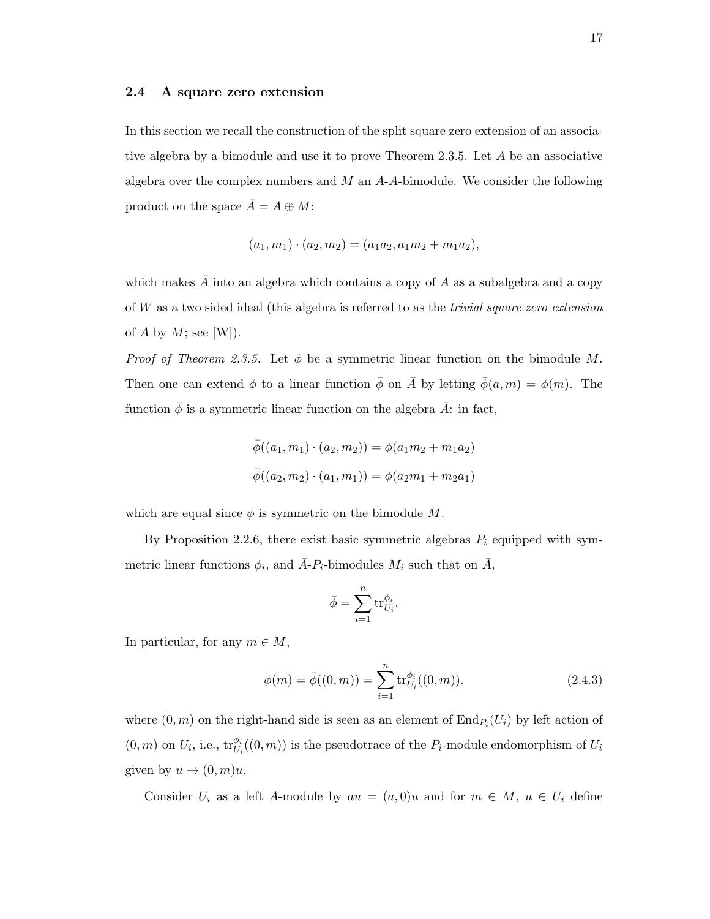#### 2.4 A square zero extension

In this section we recall the construction of the split square zero extension of an associative algebra by a bimodule and use it to prove Theorem 2.3.5. Let A be an associative algebra over the complex numbers and  $M$  an  $A$ - $A$ -bimodule. We consider the following product on the space  $\overline{A} = A \oplus M$ :

$$
(a_1, m_1) \cdot (a_2, m_2) = (a_1a_2, a_1m_2 + m_1a_2),
$$

which makes  $\overline{A}$  into an algebra which contains a copy of A as a subalgebra and a copy of W as a two sided ideal (this algebra is referred to as the trivial square zero extension of A by  $M$ ; see [W]).

*Proof of Theorem 2.3.5.* Let  $\phi$  be a symmetric linear function on the bimodule M. Then one can extend  $\phi$  to a linear function  $\bar{\phi}$  on  $\bar{A}$  by letting  $\bar{\phi}(a, m) = \phi(m)$ . The function  $\bar{\phi}$  is a symmetric linear function on the algebra  $\bar{A}$ : in fact,

$$
\overline{\phi}((a_1, m_1) \cdot (a_2, m_2)) = \phi(a_1 m_2 + m_1 a_2)
$$
  

$$
\overline{\phi}((a_2, m_2) \cdot (a_1, m_1)) = \phi(a_2 m_1 + m_2 a_1)
$$

which are equal since  $\phi$  is symmetric on the bimodule M.

By Proposition 2.2.6, there exist basic symmetric algebras  $P_i$  equipped with symmetric linear functions  $\phi_i$ , and  $\overline{A}$ - $P_i$ -bimodules  $M_i$  such that on  $\overline{A}$ ,

$$
\bar{\phi} = \sum_{i=1}^n \text{tr}_{U_i}^{\phi_i}
$$

.

In particular, for any  $m \in M$ ,

$$
\phi(m) = \bar{\phi}((0, m)) = \sum_{i=1}^{n} \text{tr}_{U_i}^{\phi_i}((0, m)).
$$
\n(2.4.3)

where  $(0, m)$  on the right-hand side is seen as an element of  $\text{End}_{P_i}(U_i)$  by left action of  $(0, m)$  on  $U_i$ , i.e.,  $\text{tr}_{U_i}^{\phi_i}((0, m))$  is the pseudotrace of the  $P_i$ -module endomorphism of  $U_i$ given by  $u \to (0, m)u$ .

Consider  $U_i$  as a left A-module by  $au = (a, 0)u$  and for  $m \in M$ ,  $u \in U_i$  define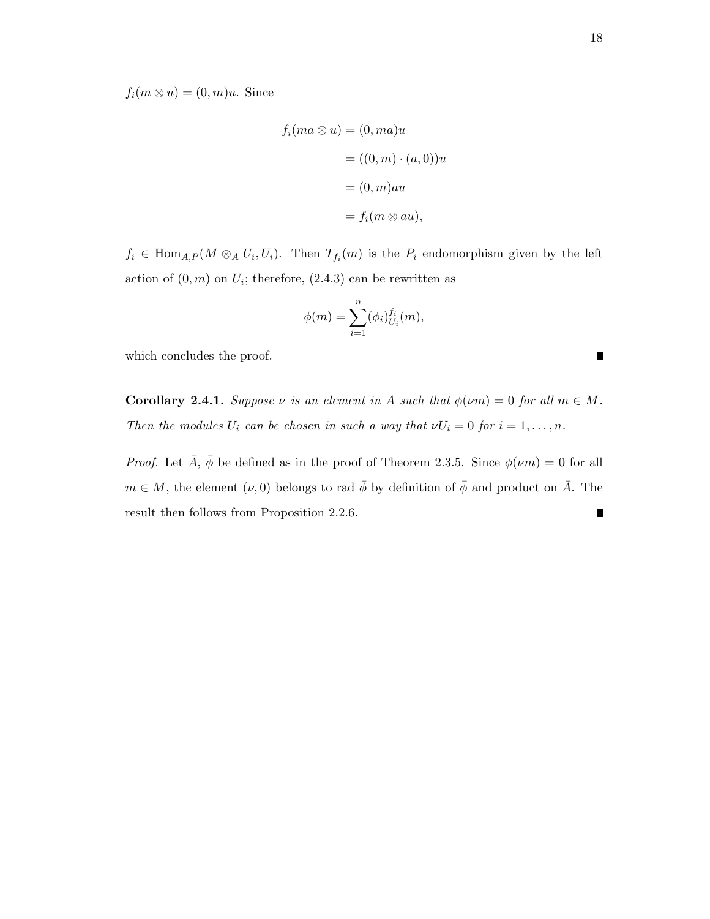$f_i(m \otimes u) = (0, m)u$ . Since

$$
f_i(ma \otimes u) = (0, ma)u
$$

$$
= ((0, m) \cdot (a, 0))u
$$

$$
= (0, m)au
$$

$$
= f_i(m \otimes au),
$$

 $f_i \in \text{Hom}_{A,P}(M \otimes_A U_i, U_i)$ . Then  $T_{f_i}(m)$  is the  $P_i$  endomorphism given by the left action of  $(0, m)$  on  $U_i$ ; therefore,  $(2.4.3)$  can be rewritten as

$$
\phi(m) = \sum_{i=1}^{n} (\phi_i)_{U_i}^{f_i}(m),
$$

which concludes the proof.

**Corollary 2.4.1.** Suppose  $\nu$  is an element in A such that  $\phi(\nu m) = 0$  for all  $m \in M$ . Then the modules  $U_i$  can be chosen in such a way that  $\nu U_i = 0$  for  $i = 1, \ldots, n$ .

*Proof.* Let  $\bar{A}$ ,  $\bar{\phi}$  be defined as in the proof of Theorem 2.3.5. Since  $\phi(\nu m) = 0$  for all  $m \in M$ , the element  $(\nu, 0)$  belongs to rad  $\bar{\phi}$  by definition of  $\bar{\phi}$  and product on  $\bar{A}$ . The result then follows from Proposition 2.2.6. $\blacksquare$ 

 $\blacksquare$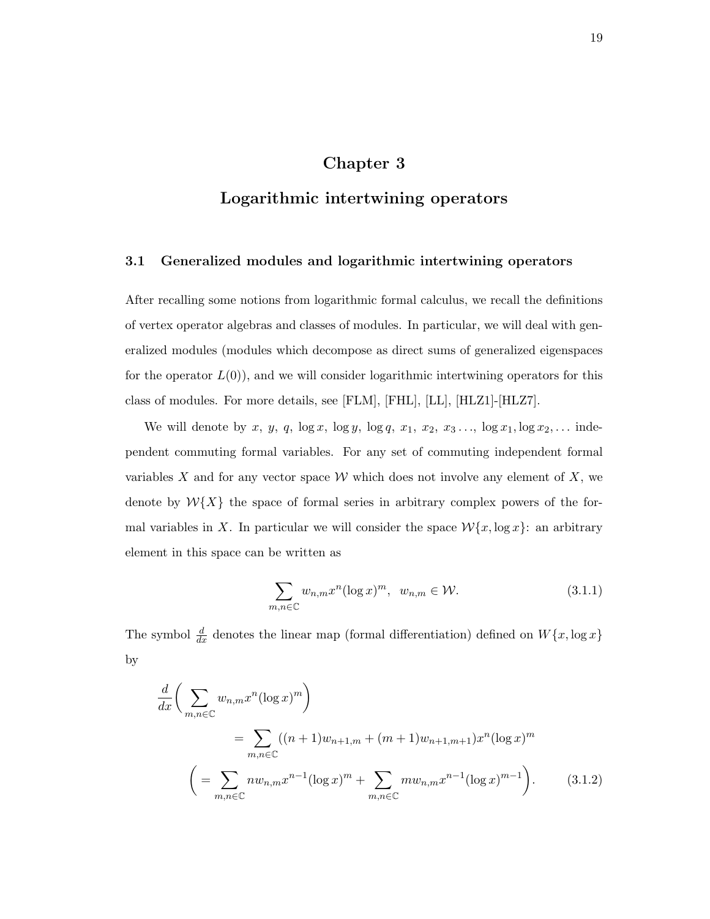## Chapter 3

## Logarithmic intertwining operators

### 3.1 Generalized modules and logarithmic intertwining operators

After recalling some notions from logarithmic formal calculus, we recall the definitions of vertex operator algebras and classes of modules. In particular, we will deal with generalized modules (modules which decompose as direct sums of generalized eigenspaces for the operator  $L(0)$ , and we will consider logarithmic intertwining operators for this class of modules. For more details, see [FLM], [FHL], [LL], [HLZ1]-[HLZ7].

We will denote by x, y, q,  $\log x$ ,  $\log y$ ,  $\log q$ , x<sub>1</sub>, x<sub>2</sub>, x<sub>3</sub> ...,  $\log x_1$ ,  $\log x_2$ , ... independent commuting formal variables. For any set of commuting independent formal variables X and for any vector space  $W$  which does not involve any element of X, we denote by  $\mathcal{W}\{X\}$  the space of formal series in arbitrary complex powers of the formal variables in X. In particular we will consider the space  $\mathcal{W}{x, \log x}$ : an arbitrary element in this space can be written as

$$
\sum_{m,n\in\mathbb{C}} w_{n,m} x^n (\log x)^m, \ \ w_{n,m} \in \mathcal{W}.
$$
 (3.1.1)

The symbol  $\frac{d}{dx}$  denotes the linear map (formal differentiation) defined on  $W\{x, \log x\}$ by

$$
\frac{d}{dx} \left( \sum_{m,n \in \mathbb{C}} w_{n,m} x^n (\log x)^m \right)
$$
\n
$$
= \sum_{m,n \in \mathbb{C}} ((n+1)w_{n+1,m} + (m+1)w_{n+1,m+1}) x^n (\log x)^m
$$
\n
$$
\left( = \sum_{m,n \in \mathbb{C}} n w_{n,m} x^{n-1} (\log x)^m + \sum_{m,n \in \mathbb{C}} m w_{n,m} x^{n-1} (\log x)^{m-1} \right). \tag{3.1.2}
$$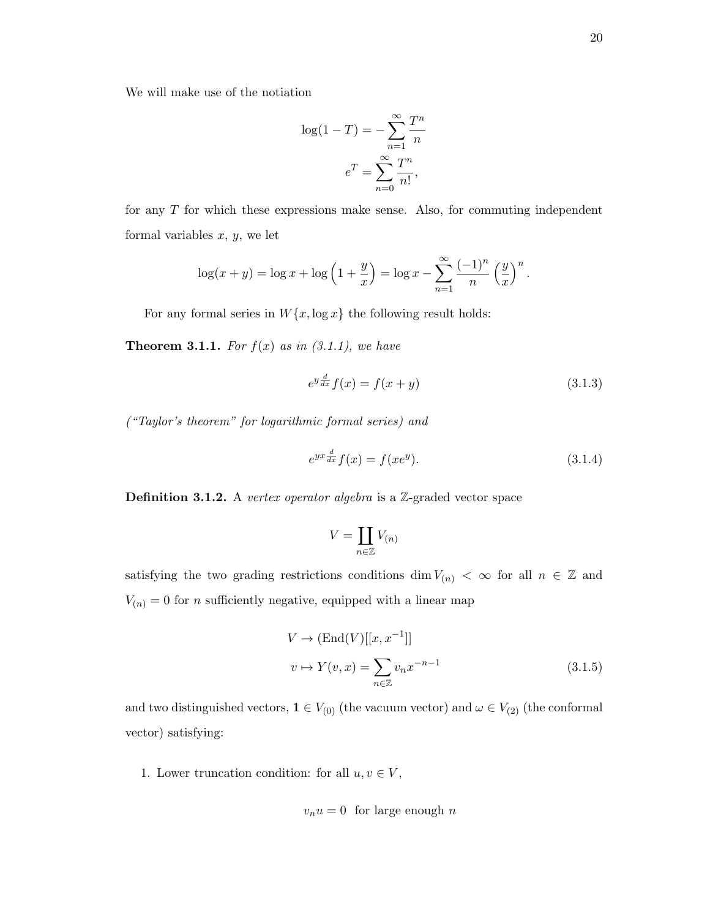We will make use of the notiation

$$
\log(1 - T) = -\sum_{n=1}^{\infty} \frac{T^n}{n}
$$

$$
e^T = \sum_{n=0}^{\infty} \frac{T^n}{n!},
$$

for any T for which these expressions make sense. Also, for commuting independent formal variables  $x, y$ , we let

$$
\log(x+y) = \log x + \log\left(1+\frac{y}{x}\right) = \log x - \sum_{n=1}^{\infty} \frac{(-1)^n}{n} \left(\frac{y}{x}\right)^n.
$$

For any formal series in  $W\{x, \log x\}$  the following result holds:

**Theorem 3.1.1.** For  $f(x)$  as in  $(3.1.1)$ , we have

$$
e^{y\frac{d}{dx}}f(x) = f(x+y)
$$
\n(3.1.3)

("Taylor's theorem" for logarithmic formal series) and

$$
e^{yx\frac{d}{dx}}f(x) = f(xe^y). \tag{3.1.4}
$$

Definition 3.1.2. A vertex operator algebra is a Z-graded vector space

$$
V = \coprod_{n \in \mathbb{Z}} V_{(n)}
$$

satisfying the two grading restrictions conditions dim  $V_{(n)} < \infty$  for all  $n \in \mathbb{Z}$  and  $V_{\left(n\right)}=0$  for  $n$  sufficiently negative, equipped with a linear map

$$
V \to (\text{End}(V)[[x, x^{-1}]]
$$
  

$$
v \mapsto Y(v, x) = \sum_{n \in \mathbb{Z}} v_n x^{-n-1}
$$
 (3.1.5)

and two distinguished vectors,  $\mathbf{1} \in V_{(0)}$  (the vacuum vector) and  $\omega \in V_{(2)}$  (the conformal vector) satisfying:

1. Lower truncation condition: for all  $u, v \in V$ ,

$$
v_n u = 0 \text{ for large enough } n
$$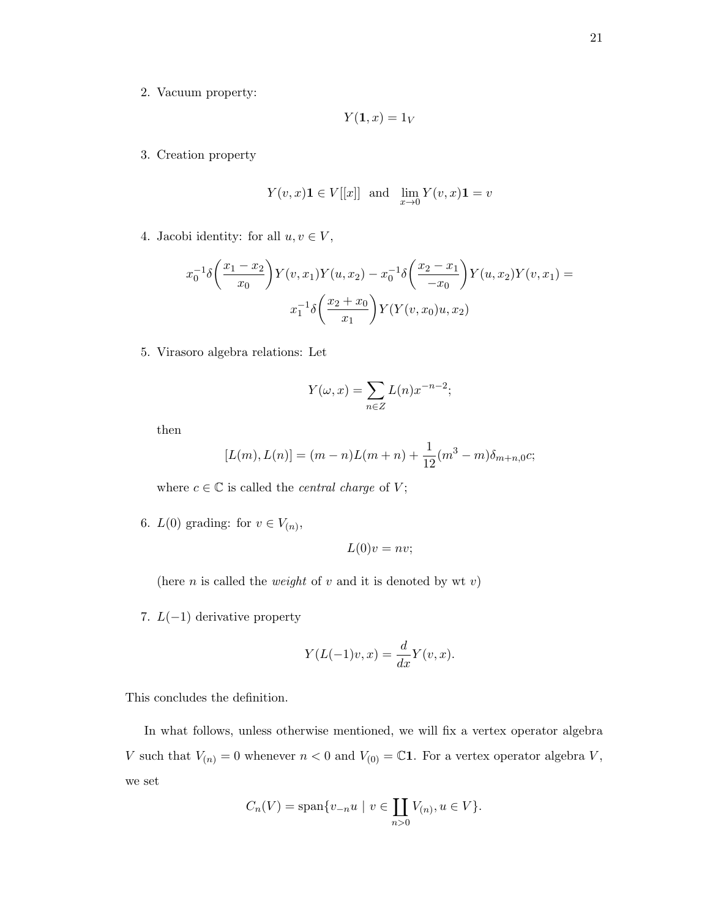2. Vacuum property:

$$
Y(\mathbf{1},x)=1_V
$$

3. Creation property

$$
Y(v, x)\mathbf{1} \in V[[x]] \text{ and } \lim_{x \to 0} Y(v, x)\mathbf{1} = v
$$

4. Jacobi identity: for all  $u, v \in V$ ,

$$
x_0^{-1}\delta\left(\frac{x_1 - x_2}{x_0}\right)Y(v, x_1)Y(u, x_2) - x_0^{-1}\delta\left(\frac{x_2 - x_1}{-x_0}\right)Y(u, x_2)Y(v, x_1) =
$$

$$
x_1^{-1}\delta\left(\frac{x_2 + x_0}{x_1}\right)Y(Y(v, x_0)u, x_2)
$$

5. Virasoro algebra relations: Let

$$
Y(\omega, x) = \sum_{n \in \mathbb{Z}} L(n) x^{-n-2};
$$

then

$$
[L(m), L(n)] = (m - n)L(m + n) + \frac{1}{12}(m^{3} - m)\delta_{m+n,0}c;
$$

where  $c \in \mathbb{C}$  is called the *central charge* of V;

6.  $L(0)$  grading: for  $v \in V_{(n)}$ ,

$$
L(0)v = nv;
$$

(here *n* is called the *weight* of *v* and it is denoted by wt *v*)

7.  $L(-1)$  derivative property

$$
Y(L(-1)v, x) = \frac{d}{dx}Y(v, x).
$$

This concludes the definition.

In what follows, unless otherwise mentioned, we will fix a vertex operator algebra V such that  $V_{(n)} = 0$  whenever  $n < 0$  and  $V_{(0)} = \mathbb{C}1$ . For a vertex operator algebra V, we set

$$
C_n(V) = \text{span}\{v_{-n}u \mid v \in \coprod_{n>0} V_{(n)}, u \in V\}.
$$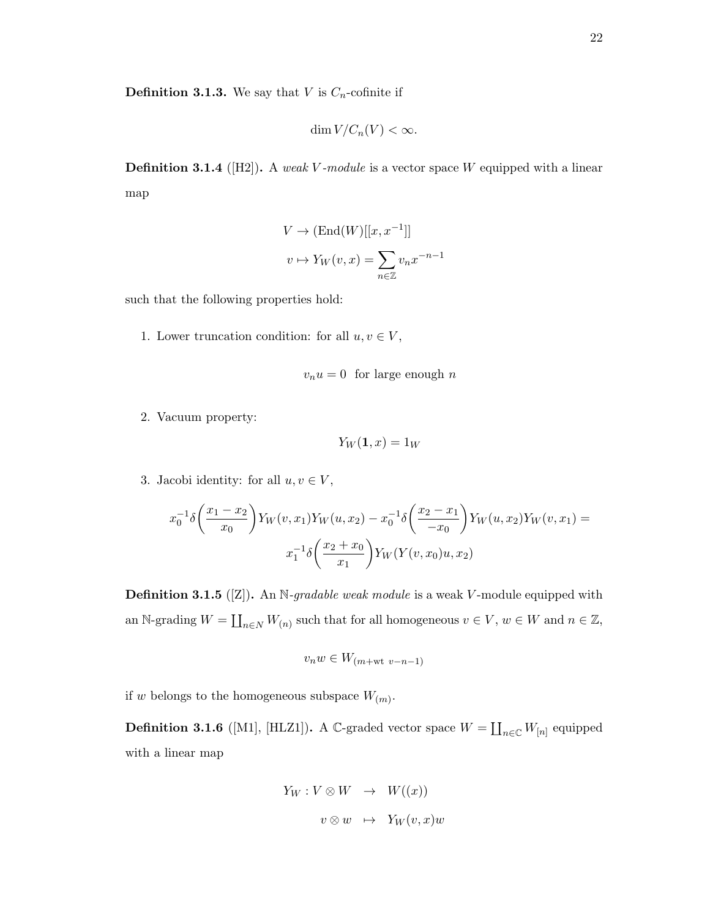$$
\dim V/C_n(V) < \infty.
$$

**Definition 3.1.4** ([H2]). A weak V-module is a vector space W equipped with a linear map

$$
V \to (\text{End}(W)[[x, x^{-1}]]
$$

$$
v \mapsto Y_W(v, x) = \sum_{n \in \mathbb{Z}} v_n x^{-n-1}
$$

such that the following properties hold:

1. Lower truncation condition: for all  $u, v \in V$ ,

$$
v_n u = 0 \text{ for large enough } n
$$

2. Vacuum property:

$$
Y_W(\mathbf{1},x)=1_W
$$

3. Jacobi identity: for all  $u, v \in V$ ,

$$
x_0^{-1}\delta\left(\frac{x_1 - x_2}{x_0}\right)Y_W(v, x_1)Y_W(u, x_2) - x_0^{-1}\delta\left(\frac{x_2 - x_1}{-x_0}\right)Y_W(u, x_2)Y_W(v, x_1) = x_1^{-1}\delta\left(\frac{x_2 + x_0}{x_1}\right)Y_W(Y(v, x_0)u, x_2)
$$

**Definition 3.1.5** ([Z]). An N-gradable weak module is a weak V-module equipped with an N-grading  $W = \coprod_{n \in N} W_{(n)}$  such that for all homogeneous  $v \in V$ ,  $w \in W$  and  $n \in \mathbb{Z}$ ,

$$
v_nw\in W_{(m+{\rm wt}\ v-n-1)}
$$

if w belongs to the homogeneous subspace  $W_{(m)}$ .

**Definition 3.1.6** ([M1], [HLZ1]). A C-graded vector space  $W = \coprod_{n \in \mathbb{C}} W_{[n]}$  equipped with a linear map

$$
Y_W : V \otimes W \rightarrow W((x))
$$
  

$$
v \otimes w \rightarrow Y_W(v, x)w
$$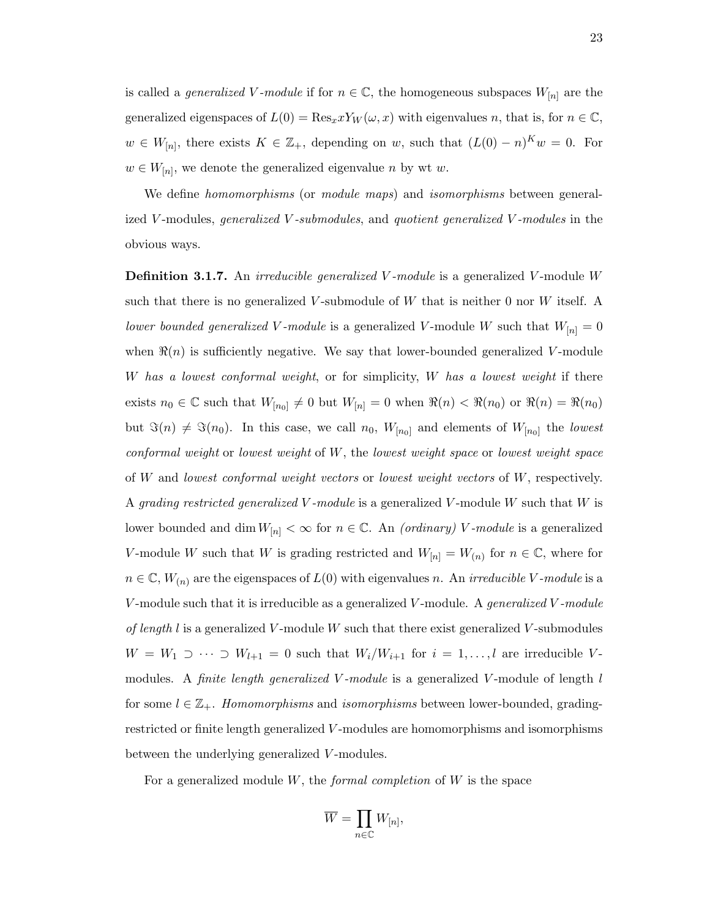is called a *generalized V*-module if for  $n \in \mathbb{C}$ , the homogeneous subspaces  $W_{[n]}$  are the generalized eigenspaces of  $L(0) = \text{Res}_x x Y_W(\omega, x)$  with eigenvalues n, that is, for  $n \in \mathbb{C}$ ,  $w \in W_{[n]},$  there exists  $K \in \mathbb{Z}_+$ , depending on w, such that  $(L(0) - n)^K w = 0$ . For  $w \in W_{[n]}$ , we denote the generalized eigenvalue n by wt w.

We define *homomorphisms* (or *module maps*) and *isomorphisms* between generalized V-modules, generalized V-submodules, and quotient generalized V-modules in the obvious ways.

**Definition 3.1.7.** An *irreducible generalized V-module* is a generalized V-module W such that there is no generalized V-submodule of W that is neither 0 nor W itself. A lower bounded generalized V-module is a generalized V-module W such that  $W_{[n]} = 0$ when  $\Re(n)$  is sufficiently negative. We say that lower-bounded generalized V-module W has a lowest conformal weight, or for simplicity,  $W$  has a lowest weight if there exists  $n_0 \in \mathbb{C}$  such that  $W_{[n_0]} \neq 0$  but  $W_{[n]} = 0$  when  $\Re(n) < \Re(n_0)$  or  $\Re(n) = \Re(n_0)$ but  $\Im(n) \neq \Im(n_0)$ . In this case, we call  $n_0$ ,  $W_{[n_0]}$  and elements of  $W_{[n_0]}$  the lowest conformal weight or lowest weight of W, the lowest weight space or lowest weight space of W and lowest conformal weight vectors or lowest weight vectors of W, respectively. A grading restricted generalized V-module is a generalized V-module W such that  $W$  is lower bounded and dim  $W_{[n]} < \infty$  for  $n \in \mathbb{C}$ . An *(ordinary) V-module* is a generalized V-module W such that W is grading restricted and  $W_{[n]} = W_{(n)}$  for  $n \in \mathbb{C}$ , where for  $n \in \mathbb{C}, W_{(n)}$  are the eigenspaces of  $L(0)$  with eigenvalues n. An *irreducible V*-module is a V-module such that it is irreducible as a generalized V-module. A *generalized* V-module of length l is a generalized V-module W such that there exist generalized V-submodules  $W = W_1 \supset \cdots \supset W_{l+1} = 0$  such that  $W_i/W_{i+1}$  for  $i = 1, \ldots, l$  are irreducible Vmodules. A *finite length generalized V-module* is a generalized V-module of length  $l$ for some  $l \in \mathbb{Z}_+$ . Homomorphisms and isomorphisms between lower-bounded, gradingrestricted or finite length generalized V -modules are homomorphisms and isomorphisms between the underlying generalized V-modules.

For a generalized module  $W$ , the *formal completion* of  $W$  is the space

$$
\overline{W}=\prod_{n\in\mathbb{C}}W_{[n]}
$$

,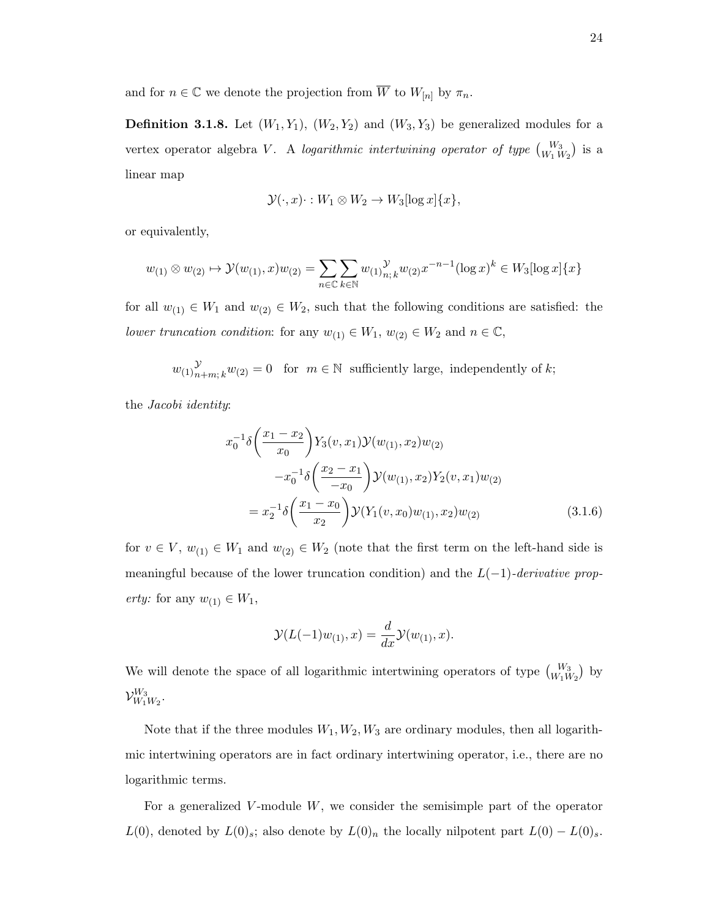and for  $n \in \mathbb{C}$  we denote the projection from  $\overline{W}$  to  $W_{[n]}$  by  $\pi_n$ .

**Definition 3.1.8.** Let  $(W_1, Y_1)$ ,  $(W_2, Y_2)$  and  $(W_3, Y_3)$  be generalized modules for a vertex operator algebra V. A logarithmic intertwining operator of type  $\binom{W_3}{W_1 W_2}$  is a linear map

$$
\mathcal{Y}(\cdot, x) \cdot : W_1 \otimes W_2 \to W_3[\log x] \{x\},\
$$

or equivalently,

$$
w_{(1)} \otimes w_{(2)} \mapsto \mathcal{Y}(w_{(1)}, x)w_{(2)} = \sum_{n \in \mathbb{C}} \sum_{k \in \mathbb{N}} w_{(1)} \gamma_{n;k} w_{(2)} x^{-n-1} (\log x)^k \in W_3[\log x] \{x\}
$$

for all  $w_{(1)} \in W_1$  and  $w_{(2)} \in W_2$ , such that the following conditions are satisfied: the lower truncation condition: for any  $w_{(1)} \in W_1$ ,  $w_{(2)} \in W_2$  and  $n \in \mathbb{C}$ ,

 $w_{(1)}y_{n}^{\mathcal{Y}}$  $\mathcal{Y}_{n+m; k} w_{(2)} = 0$  for  $m \in \mathbb{N}$  sufficiently large, independently of k;

the Jacobi identity:

$$
x_0^{-1}\delta\left(\frac{x_1 - x_2}{x_0}\right)Y_3(v, x_1)\mathcal{Y}(w_{(1)}, x_2)w_{(2)}
$$
  

$$
-x_0^{-1}\delta\left(\frac{x_2 - x_1}{-x_0}\right)\mathcal{Y}(w_{(1)}, x_2)Y_2(v, x_1)w_{(2)}
$$
  

$$
= x_2^{-1}\delta\left(\frac{x_1 - x_0}{x_2}\right)\mathcal{Y}(Y_1(v, x_0)w_{(1)}, x_2)w_{(2)}
$$
(3.1.6)

for  $v \in V$ ,  $w_{(1)} \in W_1$  and  $w_{(2)} \in W_2$  (note that the first term on the left-hand side is meaningful because of the lower truncation condition) and the  $L(-1)$ -derivative property: for any  $w_{(1)} \in W_1$ ,

$$
\mathcal{Y}(L(-1)w_{(1)},x)=\frac{d}{dx}\mathcal{Y}(w_{(1)},x).
$$

We will denote the space of all logarithmic intertwining operators of type  $\binom{W_3}{W_1W_2}$  by  $\mathcal{V}_{W}^{W_{3}}$  $W_1W_2\cdot W_1W_2$ 

Note that if the three modules  $W_1, W_2, W_3$  are ordinary modules, then all logarithmic intertwining operators are in fact ordinary intertwining operator, i.e., there are no logarithmic terms.

For a generalized V-module  $W$ , we consider the semisimple part of the operator  $L(0)$ , denoted by  $L(0)$ <sub>s</sub>; also denote by  $L(0)_n$  the locally nilpotent part  $L(0) - L(0)_s$ .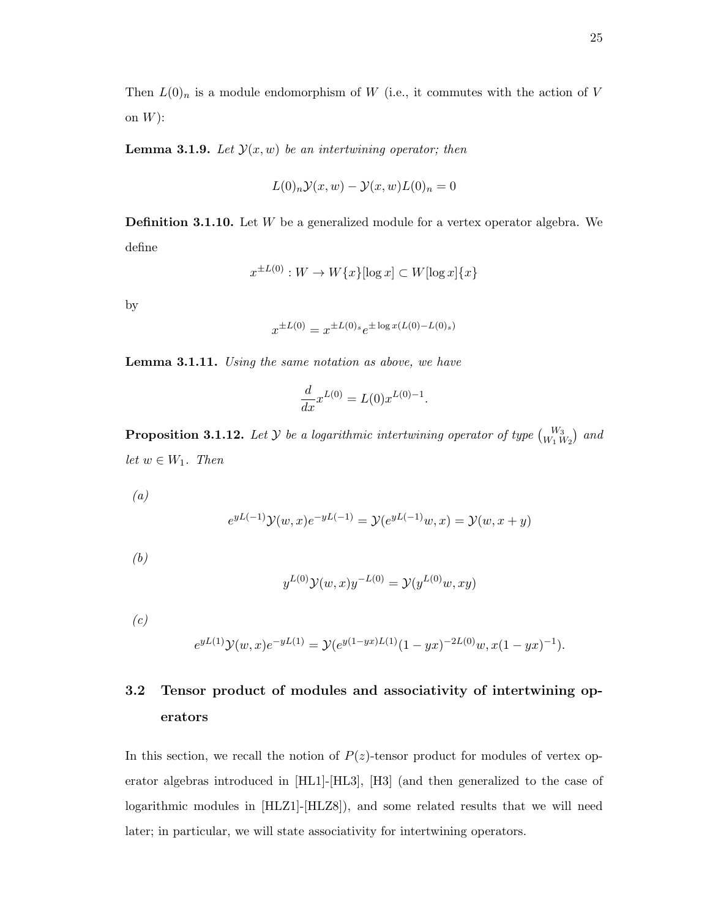Then  $L(0)_n$  is a module endomorphism of W (i.e., it commutes with the action of V on  $W$ :

**Lemma 3.1.9.** Let  $\mathcal{Y}(x, w)$  be an intertwining operator; then

$$
L(0)_n \mathcal{Y}(x, w) - \mathcal{Y}(x, w)L(0)_n = 0
$$

**Definition 3.1.10.** Let  $W$  be a generalized module for a vertex operator algebra. We define

$$
x^{\pm L(0)}: W \to W\{x\}[\log x] \subset W[\log x]\{x\}
$$

by

$$
x^{\pm L(0)} = x^{\pm L(0)s} e^{\pm \log x (L(0) - L(0)s)}
$$

Lemma 3.1.11. Using the same notation as above, we have

$$
\frac{d}{dx}x^{L(0)} = L(0)x^{L(0)-1}.
$$

**Proposition 3.1.12.** Let  $\mathcal{Y}$  be a logarithmic intertwining operator of type  $\begin{pmatrix} W_3 \ W_1 \ W_2 \end{pmatrix}$  and let  $w \in W_1$ . Then

(a)

$$
e^{yL(-1)}\mathcal{Y}(w,x)e^{-yL(-1)} = \mathcal{Y}(e^{yL(-1)}w,x) = \mathcal{Y}(w,x+y)
$$

(b)

$$
y^{L(0)}\mathcal{Y}(w,x)y^{-L(0)} = \mathcal{Y}(y^{L(0)}w, xy)
$$

 $(c)$ 

$$
e^{yL(1)}\mathcal{Y}(w,x)e^{-yL(1)} = \mathcal{Y}(e^{y(1-yx)L(1)}(1-yx)^{-2L(0)}w, x(1-yx)^{-1}).
$$

## 3.2 Tensor product of modules and associativity of intertwining operators

In this section, we recall the notion of  $P(z)$ -tensor product for modules of vertex operator algebras introduced in [HL1]-[HL3], [H3] (and then generalized to the case of logarithmic modules in  $[HLZ1]$ - $[HLZ8]$ , and some related results that we will need later; in particular, we will state associativity for intertwining operators.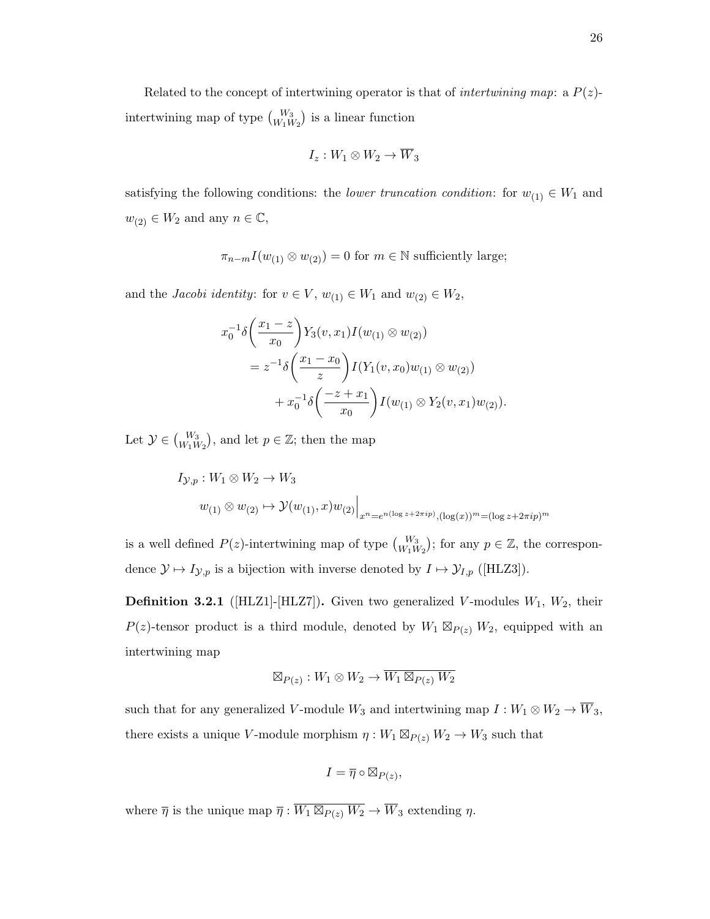Related to the concept of intertwining operator is that of *intertwining map*: a  $P(z)$ intertwining map of type  $\binom{W_3}{W_1 W_2}$  is a linear function

$$
I_z: W_1 \otimes W_2 \to \overline{W}_3
$$

satisfying the following conditions: the *lower truncation condition*: for  $w_{(1)} \in W_1$  and  $w_{(2)} \in W_2$  and any  $n \in \mathbb{C}$ ,

$$
\pi_{n-m} I(w_{(1)} \otimes w_{(2)}) = 0
$$
 for  $m \in \mathbb{N}$  sufficiently large;

and the *Jacobi identity*: for  $v \in V$ ,  $w_{(1)} \in W_1$  and  $w_{(2)} \in W_2$ ,

$$
x_0^{-1}\delta\left(\frac{x_1-z}{x_0}\right)Y_3(v,x_1)I(w_{(1)} \otimes w_{(2)})
$$
  
=  $z^{-1}\delta\left(\frac{x_1-x_0}{z}\right)I(Y_1(v,x_0)w_{(1)} \otimes w_{(2)})$   
+  $x_0^{-1}\delta\left(\frac{-z+x_1}{x_0}\right)I(w_{(1)} \otimes Y_2(v,x_1)w_{(2)}).$ 

Let  $\mathcal{Y} \in \binom{W_3}{W_1 W_2}$ , and let  $p \in \mathbb{Z}$ ; then the map

$$
I_{\mathcal{Y},p}: W_1 \otimes W_2 \to W_3
$$
  

$$
w_{(1)} \otimes w_{(2)} \mapsto \mathcal{Y}(w_{(1)},x)w_{(2)}\Big|_{x^n = e^{n(\log z + 2\pi i p)},(\log(x))^m = (\log z + 2\pi i p)^m}
$$

is a well defined  $P(z)$ -intertwining map of type  ${W_3 \choose W_1 W_2}$ ; for any  $p \in \mathbb{Z}$ , the correspondence  $\mathcal{Y} \mapsto I_{\mathcal{Y},p}$  is a bijection with inverse denoted by  $I \mapsto \mathcal{Y}_{I,p}$  ([HLZ3]).

**Definition 3.2.1** ([HLZ1]-[HLZ7]). Given two generalized V-modules  $W_1$ ,  $W_2$ , their  $P(z)$ -tensor product is a third module, denoted by  $W_1 \boxtimes_{P(z)} W_2$ , equipped with an intertwining map

$$
\boxtimes_{P(z)}: W_1 \otimes W_2 \to \overline{W_1 \boxtimes_{P(z)} W_2}
$$

such that for any generalized V-module  $W_3$  and intertwining map  $I: W_1 \otimes W_2 \to \overline{W}_3$ , there exists a unique V-module morphism  $\eta: W_1 \boxtimes_{P(z)} W_2 \to W_3$  such that

$$
I = \overline{\eta} \circ \boxtimes_{P(z)},
$$

where  $\overline{\eta}$  is the unique map  $\overline{\eta} : \overline{W_1 \boxtimes_{P(z)} W_2} \to \overline{W}_3$  extending  $\eta$ .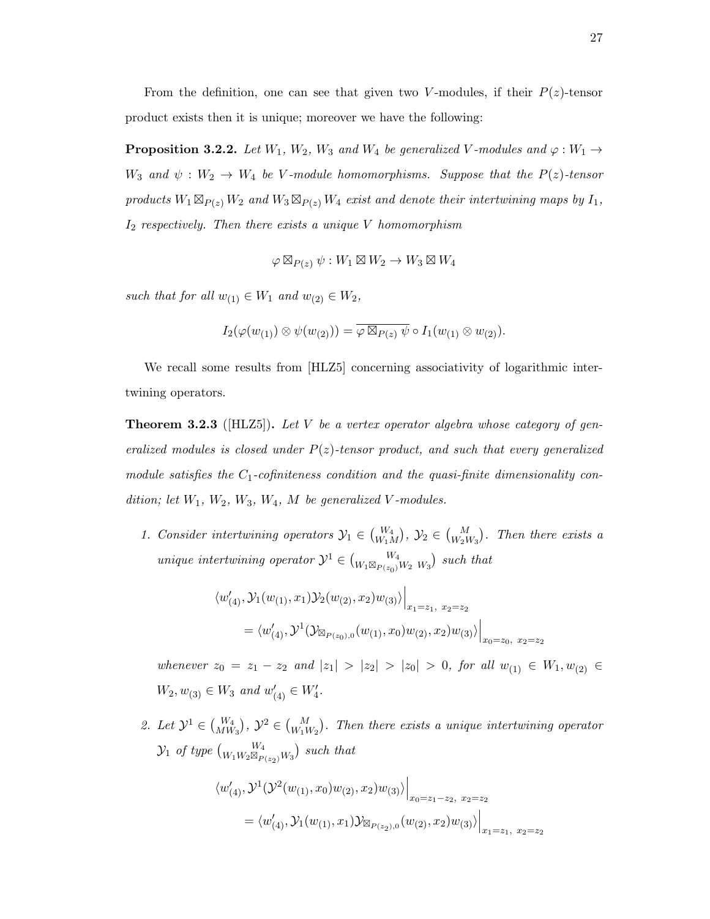From the definition, one can see that given two V-modules, if their  $P(z)$ -tensor product exists then it is unique; moreover we have the following:

**Proposition 3.2.2.** Let  $W_1$ ,  $W_2$ ,  $W_3$  and  $W_4$  be generalized V-modules and  $\varphi : W_1 \rightarrow$  $W_3$  and  $\psi : W_2 \to W_4$  be V-module homomorphisms. Suppose that the  $P(z)$ -tensor products  $W_1 \boxtimes_{P(z)} W_2$  and  $W_3 \boxtimes_{P(z)} W_4$  exist and denote their intertwining maps by  $I_1$ ,  $I_2$  respectively. Then there exists a unique V homomorphism

$$
\varphi \boxtimes_{P(z)} \psi : W_1 \boxtimes W_2 \to W_3 \boxtimes W_4
$$

such that for all  $w_{(1)} \in W_1$  and  $w_{(2)} \in W_2$ ,

$$
I_2(\varphi(w_{(1)}) \otimes \psi(w_{(2)})) = \overline{\varphi \boxtimes_{P(z)} \psi} \circ I_1(w_{(1)} \otimes w_{(2)}).
$$

We recall some results from [HLZ5] concerning associativity of logarithmic intertwining operators.

**Theorem 3.2.3** ([HLZ5]). Let V be a vertex operator algebra whose category of generalized modules is closed under  $P(z)$ -tensor product, and such that every generalized module satisfies the  $C_1$ -cofiniteness condition and the quasi-finite dimensionality condition; let  $W_1$ ,  $W_2$ ,  $W_3$ ,  $W_4$ ,  $M$  be generalized V-modules.

1. Consider intertwining operators  $\mathcal{Y}_1 \in \binom{W_4}{W_1 M}$ ,  $\mathcal{Y}_2 \in \binom{M}{W_2 W_3}$ . Then there exists a unique intertwining operator  $\mathcal{Y}^1 \in \binom{W_4}{W_1 \boxtimes_{P(z_0)} W_2 \ W_3}$  such that

$$
\langle w'_{(4)}, \mathcal{Y}_1(w_{(1)}, x_1) \mathcal{Y}_2(w_{(2)}, x_2) w_{(3)} \rangle \Big|_{x_1 = z_1, x_2 = z_2}
$$
  
=  $\langle w'_{(4)}, \mathcal{Y}^1(\mathcal{Y}_{\boxtimes_{P(z_0),0}}(w_{(1)}, x_0) w_{(2)}, x_2) w_{(3)} \rangle \Big|_{x_0 = z_0, x_2 = z_2}$ 

whenever  $z_0 = z_1 - z_2$  and  $|z_1| > |z_2| > |z_0| > 0$ , for all  $w_{(1)} \in W_1, w_{(2)} \in W_2$  $W_2, w_{(3)} \in W_3$  and  $w'_{(4)} \in W'_4$ .

2. Let  $\mathcal{Y}^1 \in {W_4 \choose MW_3}$ ,  $\mathcal{Y}^2 \in {M \choose W_1 W_2}$ . Then there exists a unique intertwining operator  $\mathcal{Y}_1$  of type  $\binom{W_4}{W_1W_2\boxtimes_{P(z_2)} W_3}$  such that

$$
\langle w'_{(4)}, \mathcal{Y}^{1}(\mathcal{Y}^{2}(w_{(1)}, x_{0})w_{(2)}, x_{2})w_{(3)} \rangle \Big|_{x_{0}=z_{1}-z_{2}, x_{2}=z_{2}}
$$
  
=  $\langle w'_{(4)}, \mathcal{Y}_{1}(w_{(1)}, x_{1})\mathcal{Y}_{\boxtimes_{P(z_{2}),0}}(w_{(2)}, x_{2})w_{(3)} \rangle \Big|_{x_{1}=z_{1}, x_{2}=z_{2}}$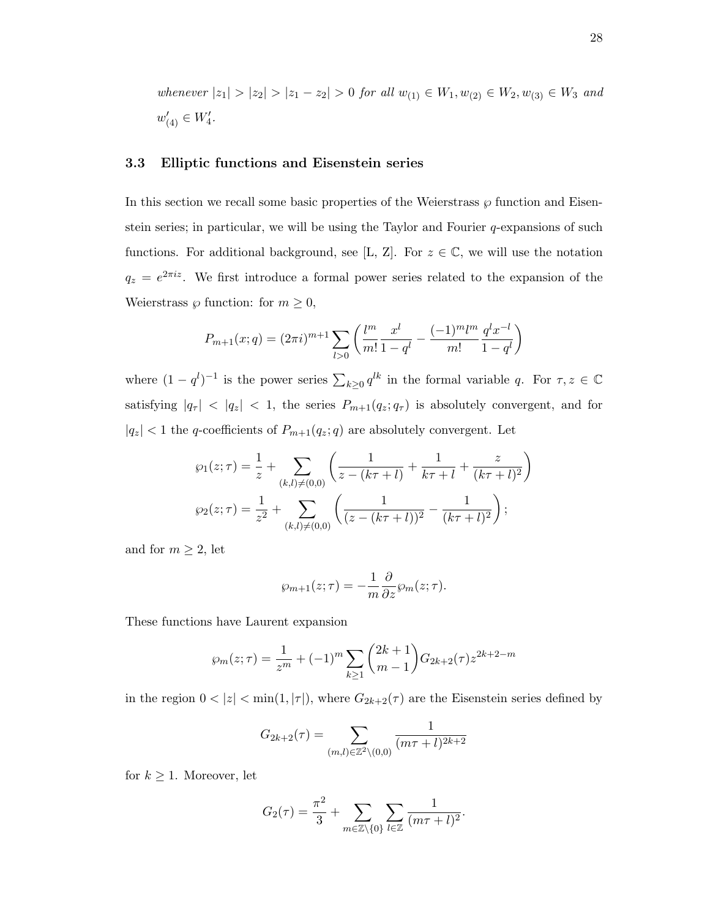whenever  $|z_1| > |z_2| > |z_1 - z_2| > 0$  for all  $w_{(1)} \in W_1, w_{(2)} \in W_2, w_{(3)} \in W_3$  and  $w'_{(4)} \in W'_4.$ 

#### 3.3 Elliptic functions and Eisenstein series

In this section we recall some basic properties of the Weierstrass  $\wp$  function and Eisenstein series; in particular, we will be using the Taylor and Fourier  $q$ -expansions of such functions. For additional background, see [L, Z]. For  $z \in \mathbb{C}$ , we will use the notation  $q_z = e^{2\pi i z}$ . We first introduce a formal power series related to the expansion of the Weierstrass  $\wp$  function: for  $m \geq 0$ ,

$$
P_{m+1}(x;q) = (2\pi i)^{m+1} \sum_{l>0} \left( \frac{l^m}{m!} \frac{x^l}{1-q^l} - \frac{(-1)^m l^m}{m!} \frac{q^l x^{-l}}{1-q^l} \right)
$$

where  $(1 - q^l)^{-1}$  is the power series  $\sum_{k \geq 0} q^{lk}$  in the formal variable q. For  $\tau, z \in \mathbb{C}$ satisfying  $|q_{\tau}|$  <  $|q_{z}|$  < 1, the series  $P_{m+1}(q_{z}; q_{\tau})$  is absolutely convergent, and for  $\vert q_z\vert < 1$  the  $q$  coefficients of  $P_{m+1}(q_z;q)$  are absolutely convergent. Let

$$
\wp_1(z;\tau) = \frac{1}{z} + \sum_{(k,l)\neq(0,0)} \left( \frac{1}{z - (k\tau + l)} + \frac{1}{k\tau + l} + \frac{z}{(k\tau + l)^2} \right)
$$

$$
\wp_2(z;\tau) = \frac{1}{z^2} + \sum_{(k,l)\neq(0,0)} \left( \frac{1}{(z - (k\tau + l))^2} - \frac{1}{(k\tau + l)^2} \right);
$$

and for  $m \geq 2$ , let

$$
\wp_{m+1}(z;\tau) = -\frac{1}{m} \frac{\partial}{\partial z} \wp_m(z;\tau).
$$

These functions have Laurent expansion

$$
\wp_m(z;\tau) = \frac{1}{z^m} + (-1)^m \sum_{k \ge 1} {2k+1 \choose m-1} G_{2k+2}(\tau) z^{2k+2-m}
$$

in the region  $0 < |z| < \min(1, |\tau|)$ , where  $G_{2k+2}(\tau)$  are the Eisenstein series defined by

$$
G_{2k+2}(\tau)=\sum_{(m,l)\in\mathbb{Z}^2\backslash (0,0)}\frac{1}{(m\tau+l)^{2k+2}}
$$

for  $k \geq 1$ . Moreover, let

$$
G_2(\tau) = \frac{\pi^2}{3} + \sum_{m \in \mathbb{Z} \setminus \{0\}} \sum_{l \in \mathbb{Z}} \frac{1}{(m\tau + l)^2}.
$$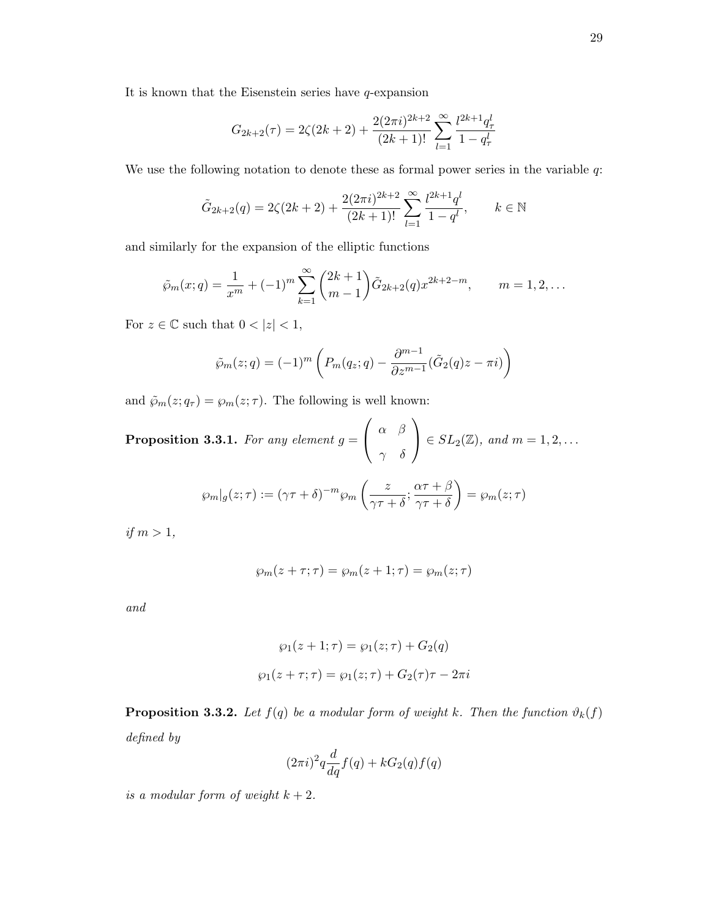It is known that the Eisenstein series have  $q$ -expansion

$$
G_{2k+2}(\tau) = 2\zeta(2k+2) + \frac{2(2\pi i)^{2k+2}}{(2k+1)!} \sum_{l=1}^{\infty} \frac{l^{2k+1}q_{\tau}^l}{1-q_{\tau}^l}
$$

We use the following notation to denote these as formal power series in the variable  $q$ :

$$
\tilde{G}_{2k+2}(q) = 2\zeta(2k+2) + \frac{2(2\pi i)^{2k+2}}{(2k+1)!} \sum_{l=1}^{\infty} \frac{l^{2k+1}q^l}{1-q^l}, \qquad k \in \mathbb{N}
$$

and similarly for the expansion of the elliptic functions

$$
\tilde{\wp}_m(x;q) = \frac{1}{x^m} + (-1)^m \sum_{k=1}^{\infty} {2k+1 \choose m-1} \tilde{G}_{2k+2}(q) x^{2k+2-m}, \qquad m = 1, 2, ...
$$

For  $z\in\mathbb{C}$  such that  $0<|z|<1,$ 

$$
\tilde{\wp}_m(z;q) = (-1)^m \left( P_m(q_z;q) - \frac{\partial^{m-1}}{\partial z^{m-1}} (\tilde{G}_2(q)z - \pi i) \right)
$$

and  $\tilde{\wp}_m(z; q_\tau) = \wp_m(z; \tau)$ . The following is well known:

**Proposition 3.3.1.** For any element  $g =$  $\sqrt{ }$  $\mathcal{L}$  $\alpha$   $\beta$ γ δ  $\setminus$  $\Big\} \in SL_2(\mathbb{Z}), \text{ and } m = 1, 2, \ldots$ 

$$
\wp_m|_g(z;\tau) := (\gamma \tau + \delta)^{-m} \wp_m\left(\frac{z}{\gamma \tau + \delta}; \frac{\alpha \tau + \beta}{\gamma \tau + \delta}\right) = \wp_m(z;\tau)
$$

if  $m > 1$ ,

$$
\wp_m(z+\tau;\tau) = \wp_m(z+1;\tau) = \wp_m(z;\tau)
$$

and

$$
\wp_1(z+1;\tau) = \wp_1(z;\tau) + G_2(q)
$$

$$
\wp_1(z+\tau;\tau) = \wp_1(z;\tau) + G_2(\tau)\tau - 2\pi i
$$

**Proposition 3.3.2.** Let  $f(q)$  be a modular form of weight k. Then the function  $\vartheta_k(f)$ defined by

$$
(2\pi i)^2 q \frac{d}{dq} f(q) + kG_2(q)f(q)
$$

is a modular form of weight  $k + 2$ .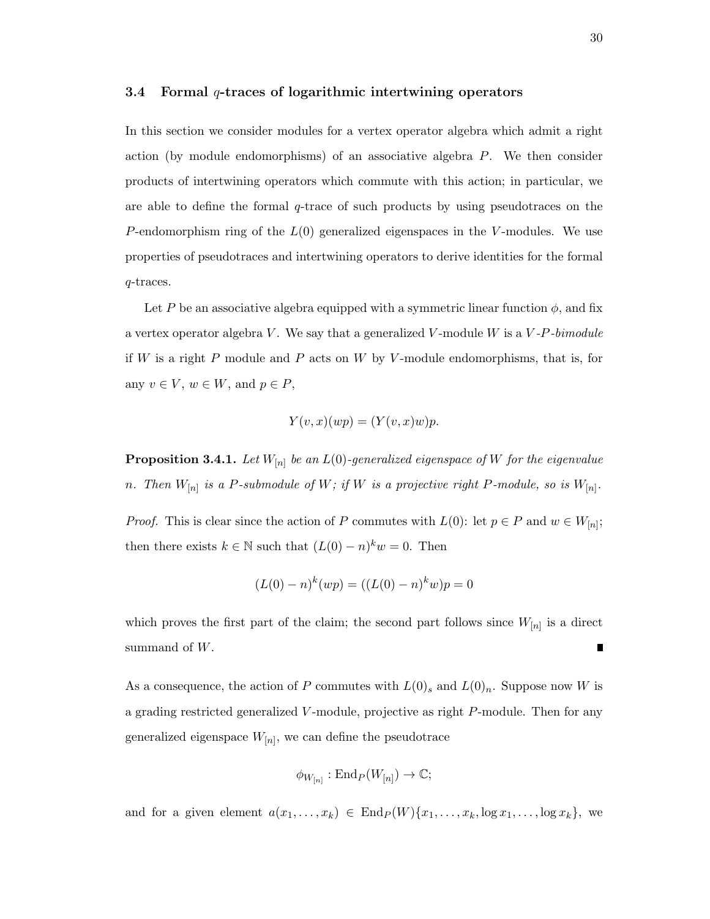#### 3.4 Formal  $q$ -traces of logarithmic intertwining operators

In this section we consider modules for a vertex operator algebra which admit a right action (by module endomorphisms) of an associative algebra P. We then consider products of intertwining operators which commute with this action; in particular, we are able to define the formal  $q$ -trace of such products by using pseudotraces on the P-endomorphism ring of the  $L(0)$  generalized eigenspaces in the V-modules. We use properties of pseudotraces and intertwining operators to derive identities for the formal q-traces.

Let P be an associative algebra equipped with a symmetric linear function  $\phi$ , and fix a vertex operator algebra V. We say that a generalized V-module W is a  $V$ -P-bimodule if W is a right P module and P acts on W by V-module endomorphisms, that is, for any  $v \in V$ ,  $w \in W$ , and  $p \in P$ ,

$$
Y(v, x)(wp) = (Y(v, x)w)p.
$$

**Proposition 3.4.1.** Let  $W_{[n]}$  be an  $L(0)$ -generalized eigenspace of W for the eigenvalue n. Then  $W_{[n]}$  is a P-submodule of W; if W is a projective right P-module, so is  $W_{[n]}$ .

*Proof.* This is clear since the action of P commutes with  $L(0)$ : let  $p \in P$  and  $w \in W_{[n]}$ ; then there exists  $k \in \mathbb{N}$  such that  $(L(0) - n)^k w = 0$ . Then

$$
(L(0) - n)^{k}(wp) = ((L(0) - n)^{k}w)p = 0
$$

which proves the first part of the claim; the second part follows since  $W_{[n]}$  is a direct summand of W. П

As a consequence, the action of P commutes with  $L(0)$ <sub>s</sub> and  $L(0)_n$ . Suppose now W is a grading restricted generalized V -module, projective as right P-module. Then for any generalized eigenspace  $W_{[n]}$ , we can define the pseudotrace

$$
\phi_{W_{[n]}} : \mathrm{End}_P(W_{[n]}) \to \mathbb{C};
$$

and for a given element  $a(x_1, \ldots, x_k) \in \text{End}_P(W) \{x_1, \ldots, x_k, \log x_1, \ldots, \log x_k\},\$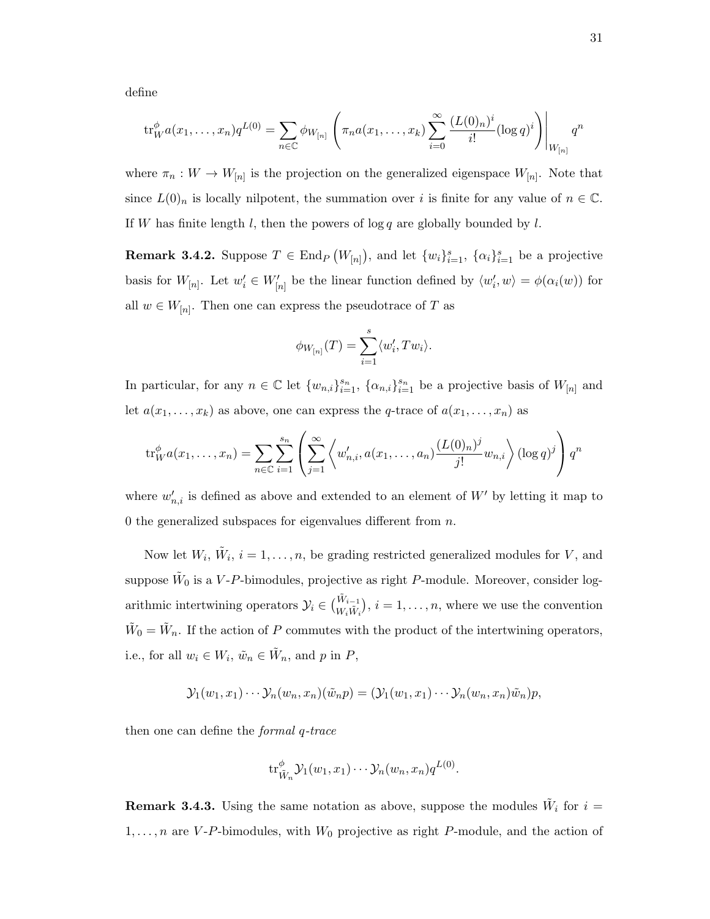define

$$
\text{tr}_{W}^{\phi} a(x_1, \ldots, x_n) q^{L(0)} = \sum_{n \in \mathbb{C}} \phi_{W_{[n]}} \left( \pi_n a(x_1, \ldots, x_k) \sum_{i=0}^{\infty} \frac{(L(0)_n)^i}{i!} (\log q)^i \right) \Big|_{W_{[n]}} q^n
$$

where  $\pi_n: W \to W_{[n]}$  is the projection on the generalized eigenspace  $W_{[n]}$ . Note that since  $L(0)_n$  is locally nilpotent, the summation over i is finite for any value of  $n \in \mathbb{C}$ . If W has finite length  $l$ , then the powers of  $\log q$  are globally bounded by  $l$ .

**Remark 3.4.2.** Suppose  $T \in \text{End}_P(W_{[n]})$ , and let  $\{w_i\}_{i=1}^s$ ,  $\{\alpha_i\}_{i=1}^s$  be a projective basis for  $W_{[n]}$ . Let  $w'_i \in W'_{[n]}$  be the linear function defined by  $\langle w'_i, w \rangle = \phi(\alpha_i(w))$  for all  $w \in W_{[n]}$ . Then one can express the pseudotrace of T as

$$
\phi_{W_{[n]}}(T) = \sum_{i=1}^{s} \langle w'_i, Tw_i \rangle.
$$

In particular, for any  $n \in \mathbb{C}$  let  $\{w_{n,i}\}_{i=1}^{s_n}$ ,  $\{\alpha_{n,i}\}_{i=1}^{s_n}$  be a projective basis of  $W_{[n]}$  and let  $a(x_1, \ldots, x_k)$  as above, one can express the q-trace of  $a(x_1, \ldots, x_n)$  as

$$
\operatorname{tr}_{W}^{\phi} a(x_1, \ldots, x_n) = \sum_{n \in \mathbb{C}} \sum_{i=1}^{s_n} \left( \sum_{j=1}^{\infty} \left\langle w'_{n,i}, a(x_1, \ldots, a_n) \frac{(L(0)_n)^j}{j!} w_{n,i} \right\rangle (\log q)^j \right) q^n
$$

where  $w'_{n,i}$  is defined as above and extended to an element of  $W'$  by letting it map to 0 the generalized subspaces for eigenvalues different from  $n$ .

Now let  $W_i$ ,  $\tilde{W}_i$ ,  $i = 1, \ldots, n$ , be grading restricted generalized modules for V, and suppose  $\tilde{W}_0$  is a V-P-bimodules, projective as right P-module. Moreover, consider logarithmic intertwining operators  $\mathcal{Y}_i \in \binom{\tilde{W}_{i-1}}{W_i \tilde{W}_i}$ ,  $i = 1, \ldots, n$ , where we use the convention  $\tilde{W}_0 = \tilde{W}_n$ . If the action of P commutes with the product of the intertwining operators, i.e., for all  $w_i \in W_i$ ,  $\tilde{w}_n \in \tilde{W}_n$ , and p in P,

$$
\mathcal{Y}_1(w_1,x_1)\cdots\mathcal{Y}_n(w_n,x_n)(\tilde{w}_n p)=(\mathcal{Y}_1(w_1,x_1)\cdots\mathcal{Y}_n(w_n,x_n)\tilde{w}_n)p,
$$

then one can define the formal q-trace

$$
\operatorname{tr}_{\tilde{W}_n}^{\phi} \mathcal{Y}_1(w_1, x_1) \cdots \mathcal{Y}_n(w_n, x_n) q^{L(0)}.
$$

**Remark 3.4.3.** Using the same notation as above, suppose the modules  $\tilde{W}_i$  for  $i =$  $1, \ldots, n$  are V-P-bimodules, with  $W_0$  projective as right P-module, and the action of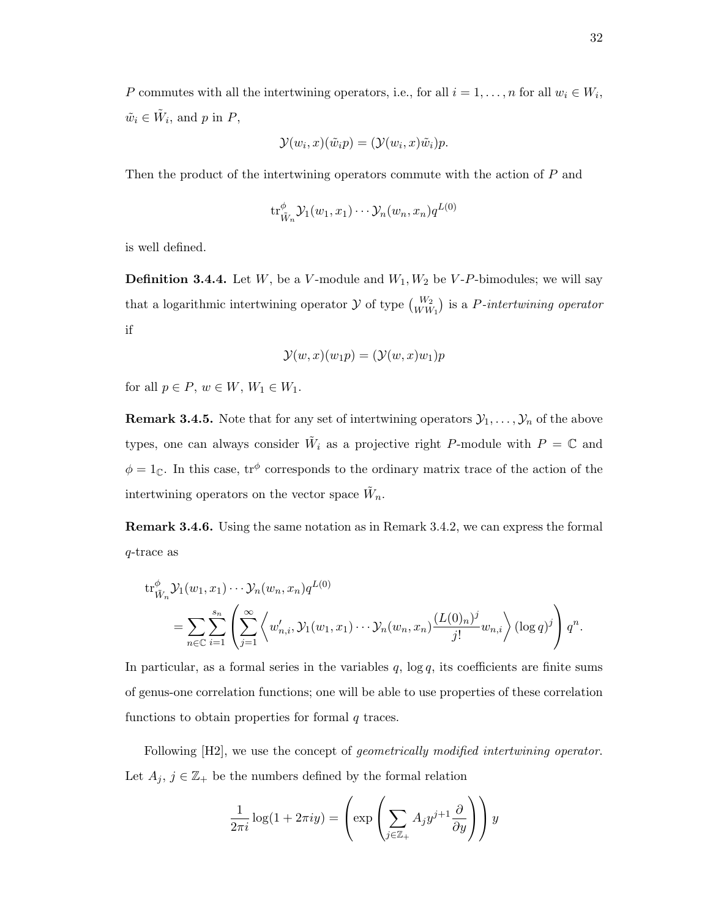P commutes with all the intertwining operators, i.e., for all  $i = 1, \ldots, n$  for all  $w_i \in W_i$ ,  $\tilde{w}_i \in \tilde{W}_i$ , and p in P,

$$
\mathcal{Y}(w_i, x)(\tilde{w}_i p) = (\mathcal{Y}(w_i, x)\tilde{w}_i)p.
$$

Then the product of the intertwining operators commute with the action of P and

$$
\mathrm{tr}^{\phi}_{\tilde{W}_n} \mathcal{Y}_1(w_1, x_1) \cdots \mathcal{Y}_n(w_n, x_n) q^{L(0)}
$$

is well defined.

**Definition 3.4.4.** Let  $W$ , be a  $V$ -module and  $W_1, W_2$  be  $V$ -P-bimodules; we will say that a logarithmic intertwining operator  $\mathcal Y$  of type  ${W_2 \choose WW_1}$  is a P-intertwining operator if

$$
\mathcal{Y}(w,x)(w_1p) = (\mathcal{Y}(w,x)w_1)p
$$

for all  $p \in P$ ,  $w \in W$ ,  $W_1 \in W_1$ .

**Remark 3.4.5.** Note that for any set of intertwining operators  $\mathcal{Y}_1, \ldots, \mathcal{Y}_n$  of the above types, one can always consider  $\tilde{W}_i$  as a projective right P-module with  $P = \mathbb{C}$  and  $\phi = 1_{\mathbb{C}}$ . In this case,  $tr^{\phi}$  corresponds to the ordinary matrix trace of the action of the intertwining operators on the vector space  $\tilde{W}_n$ .

Remark 3.4.6. Using the same notation as in Remark 3.4.2, we can express the formal q-trace as

$$
\mathrm{tr}_{\tilde{W}_n}^{\phi} \mathcal{Y}_1(w_1, x_1) \cdots \mathcal{Y}_n(w_n, x_n) q^{L(0)} \\
= \sum_{n \in \mathbb{C}} \sum_{i=1}^{s_n} \left\langle \sum_{j=1}^{\infty} \left\langle w'_{n,i}, \mathcal{Y}_1(w_1, x_1) \cdots \mathcal{Y}_n(w_n, x_n) \frac{(L(0)_n)^j}{j!} w_{n,i} \right\rangle (\log q)^j \right\rangle q^n.
$$

In particular, as a formal series in the variables  $q$ ,  $\log q$ , its coefficients are finite sums of genus-one correlation functions; one will be able to use properties of these correlation functions to obtain properties for formal  $q$  traces.

Following  $[H2]$ , we use the concept of *geometrically modified intertwining operator*. Let  $A_j$ ,  $j \in \mathbb{Z}_+$  be the numbers defined by the formal relation

$$
\frac{1}{2\pi i} \log(1 + 2\pi i y) = \left( \exp\left(\sum_{j \in \mathbb{Z}_+} A_j y^{j+1} \frac{\partial}{\partial y}\right) \right) y
$$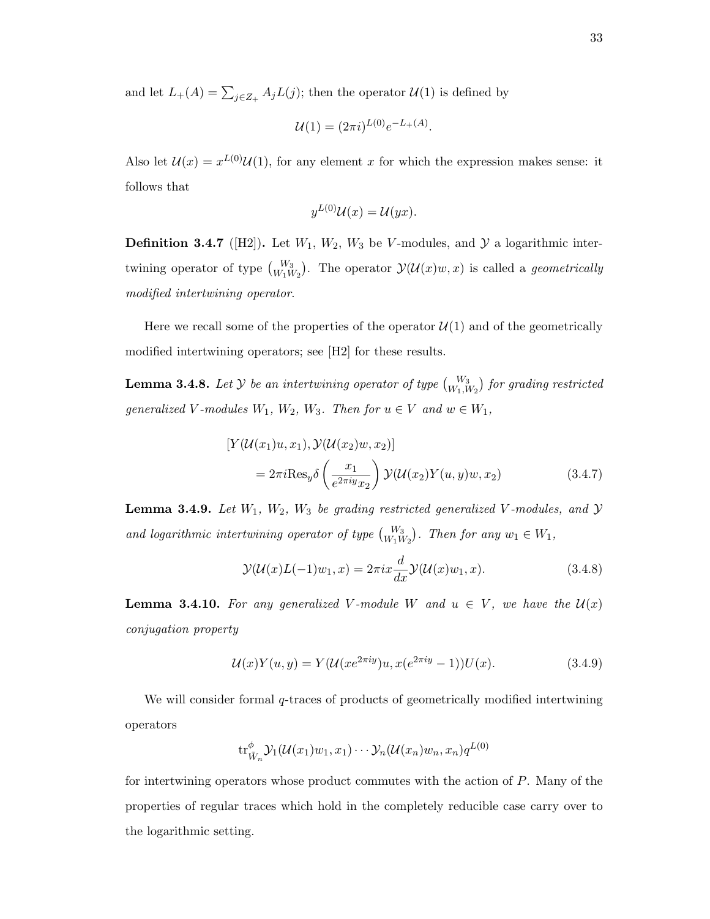and let  $L_+(A) = \sum_{j \in Z_+} A_j L(j)$ ; then the operator  $\mathcal{U}(1)$  is defined by

$$
\mathcal{U}(1) = (2\pi i)^{L(0)} e^{-L_+(A)}.
$$

Also let  $\mathcal{U}(x) = x^{L(0)} \mathcal{U}(1)$ , for any element x for which the expression makes sense: it follows that

$$
y^{L(0)}\mathcal{U}(x) = \mathcal{U}(yx).
$$

**Definition 3.4.7** ([H2]). Let  $W_1$ ,  $W_2$ ,  $W_3$  be V-modules, and  $\mathcal{Y}$  a logarithmic intertwining operator of type  $\binom{W_3}{W_1W_2}$ . The operator  $\mathcal{Y}(\mathcal{U}(x)w, x)$  is called a *geometrically* modified intertwining operator.

Here we recall some of the properties of the operator  $\mathcal{U}(1)$  and of the geometrically modified intertwining operators; see [H2] for these results.

**Lemma 3.4.8.** Let  $Y$  be an intertwining operator of type  $\begin{pmatrix} W_3 \ W_1, W_2 \end{pmatrix}$  for grading restricted generalized V-modules  $W_1$ ,  $W_2$ ,  $W_3$ . Then for  $u \in V$  and  $w \in W_1$ ,

$$
[Y(\mathcal{U}(x_1)u, x_1), \mathcal{Y}(\mathcal{U}(x_2)w, x_2)]
$$
  
=  $2\pi i \text{Res}_y \delta\left(\frac{x_1}{e^{2\pi i y}x_2}\right) \mathcal{Y}(\mathcal{U}(x_2)Y(u, y)w, x_2)$  (3.4.7)

**Lemma 3.4.9.** Let  $W_1$ ,  $W_2$ ,  $W_3$  be grading restricted generalized V-modules, and  $\mathcal{Y}$ and logarithmic intertwining operator of type  $\binom{W_3}{W_1W_2}$ . Then for any  $w_1 \in W_1$ ,

$$
\mathcal{Y}(\mathcal{U}(x)L(-1)w_1, x) = 2\pi i x \frac{d}{dx} \mathcal{Y}(\mathcal{U}(x)w_1, x). \tag{3.4.8}
$$

**Lemma 3.4.10.** For any generalized V-module W and  $u \in V$ , we have the  $\mathcal{U}(x)$ conjugation property

$$
\mathcal{U}(x)Y(u,y) = Y(\mathcal{U}(xe^{2\pi iy})u, x(e^{2\pi iy} - 1))U(x).
$$
 (3.4.9)

We will consider formal q-traces of products of geometrically modified intertwining operators

$$
\mathrm{tr}^{\phi}_{\tilde{W}_n} \mathcal{Y}_1(\mathcal{U}(x_1)w_1, x_1) \cdots \mathcal{Y}_n(\mathcal{U}(x_n)w_n, x_n)q^{L(0)}
$$

for intertwining operators whose product commutes with the action of P. Many of the properties of regular traces which hold in the completely reducible case carry over to the logarithmic setting.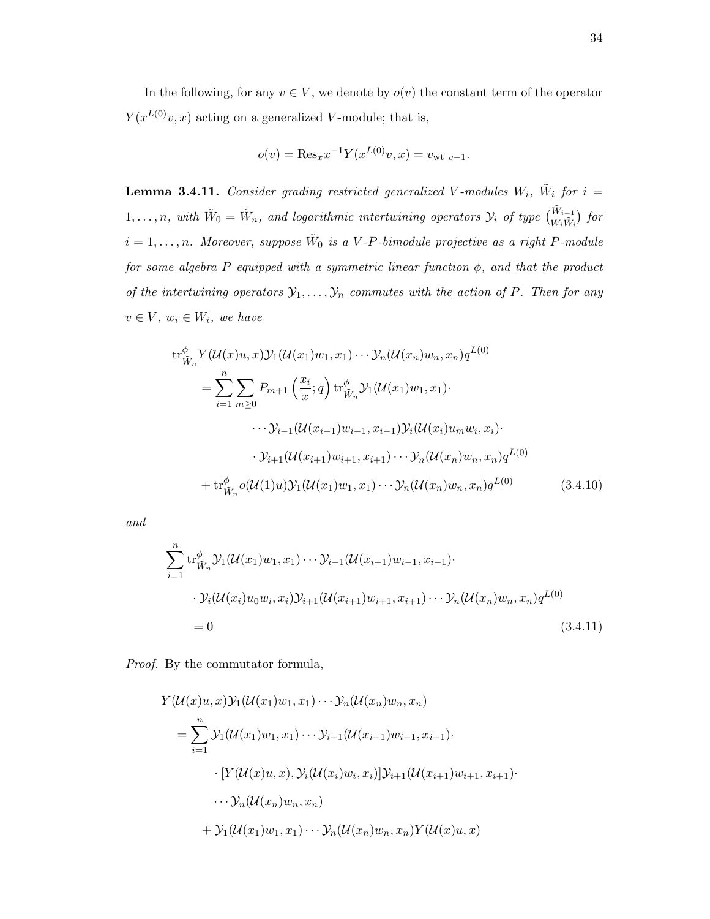In the following, for any  $v \in V$ , we denote by  $o(v)$  the constant term of the operator  $Y(x^{L(0)}v, x)$  acting on a generalized V-module; that is,

$$
o(v) = \text{Res}_x x^{-1} Y(x^{L(0)}v, x) = v_{\text{wt } v-1}.
$$

**Lemma 3.4.11.** Consider grading restricted generalized V-modules  $W_i$ ,  $\tilde{W}_i$  for  $i =$  $1,\ldots,n$ , with  $\tilde{W}_0=\tilde{W}_n$ , and logarithmic intertwining operators  $\mathcal{Y}_i$  of type  $\begin{pmatrix} \tilde{W}_{i-1} \\ W_i \tilde{W}_i \end{pmatrix}$  for  $i = 1, \ldots, n$ . Moreover, suppose  $\tilde{W}_0$  is a V-P-bimodule projective as a right P-module for some algebra P equipped with a symmetric linear function  $\phi$ , and that the product of the intertwining operators  $\mathcal{Y}_1, \ldots, \mathcal{Y}_n$  commutes with the action of P. Then for any  $v \in V$ ,  $w_i \in W_i$ , we have

$$
\operatorname{tr}_{\tilde{W}_n}^{\phi} Y(\mathcal{U}(x)u, x) \mathcal{Y}_1(\mathcal{U}(x_1)w_1, x_1) \cdots \mathcal{Y}_n(\mathcal{U}(x_n)w_n, x_n) q^{L(0)}
$$
\n
$$
= \sum_{i=1}^n \sum_{m \ge 0} P_{m+1} \left( \frac{x_i}{x}; q \right) \operatorname{tr}_{\tilde{W}_n}^{\phi} \mathcal{Y}_1(\mathcal{U}(x_1)w_1, x_1) \cdot \cdots \cdot \mathcal{Y}_{i-1}(\mathcal{U}(x_{i-1})w_{i-1}, x_{i-1}) \mathcal{Y}_i(\mathcal{U}(x_i)u_m w_i, x_i) \cdot \cdots \cdot \mathcal{Y}_{i+1}(\mathcal{U}(x_{i+1})w_{i+1}, x_{i+1}) \cdots \mathcal{Y}_n(\mathcal{U}(x_n)w_n, x_n) q^{L(0)}
$$
\n
$$
+ \operatorname{tr}_{\tilde{W}_n}^{\phi} o(\mathcal{U}(1)u) \mathcal{Y}_1(\mathcal{U}(x_1)w_1, x_1) \cdots \mathcal{Y}_n(\mathcal{U}(x_n)w_n, x_n) q^{L(0)} \qquad (3.4.10)
$$

and

$$
\sum_{i=1}^{n} tr_{\tilde{W}_n}^{\phi} \mathcal{Y}_1(\mathcal{U}(x_1)w_1, x_1) \cdots \mathcal{Y}_{i-1}(\mathcal{U}(x_{i-1})w_{i-1}, x_{i-1}) \cdot
$$
  
\n
$$
\cdot \mathcal{Y}_i(\mathcal{U}(x_i)u_0w_i, x_i) \mathcal{Y}_{i+1}(\mathcal{U}(x_{i+1})w_{i+1}, x_{i+1}) \cdots \mathcal{Y}_n(\mathcal{U}(x_n)w_n, x_n)q^{L(0)}
$$
  
\n
$$
= 0
$$
\n(3.4.11)

Proof. By the commutator formula,

$$
Y(\mathcal{U}(x)u, x)Y_1(\mathcal{U}(x_1)w_1, x_1)\cdots Y_n(\mathcal{U}(x_n)w_n, x_n)
$$
  
= 
$$
\sum_{i=1}^n Y_1(\mathcal{U}(x_1)w_1, x_1)\cdots Y_{i-1}(\mathcal{U}(x_{i-1})w_{i-1}, x_{i-1})\cdot
$$
  

$$
\cdot [Y(\mathcal{U}(x)u, x), Y_i(\mathcal{U}(x_i)w_i, x_i)]Y_{i+1}(\mathcal{U}(x_{i+1})w_{i+1}, x_{i+1})\cdot
$$
  

$$
\cdots Y_n(\mathcal{U}(x_n)w_n, x_n)
$$
  
+ 
$$
Y_1(\mathcal{U}(x_1)w_1, x_1)\cdots Y_n(\mathcal{U}(x_n)w_n, x_n)Y(\mathcal{U}(x)u, x)
$$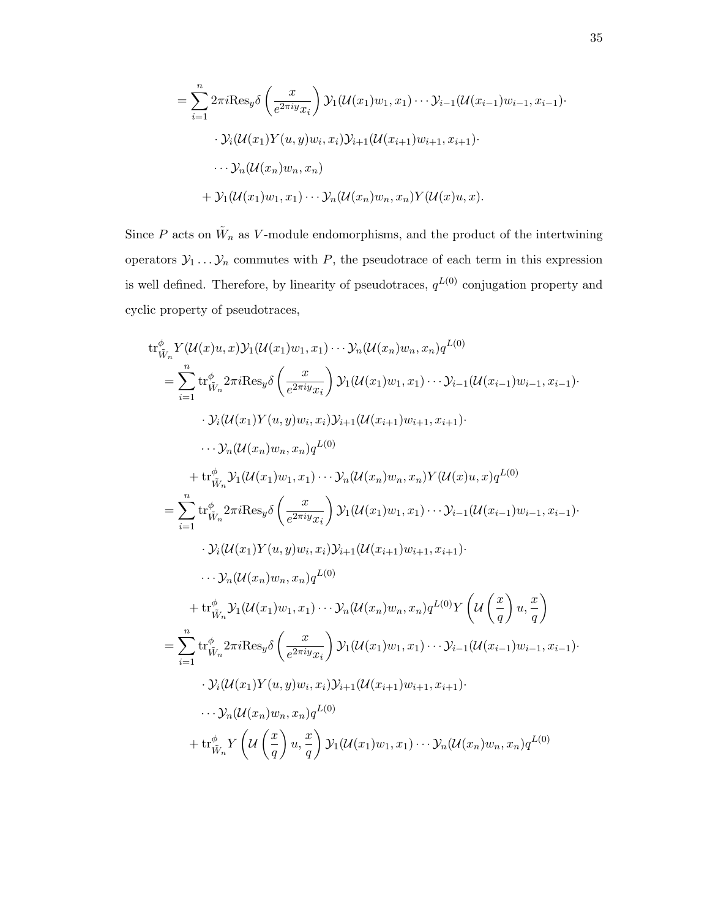$$
= \sum_{i=1}^{n} 2\pi i \text{Res}_{y} \delta\left(\frac{x}{e^{2\pi i y}x_{i}}\right) \mathcal{Y}_{1}(\mathcal{U}(x_{1})w_{1}, x_{1}) \cdots \mathcal{Y}_{i-1}(\mathcal{U}(x_{i-1})w_{i-1}, x_{i-1}) \cdots
$$

$$
\cdot \mathcal{Y}_{i}(\mathcal{U}(x_{1})Y(u, y)w_{i}, x_{i})\mathcal{Y}_{i+1}(\mathcal{U}(x_{i+1})w_{i+1}, x_{i+1}) \cdots
$$

$$
\cdots \mathcal{Y}_{n}(\mathcal{U}(x_{n})w_{n}, x_{n})
$$

$$
+ \mathcal{Y}_{1}(\mathcal{U}(x_{1})w_{1}, x_{1}) \cdots \mathcal{Y}_{n}(\mathcal{U}(x_{n})w_{n}, x_{n})Y(\mathcal{U}(x)u, x).
$$

Since P acts on  $\tilde{W}_n$  as V-module endomorphisms, and the product of the intertwining operators  $\mathcal{Y}_1 \dots \mathcal{Y}_n$  commutes with P, the pseudotrace of each term in this expression is well defined. Therefore, by linearity of pseudotraces,  $q^{L(0)}$  conjugation property and cyclic property of pseudotraces,

$$
tr^{\phi}_{\tilde{W}_{n}} Y(\mathcal{U}(x)u, x)Y_{1}(\mathcal{U}(x_{1})w_{1}, x_{1}) \cdots Y_{n}(\mathcal{U}(x_{n})w_{n}, x_{n})q^{L(0)}
$$
\n
$$
= \sum_{i=1}^{n} tr^{\phi}_{\tilde{W}_{n}} 2\pi i \text{Res}_{y} \delta \left(\frac{x}{e^{2\pi i y}x_{i}}\right) Y_{1}(\mathcal{U}(x_{1})w_{1}, x_{1}) \cdots Y_{i-1}(\mathcal{U}(x_{i-1})w_{i-1}, x_{i-1})
$$
\n
$$
\cdot Y_{i}(\mathcal{U}(x_{1})Y(u, y)w_{i}, x_{i})Y_{i+1}(\mathcal{U}(x_{i+1})w_{i+1}, x_{i+1})
$$
\n
$$
\cdots Y_{n}(\mathcal{U}(x_{n})w_{n}, x_{n})q^{L(0)}
$$
\n
$$
+ tr^{\phi}_{\tilde{W}_{n}} Y_{1}(\mathcal{U}(x_{1})w_{1}, x_{1}) \cdots Y_{n}(\mathcal{U}(x_{n})w_{n}, x_{n})Y(\mathcal{U}(x)u, x)q^{L(0)}
$$
\n
$$
= \sum_{i=1}^{n} tr^{\phi}_{\tilde{W}_{n}} 2\pi i \text{Res}_{y} \delta \left(\frac{x}{e^{2\pi i y}x_{i}}\right) Y_{1}(\mathcal{U}(x_{1})w_{1}, x_{1}) \cdots Y_{i-1}(\mathcal{U}(x_{i-1})w_{i-1}, x_{i-1})
$$
\n
$$
\cdot Y_{i}(\mathcal{U}(x_{1})Y(u, y)w_{i}, x_{i})Y_{i+1}(\mathcal{U}(x_{i+1})w_{i+1}, x_{i+1})
$$
\n
$$
\cdots Y_{n}(\mathcal{U}(x_{n})w_{n}, x_{n})q^{L(0)}
$$
\n
$$
+ tr^{\phi}_{\tilde{W}_{n}} Y_{1}(\mathcal{U}(x_{1})w_{1}, x_{1}) \cdots Y_{n}(\mathcal{U}(x_{n})w_{n}, x_{n})q^{L(0)}Y \left(\mathcal{U}\left(\frac{x}{q}\right)u, \frac{x}{q}\right)
$$
\n
$$
= \sum_{i=1}^{n} tr^{\phi}_{
$$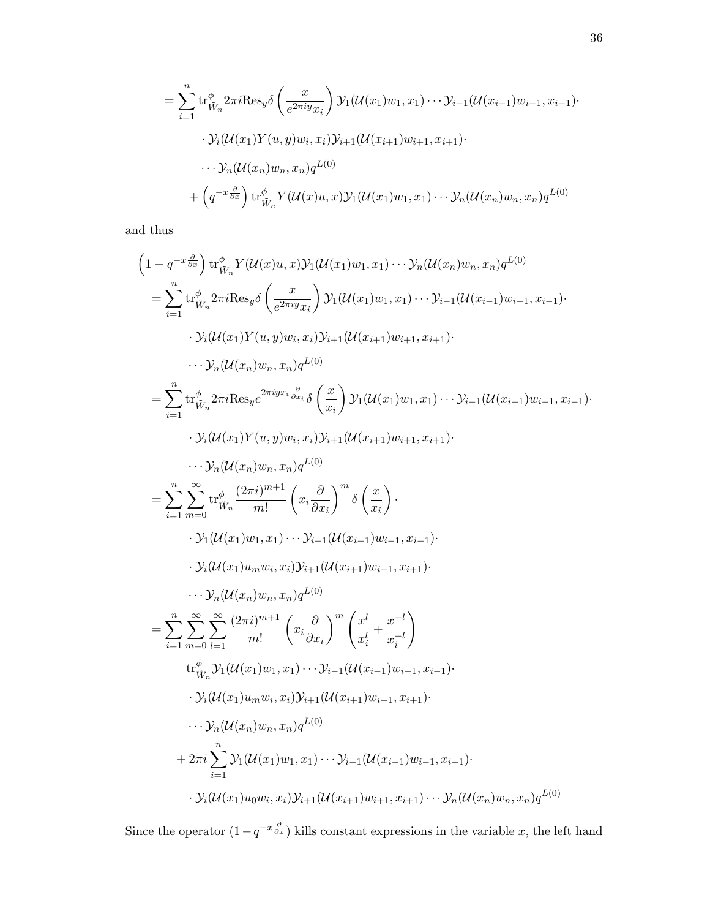$$
= \sum_{i=1}^{n} \operatorname{tr}_{\tilde{W}_n}^{\phi} 2\pi i \operatorname{Res}_{y} \delta\left(\frac{x}{e^{2\pi i y} x_i}\right) \mathcal{Y}_1(\mathcal{U}(x_1) w_1, x_1) \cdots \mathcal{Y}_{i-1}(\mathcal{U}(x_{i-1}) w_{i-1}, x_{i-1}) \cdot \mathcal{Y}_i(\mathcal{U}(x_1) Y(u, y) w_i, x_i) \mathcal{Y}_{i+1}(\mathcal{U}(x_{i+1}) w_{i+1}, x_{i+1}) \cdot \cdots \mathcal{Y}_n(\mathcal{U}(x_n) w_n, x_n) q^{L(0)} + \left(q^{-x \frac{\partial}{\partial x}}\right) \operatorname{tr}_{\tilde{W}_n}^{\phi} Y(\mathcal{U}(x) u, x) \mathcal{Y}_1(\mathcal{U}(x_1) w_1, x_1) \cdots \mathcal{Y}_n(\mathcal{U}(x_n) w_n, x_n) q^{L(0)}
$$

and thus

$$
(1 - q^{-x} \frac{\partial}{\partial x}) tr^{\phi}_{\hat{W}_n} Y(U(x)u, x) Y_1(U(x_1)w_1, x_1) \cdots Y_n (U(x_n)w_n, x_n) q^{L(0)}
$$
\n
$$
= \sum_{i=1}^{n} tr^{\phi}_{\hat{W}_n} 2\pi i \text{Res}_y \delta \left(\frac{x}{e^{2\pi i y} x_i}\right) Y_1(U(x_1)w_1, x_1) \cdots Y_{i-1}(U(x_{i-1})w_{i-1}, x_{i-1})
$$
\n
$$
\cdots Y_i(U(x_1) Y(u, y) w_i, x_i) Y_{i+1}(U(x_{i+1})w_{i+1}, x_{i+1})
$$
\n
$$
\cdots Y_n (U(x_n) w_n, x_n) q^{L(0)}
$$
\n
$$
= \sum_{i=1}^{n} tr^{\phi}_{\hat{W}_n} 2\pi i \text{Res}_y e^{2\pi i y x_i \frac{\partial}{\partial x_i}} \delta \left(\frac{x}{x_i}\right) Y_1(U(x_1)w_1, x_1) \cdots Y_{i-1}(U(x_{i-1})w_{i-1}, x_{i-1})
$$
\n
$$
\cdots Y_i(U(x_1) Y(u, y) w_i, x_i) Y_{i+1}(U(x_{i+1})w_{i+1}, x_{i+1})
$$
\n
$$
\cdots Y_n (U(x_1) w_n, x_n) q^{L(0)}
$$
\n
$$
= \sum_{i=1}^{n} \sum_{m=0}^{\infty} tr^{\phi}_{\hat{W}_n} \frac{(2\pi i)^{m+1}}{m!} \left(x_i \frac{\partial}{\partial x_i}\right)^m \delta \left(\frac{x}{x_i}\right)
$$
\n
$$
\cdots Y_1 (U(x_1) w_1, x_1) \cdots Y_{i-1} (U(x_{i-1})w_{i-1}, x_{i-1})
$$
\n
$$
\cdots Y_n (U(x_1) w_n, x_n) q^{L(0)}
$$
\n
$$
= \sum_{i=1}^{n} \sum_{m=0}^{\infty} \sum_{l=1}^{\infty} \frac{(2\pi i)^{m+1}}{m!} \left(x_i \frac{\partial}{\partial x_i}\right)^m \left(\frac{x^l}{x_i} + \frac{x^{-l}}{x_i}\right)
$$
\n<

Since the operator  $(1-q^{-x}\frac{\partial}{\partial x})$  kills constant expressions in the variable x, the left hand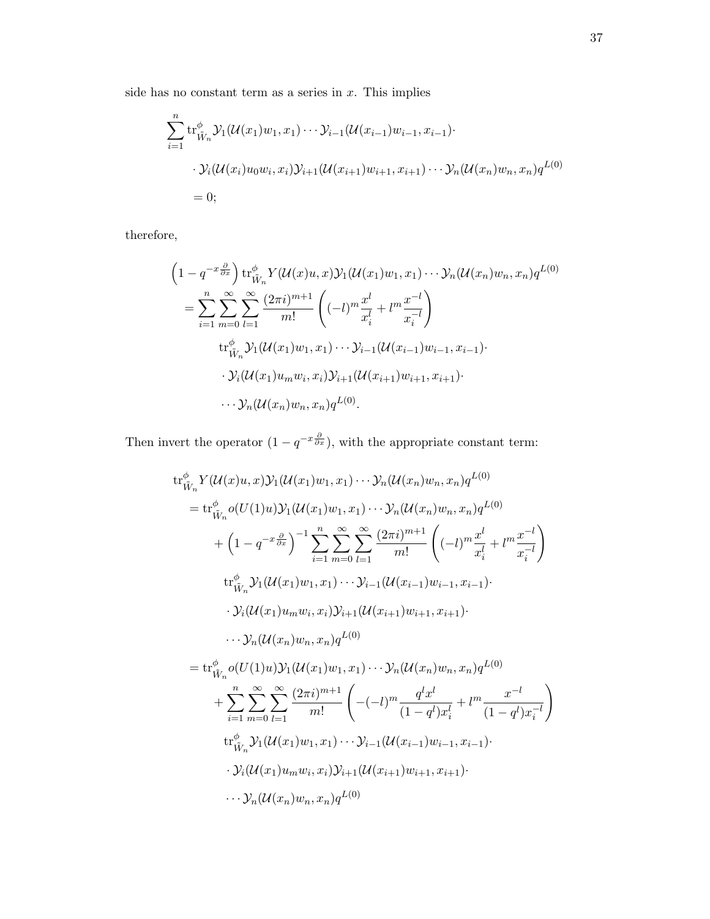side has no constant term as a series in  $x$ . This implies

$$
\sum_{i=1}^{n} tr_{\tilde{W}_n}^{\phi} \mathcal{Y}_1(\mathcal{U}(x_1)w_1, x_1) \cdots \mathcal{Y}_{i-1}(\mathcal{U}(x_{i-1})w_{i-1}, x_{i-1}) \cdot
$$
  

$$
\cdot \mathcal{Y}_i(\mathcal{U}(x_i)u_0w_i, x_i) \mathcal{Y}_{i+1}(\mathcal{U}(x_{i+1})w_{i+1}, x_{i+1}) \cdots \mathcal{Y}_n(\mathcal{U}(x_n)w_n, x_n)q^{L(0)}
$$
  
= 0;

therefore,

$$
\begin{split}\n&\left(1-q^{-x\frac{\partial}{\partial x}}\right) \text{tr}_{\tilde{W}_n}^{\phi} Y(\mathcal{U}(x)u, x) \mathcal{Y}_1(\mathcal{U}(x_1)w_1, x_1) \cdots \mathcal{Y}_n(\mathcal{U}(x_n)w_n, x_n) q^{L(0)} \\
&= \sum_{i=1}^n \sum_{m=0}^\infty \sum_{l=1}^\infty \frac{(2\pi i)^{m+1}}{m!} \left((-l)^m \frac{x^l}{x_i^l} + l^m \frac{x^{-l}}{x_i^{-l}}\right) \\
&\text{tr}_{\tilde{W}_n}^{\phi} \mathcal{Y}_1(\mathcal{U}(x_1)w_1, x_1) \cdots \mathcal{Y}_{i-1}(\mathcal{U}(x_{i-1})w_{i-1}, x_{i-1}) \cdots \\
&\cdot \mathcal{Y}_i(\mathcal{U}(x_1)u_mw_i, x_i) \mathcal{Y}_{i+1}(\mathcal{U}(x_{i+1})w_{i+1}, x_{i+1}) \cdots \\
&\cdots \mathcal{Y}_n(\mathcal{U}(x_n)w_n, x_n) q^{L(0)}.\n\end{split}
$$

Then invert the operator  $(1 - q^{-x} \frac{\partial}{\partial x})$ , with the appropriate constant term:

$$
tr^{\phi}_{\tilde{W}_{n}} Y(\mathcal{U}(x)u, x) \mathcal{Y}_{1}(\mathcal{U}(x_{1})w_{1}, x_{1}) \cdots \mathcal{Y}_{n}(\mathcal{U}(x_{n})w_{n}, x_{n}) q^{L(0)}
$$
\n
$$
= tr^{\phi}_{\tilde{W}_{n}} o(U(1)u) \mathcal{Y}_{1}(\mathcal{U}(x_{1})w_{1}, x_{1}) \cdots \mathcal{Y}_{n}(\mathcal{U}(x_{n})w_{n}, x_{n}) q^{L(0)}
$$
\n
$$
+ \left(1 - q^{-x \frac{\partial}{\partial x}}\right)^{-1} \sum_{i=1}^{n} \sum_{m=0}^{\infty} \sum_{l=1}^{\infty} \frac{(2\pi i)^{m+1}}{m!} \left( (-l)^{m} \frac{x^{l}}{x_{i}^{l}} + l^{m} \frac{x^{-l}}{x_{i}^{-l}} \right)
$$
\n
$$
tr^{\phi}_{\tilde{W}_{n}} \mathcal{Y}_{1}(\mathcal{U}(x_{1})w_{1}, x_{1}) \cdots \mathcal{Y}_{i-1}(\mathcal{U}(x_{i-1})w_{i-1}, x_{i-1}) \cdots
$$
\n
$$
\cdot \mathcal{Y}_{i}(\mathcal{U}(x_{1})w_{m}w_{i}, x_{i}) \mathcal{Y}_{i+1}(\mathcal{U}(x_{i+1})w_{i+1}, x_{i+1}) \cdots
$$
\n
$$
\cdots \mathcal{Y}_{n}(\mathcal{U}(x_{n})w_{n}, x_{n}) q^{L(0)}
$$
\n
$$
= tr^{\phi}_{\tilde{W}_{n}} o(U(1)u) \mathcal{Y}_{1}(\mathcal{U}(x_{1})w_{1}, x_{1}) \cdots \mathcal{Y}_{n}(\mathcal{U}(x_{n})w_{n}, x_{n}) q^{L(0)}
$$
\n
$$
+ \sum_{i=1}^{n} \sum_{m=0}^{\infty} \sum_{l=1}^{\infty} \frac{(2\pi i)^{m+1}}{m!} \left( -(-l)^{m} \frac{q^{l}x^{l}}{(1-q^{l})x_{i}^{l}} + l^{m} \frac{x^{-l}}{(1-q^{l})x_{i}^{-l}} \right)
$$
\n
$$
tr^{\phi}_{\tilde{W}_{n}} \mathcal{Y}_{1
$$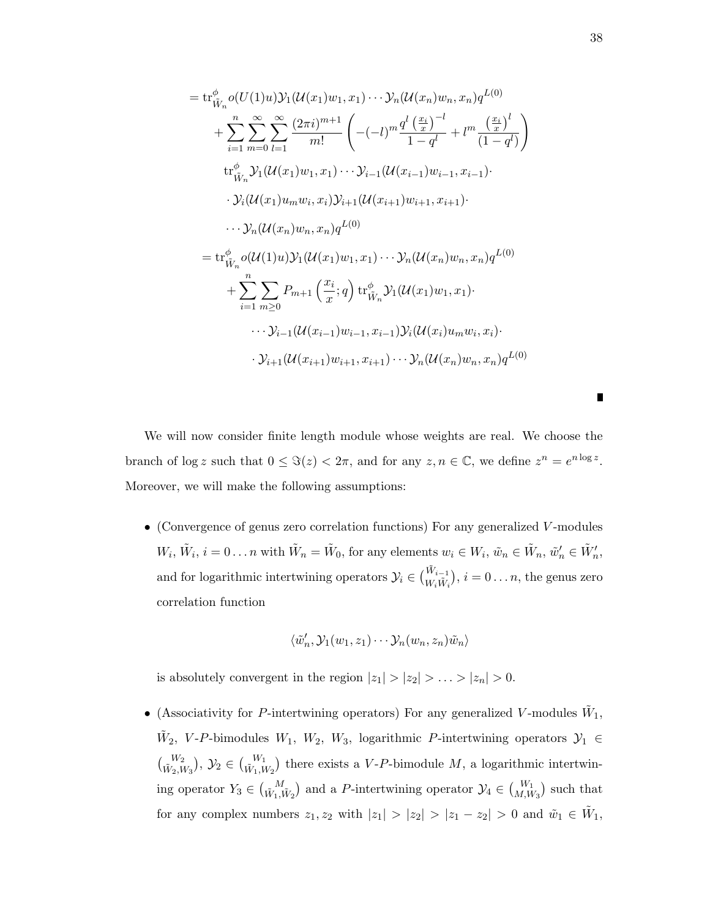$$
= \operatorname{tr}_{\tilde{W}_{n}}^{\phi} o(U(1)u) \mathcal{Y}_{1}(\mathcal{U}(x_{1})w_{1}, x_{1}) \cdots \mathcal{Y}_{n}(\mathcal{U}(x_{n})w_{n}, x_{n}) q^{L(0)}
$$
  
+ 
$$
\sum_{i=1}^{n} \sum_{m=0}^{\infty} \sum_{l=1}^{\infty} \frac{(2\pi i)^{m+1}}{m!} \left( -(-l)^{m} \frac{q^{l} \left( \frac{x_{i}}{x} \right)^{-l}}{1 - q^{l}} + l^{m} \frac{\left( \frac{x_{i}}{x} \right)^{l}}{(1 - q^{l})} \right)
$$
  
tr
$$
\operatorname{tr}_{\tilde{W}_{n}}^{\phi} \mathcal{Y}_{1}(\mathcal{U}(x_{1})w_{1}, x_{1}) \cdots \mathcal{Y}_{i-1}(\mathcal{U}(x_{i-1})w_{i-1}, x_{i-1}) \cdots
$$
  

$$
\cdot \mathcal{Y}_{i}(\mathcal{U}(x_{1})u_{m}w_{i}, x_{i}) \mathcal{Y}_{i+1}(\mathcal{U}(x_{i+1})w_{i+1}, x_{i+1}) \cdots
$$
  

$$
\cdots \mathcal{Y}_{n}(\mathcal{U}(x_{n})w_{n}, x_{n}) q^{L(0)}
$$
  

$$
= \operatorname{tr}_{\tilde{W}_{n}}^{\phi} o(\mathcal{U}(1)u) \mathcal{Y}_{1}(\mathcal{U}(x_{1})w_{1}, x_{1}) \cdots \mathcal{Y}_{n}(\mathcal{U}(x_{n})w_{n}, x_{n}) q^{L(0)}
$$
  
+ 
$$
\sum_{i=1}^{n} \sum_{m \geq 0} P_{m+1} \left( \frac{x_{i}}{x}; q \right) \operatorname{tr}_{\tilde{W}_{n}}^{\phi} \mathcal{Y}_{1}(\mathcal{U}(x_{1})w_{1}, x_{1}) \cdots
$$
  

$$
\cdots \mathcal{Y}_{i-1}(\mathcal{U}(x_{i-1})w_{i-1}, x_{i-1}) \mathcal{Y}_{i}(\mathcal{U}(x_{i})u_{m}w_{i}, x_{i}) \cdots
$$
  

$$
\mathcal{Y}_{i+1}(\mathcal{U}(x_{i+1})w_{i+1}, x_{i+
$$

We will now consider finite length module whose weights are real. We choose the branch of  $\log z$  such that  $0 \leq \Im(z) < 2\pi$ , and for any  $z, n \in \mathbb{C}$ , we define  $z^n = e^{n \log z}$ . Moreover, we will make the following assumptions:

• (Convergence of genus zero correlation functions) For any generalized V-modules  $W_i, \tilde{W}_i, i = 0 \dots n$  with  $\tilde{W}_n = \tilde{W}_0$ , for any elements  $w_i \in W_i, \tilde{w}_n \in \tilde{W}_n$ ,  $\tilde{w}'_n \in \tilde{W}'_n$ , and for logarithmic intertwining operators  $\mathcal{Y}_i \in \binom{\tilde{W}_{i-1}}{W_i \tilde{W}_i}$ ,  $i = 0...n$ , the genus zero correlation function

$$
\langle \tilde{w}'_n, \mathcal{Y}_1(w_1, z_1) \cdots \mathcal{Y}_n(w_n, z_n) \tilde{w}_n \rangle
$$

is absolutely convergent in the region  $|z_1| > |z_2| > \ldots > |z_n| > 0$ .

• (Associativity for P-intertwining operators) For any generalized V-modules  $\tilde{W}_1$ ,  $\tilde{W}_2$ , V-P-bimodules  $W_1$ ,  $W_2$ ,  $W_3$ , logarithmic P-intertwining operators  $\mathcal{Y}_1 \in$  $\binom{W_2}{\tilde{W}_2,W_3}$ ,  $\mathcal{Y}_2 \in \binom{W_1}{\tilde{W}_1,W_2}$  there exists a V-P-bimodule M, a logarithmic intertwining operator  $Y_3 \in {\binom{M}{W_1, W_2}}$  and a P-intertwining operator  $\mathcal{Y}_4 \in {\binom{W_1}{M, W_3}}$  such that for any complex numbers  $z_1, z_2$  with  $|z_1| > |z_2| > |z_1 - z_2| > 0$  and  $\tilde{w}_1 \in \tilde{W}_1$ ,

П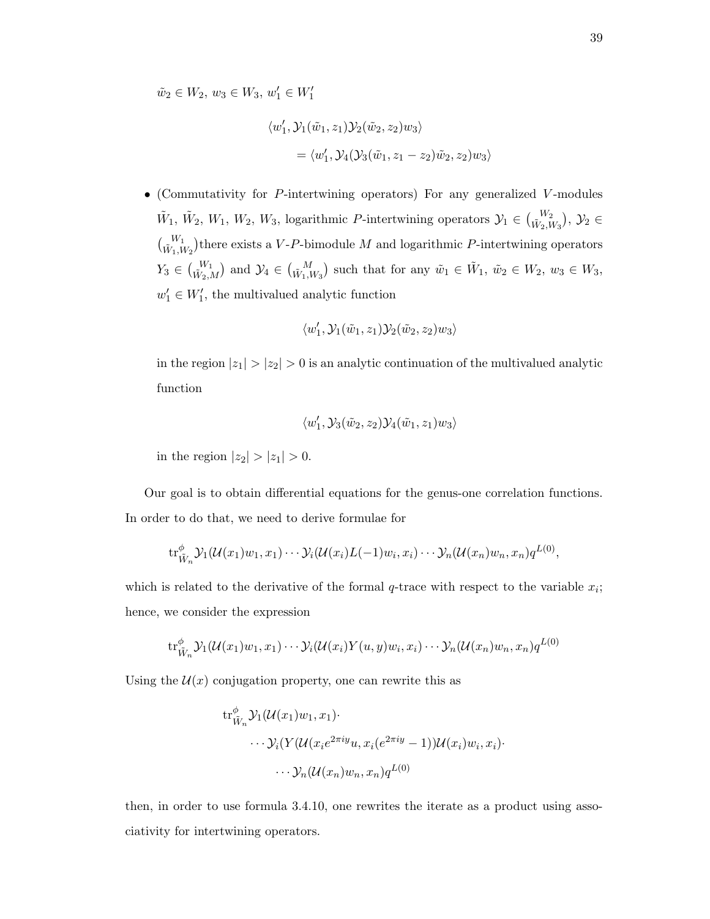$\tilde{w}_2 \in W_2, w_3 \in W_3, w'_1 \in W'_1$ 

$$
\langle w'_1, \mathcal{Y}_1(\tilde{w}_1, z_1) \mathcal{Y}_2(\tilde{w}_2, z_2) w_3 \rangle
$$
  
= 
$$
\langle w'_1, \mathcal{Y}_4(\mathcal{Y}_3(\tilde{w}_1, z_1 - z_2) \tilde{w}_2, z_2) w_3 \rangle
$$

• (Commutativity for P-intertwining operators) For any generalized V -modules  $\tilde{W}_1, \tilde{W}_2, W_1, W_2, W_3$ , logarithmic P-intertwining operators  $\mathcal{Y}_1 \in \binom{W_2}{\tilde{W}_2, W_3}$ ,  $\mathcal{Y}_2 \in$  $\binom{W_1}{\tilde{W}_1,W_2}$  there exists a V-P-bimodule M and logarithmic P-intertwining operators  $Y_3 \in \binom{W_1}{\tilde{W}_2,M}$  and  $\mathcal{Y}_4 \in \binom{M}{\tilde{W}_1,W_3}$  such that for any  $\tilde{w}_1 \in \tilde{W}_1$ ,  $\tilde{w}_2 \in W_2$ ,  $w_3 \in W_3$ ,  $w'_1 \in W'_1$ , the multivalued analytic function

$$
\langle w_1', \mathcal{Y}_1(\tilde{w}_1, z_1) \mathcal{Y}_2(\tilde{w}_2, z_2) w_3 \rangle
$$

in the region  $|z_1| > |z_2| > 0$  is an analytic continuation of the multivalued analytic function

$$
\langle w_1',\mathcal{Y}_3(\tilde{w}_2,z_2)\mathcal{Y}_4(\tilde{w}_1,z_1)w_3\rangle
$$

in the region  $|z_2| > |z_1| > 0$ .

Our goal is to obtain differential equations for the genus-one correlation functions. In order to do that, we need to derive formulae for

$$
\operatorname{tr}_{\tilde{W}_n}^{\phi} \mathcal{Y}_1(\mathcal{U}(x_1)w_1, x_1) \cdots \mathcal{Y}_i(\mathcal{U}(x_i)L(-1)w_i, x_i) \cdots \mathcal{Y}_n(\mathcal{U}(x_n)w_n, x_n)q^{L(0)},
$$

which is related to the derivative of the formal  $q$ -trace with respect to the variable  $x_i$ ; hence, we consider the expression

$$
\operatorname{tr}^{\phi}_{\tilde{W}_n} \mathcal{Y}_1(\mathcal{U}(x_1)w_1, x_1) \cdots \mathcal{Y}_i(\mathcal{U}(x_i)Y(u, y)w_i, x_i) \cdots \mathcal{Y}_n(\mathcal{U}(x_n)w_n, x_n)q^{L(0)}
$$

Using the  $\mathcal{U}(x)$  conjugation property, one can rewrite this as

$$
\mathrm{tr}^{\phi}_{\tilde{W}_n} \mathcal{Y}_1(\mathcal{U}(x_1)w_1, x_1) \cdot \cdots \mathcal{Y}_i(Y(\mathcal{U}(x_i e^{2\pi iy}u, x_i(e^{2\pi iy} - 1))\mathcal{U}(x_i)w_i, x_i) \cdot \cdots \mathcal{Y}_n(\mathcal{U}(x_n)w_n, x_n)q^{L(0)}
$$

then, in order to use formula 3.4.10, one rewrites the iterate as a product using associativity for intertwining operators.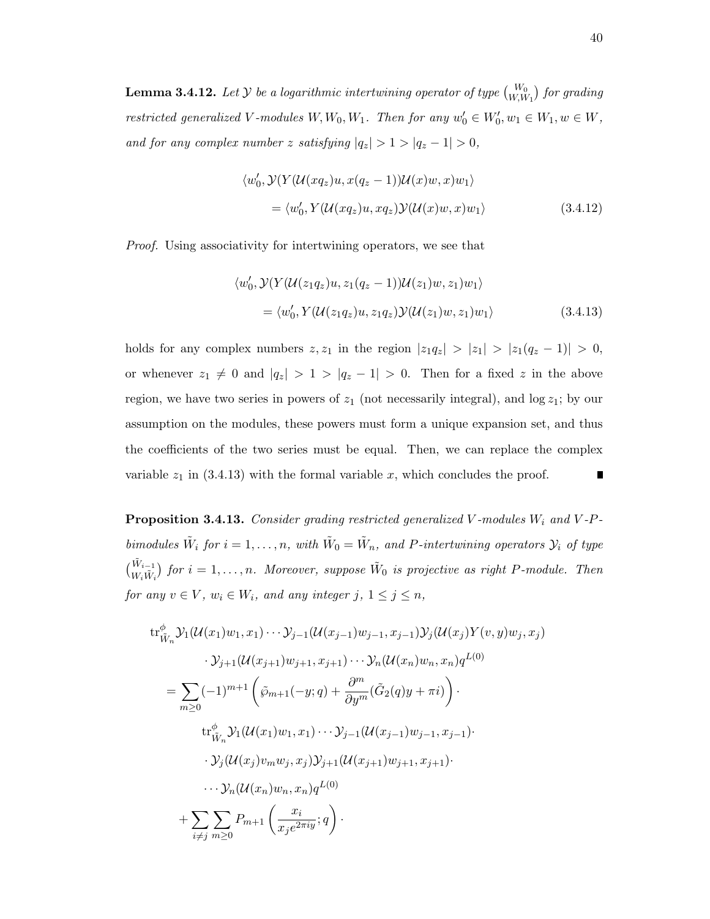**Lemma 3.4.12.** Let  $\mathcal Y$  be a logarithmic intertwining operator of type  $\binom{W_0}{W,W_1}$  for grading restricted generalized V-modules  $W, W_0, W_1$ . Then for any  $w'_0 \in W'_0, w_1 \in W_1, w \in W$ , and for any complex number z satisfying  $|q_z| > 1 > |q_z - 1| > 0$ ,

$$
\langle w'_0, \mathcal{Y}(Y(\mathcal{U}(xq_z)u, x(q_z - 1))\mathcal{U}(x)w, x)w_1 \rangle
$$
  
= 
$$
\langle w'_0, Y(\mathcal{U}(xq_z)u, xq_z)\mathcal{Y}(\mathcal{U}(x)w, x)w_1 \rangle
$$
 (3.4.12)

Proof. Using associativity for intertwining operators, we see that

$$
\langle w'_0, \mathcal{Y}(Y(\mathcal{U}(z_1 q_z)u, z_1 (q_z - 1))\mathcal{U}(z_1)w, z_1)w_1 \rangle
$$
  
= 
$$
\langle w'_0, Y(\mathcal{U}(z_1 q_z)u, z_1 q_z) \mathcal{Y}(\mathcal{U}(z_1)w, z_1)w_1 \rangle
$$
 (3.4.13)

holds for any complex numbers  $z, z_1$  in the region  $|z_1q_2| > |z_1| > |z_1(q_2 - 1)| > 0$ , or whenever  $z_1 \neq 0$  and  $|q_z| > 1 > |q_z - 1| > 0$ . Then for a fixed z in the above region, we have two series in powers of  $z_1$  (not necessarily integral), and  $\log z_1$ ; by our assumption on the modules, these powers must form a unique expansion set, and thus the coefficients of the two series must be equal. Then, we can replace the complex variable  $z_1$  in (3.4.13) with the formal variable x, which concludes the proof. П

**Proposition 3.4.13.** Consider grading restricted generalized V-modules  $W_i$  and V-Pbimodules  $\tilde{W}_i$  for  $i = 1, ..., n$ , with  $\tilde{W}_0 = \tilde{W}_n$ , and P-intertwining operators  $\mathcal{Y}_i$  of type  $\begin{pmatrix} \tilde{W}_{i-1} \\ W_i \tilde{W}_i \end{pmatrix}$  for  $i = 1, \ldots, n$ . Moreover, suppose  $\tilde{W}_0$  is projective as right P-module. Then for any  $v \in V$ ,  $w_i \in W_i$ , and any integer j,  $1 \le j \le n$ ,

$$
tr^{\phi}_{\tilde{W}_n} \mathcal{Y}_1(\mathcal{U}(x_1)w_1, x_1) \cdots \mathcal{Y}_{j-1}(\mathcal{U}(x_{j-1})w_{j-1}, x_{j-1}) \mathcal{Y}_j(\mathcal{U}(x_j)Y(v, y)w_j, x_j)
$$
  
\n
$$
\cdot \mathcal{Y}_{j+1}(\mathcal{U}(x_{j+1})w_{j+1}, x_{j+1}) \cdots \mathcal{Y}_n(\mathcal{U}(x_n)w_n, x_n)q^{L(0)}
$$
  
\n
$$
= \sum_{m\geq 0} (-1)^{m+1} \left( \tilde{\varphi}_{m+1}(-y; q) + \frac{\partial^m}{\partial y^m} (\tilde{G}_2(q)y + \pi i) \right) \cdot
$$
  
\n
$$
tr^{\phi}_{\tilde{W}_n} \mathcal{Y}_1(\mathcal{U}(x_1)w_1, x_1) \cdots \mathcal{Y}_{j-1}(\mathcal{U}(x_{j-1})w_{j-1}, x_{j-1}) \cdot
$$
  
\n
$$
\cdot \mathcal{Y}_j(\mathcal{U}(x_j)v_mw_j, x_j) \mathcal{Y}_{j+1}(\mathcal{U}(x_{j+1})w_{j+1}, x_{j+1}) \cdot
$$
  
\n
$$
\cdots \mathcal{Y}_n(\mathcal{U}(x_n)w_n, x_n)q^{L(0)}
$$
  
\n
$$
+ \sum_{i \neq j} \sum_{m\geq 0} P_{m+1} \left( \frac{x_i}{x_j e^{2\pi i y}}; q \right).
$$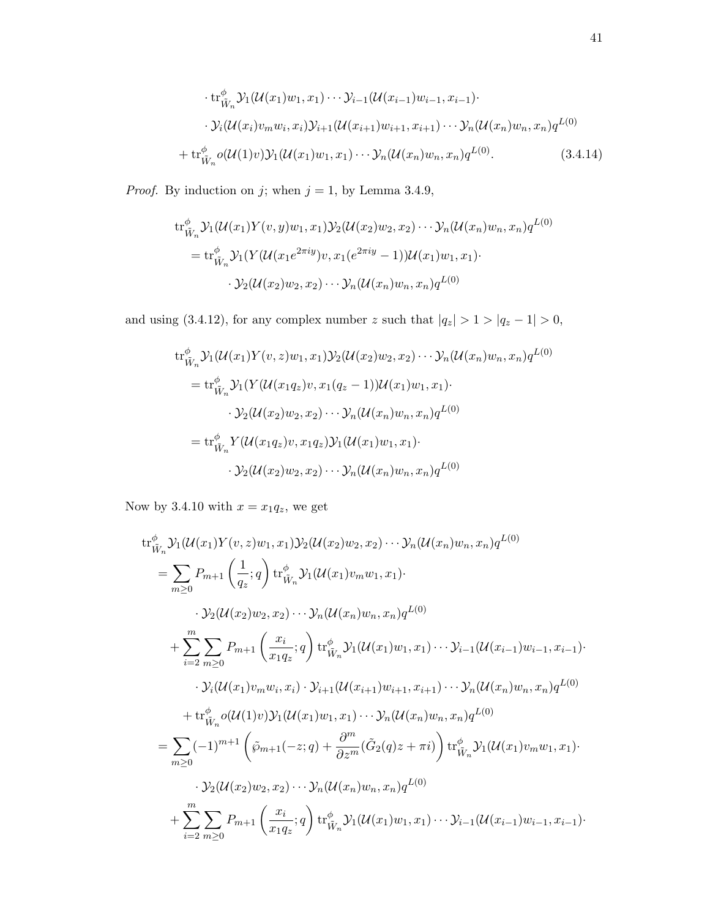$$
\cdot tr^{\phi}_{\tilde{W}_n} \mathcal{Y}_1(\mathcal{U}(x_1)w_1, x_1) \cdots \mathcal{Y}_{i-1}(\mathcal{U}(x_{i-1})w_{i-1}, x_{i-1}) \cdot \cdot \mathcal{Y}_i(\mathcal{U}(x_i)v_m w_i, x_i) \mathcal{Y}_{i+1}(\mathcal{U}(x_{i+1})w_{i+1}, x_{i+1}) \cdots \mathcal{Y}_n(\mathcal{U}(x_n)w_n, x_n) q^{L(0)} \n+ tr^{\phi}_{\tilde{W}_n} o(\mathcal{U}(1)v) \mathcal{Y}_1(\mathcal{U}(x_1)w_1, x_1) \cdots \mathcal{Y}_n(\mathcal{U}(x_n)w_n, x_n) q^{L(0)}.
$$
\n(3.4.14)

*Proof.* By induction on j; when  $j = 1$ , by Lemma 3.4.9,

$$
\operatorname{tr}_{\tilde{W}_n}^{\phi} \mathcal{Y}_1(\mathcal{U}(x_1)Y(v,y)w_1, x_1) \mathcal{Y}_2(\mathcal{U}(x_2)w_2, x_2) \cdots \mathcal{Y}_n(\mathcal{U}(x_n)w_n, x_n)q^{L(0)}
$$
\n
$$
= \operatorname{tr}_{\tilde{W}_n}^{\phi} \mathcal{Y}_1(Y(\mathcal{U}(x_1 e^{2\pi iy})v, x_1(e^{2\pi iy} - 1))\mathcal{U}(x_1)w_1, x_1) \cdots
$$
\n
$$
\mathcal{Y}_2(\mathcal{U}(x_2)w_2, x_2) \cdots \mathcal{Y}_n(\mathcal{U}(x_n)w_n, x_n)q^{L(0)}
$$

and using (3.4.12), for any complex number z such that  $|q_z| > 1 > |q_z - 1| > 0$ ,

$$
tr^{\phi}_{\tilde{W}_n} \mathcal{Y}_1(\mathcal{U}(x_1)Y(v,z)w_1, x_1) \mathcal{Y}_2(\mathcal{U}(x_2)w_2, x_2) \cdots \mathcal{Y}_n(\mathcal{U}(x_n)w_n, x_n)q^{L(0)}
$$
  
\n
$$
= tr^{\phi}_{\tilde{W}_n} \mathcal{Y}_1(Y(\mathcal{U}(x_1q_z)v, x_1(q_z - 1))\mathcal{U}(x_1)w_1, x_1) \cdots
$$
  
\n
$$
\cdot \mathcal{Y}_2(\mathcal{U}(x_2)w_2, x_2) \cdots \mathcal{Y}_n(\mathcal{U}(x_n)w_n, x_n)q^{L(0)}
$$
  
\n
$$
= tr^{\phi}_{\tilde{W}_n} Y(\mathcal{U}(x_1q_z)v, x_1q_z) \mathcal{Y}_1(\mathcal{U}(x_1)w_1, x_1) \cdots
$$
  
\n
$$
\cdot \mathcal{Y}_2(\mathcal{U}(x_2)w_2, x_2) \cdots \mathcal{Y}_n(\mathcal{U}(x_n)w_n, x_n)q^{L(0)}
$$

Now by 3.4.10 with  $x = x_1 q_z$ , we get

$$
tr_{\tilde{W}_{n}}^{\phi} \mathcal{Y}_{1}(\mathcal{U}(x_{1})Y(v,z)w_{1},x_{1})\mathcal{Y}_{2}(\mathcal{U}(x_{2})w_{2},x_{2})\cdots\mathcal{Y}_{n}(\mathcal{U}(x_{n})w_{n},x_{n})q^{L(0)}
$$
\n
$$
= \sum_{m\geq 0} P_{m+1}\left(\frac{1}{q_{z}};q\right) tr_{\tilde{W}_{n}}^{\phi} \mathcal{Y}_{1}(\mathcal{U}(x_{1})v_{m}w_{1},x_{1})\cdot
$$
\n
$$
\cdot \mathcal{Y}_{2}(\mathcal{U}(x_{2})w_{2},x_{2})\cdots\mathcal{Y}_{n}(\mathcal{U}(x_{n})w_{n},x_{n})q^{L(0)}
$$
\n
$$
+ \sum_{i=2}^{m} \sum_{m\geq 0} P_{m+1}\left(\frac{x_{i}}{x_{1}q_{z}};q\right) tr_{\tilde{W}_{n}}^{\phi} \mathcal{Y}_{1}(\mathcal{U}(x_{1})w_{1},x_{1})\cdots\mathcal{Y}_{i-1}(\mathcal{U}(x_{i-1})w_{i-1},x_{i-1})\cdot
$$
\n
$$
\cdot \mathcal{Y}_{i}(\mathcal{U}(x_{1})v_{m}w_{i},x_{i})\cdot\mathcal{Y}_{i+1}(\mathcal{U}(x_{i+1})w_{i+1},x_{i+1})\cdots\mathcal{Y}_{n}(\mathcal{U}(x_{n})w_{n},x_{n})q^{L(0)}
$$
\n
$$
+ tr_{\tilde{W}_{n}}^{\phi} o(\mathcal{U}(1)v)\mathcal{Y}_{1}(\mathcal{U}(x_{1})w_{1},x_{1})\cdots\mathcal{Y}_{n}(\mathcal{U}(x_{n})w_{n},x_{n})q^{L(0)}
$$
\n
$$
= \sum_{m\geq 0} (-1)^{m+1} \left(\tilde{\wp}_{m+1}(-z;q)+\frac{\partial^{m}}{\partial z^{m}}(\tilde{G}_{2}(q)z+\pi i)\right) tr_{\tilde{W}_{n}}^{\phi} \mathcal{Y}_{1}(\mathcal{U}(x_{1})v_{m}w_{1},x_{1})\cdot
$$
\n
$$
\cdot \mathcal{Y}_{2}(\mathcal{U}(x_{2})w_{2},
$$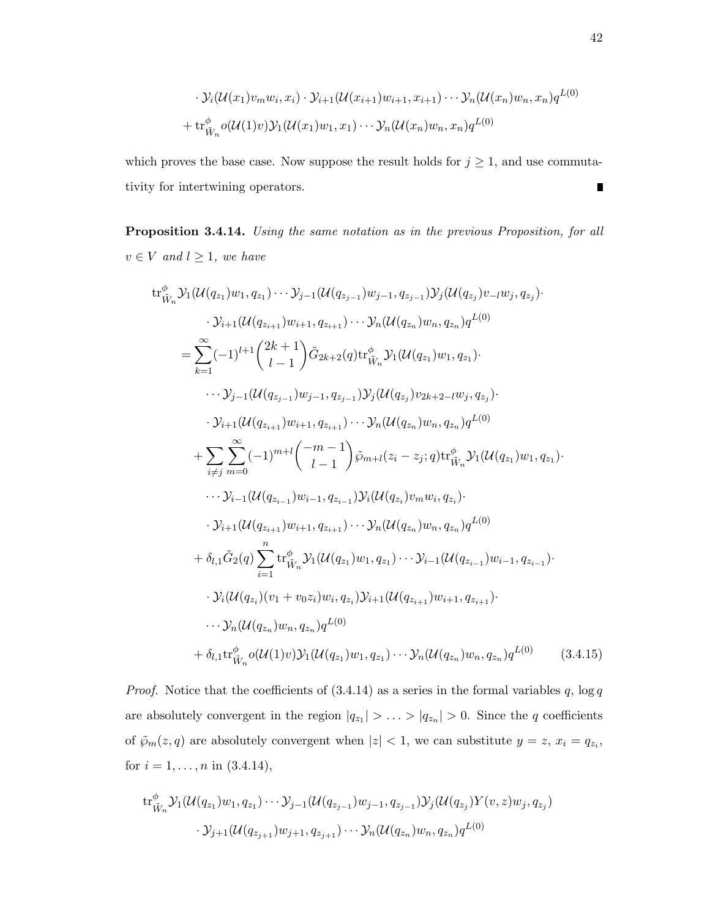$$
\cdot \mathcal{Y}_i(\mathcal{U}(x_1)v_m w_i, x_i) \cdot \mathcal{Y}_{i+1}(\mathcal{U}(x_{i+1})w_{i+1}, x_{i+1}) \cdots \mathcal{Y}_n(\mathcal{U}(x_n)w_n, x_n)q^{L(0)}
$$
  
+ 
$$
\text{tr}_{\tilde{W}_n}^{\phi} o(\mathcal{U}(1)v)\mathcal{Y}_1(\mathcal{U}(x_1)w_1, x_1) \cdots \mathcal{Y}_n(\mathcal{U}(x_n)w_n, x_n)q^{L(0)}
$$

which proves the base case. Now suppose the result holds for  $j \geq 1$ , and use commutativity for intertwining operators. П

Proposition 3.4.14. Using the same notation as in the previous Proposition, for all  $v \in V$  and  $l \geq 1$ , we have

tr
$$
tr^{\phi}_{\tilde{W}_{n}}\mathcal{Y}_{1}(\mathcal{U}(q_{z_{1}})w_{1},q_{z_{1}})\cdots\mathcal{Y}_{j-1}(\mathcal{U}(q_{z_{j-1}})w_{j-1},q_{z_{j-1}})\mathcal{Y}_{j}(\mathcal{U}(q_{z_{j}})v_{-l}w_{j},q_{z_{j}})\cdot
$$

$$
\mathcal{Y}_{i+1}(\mathcal{U}(q_{z_{i+1}})w_{i+1},q_{z_{i+1}})\cdots\mathcal{Y}_{n}(\mathcal{U}(q_{z_{n}})w_{n},q_{z_{n}})q^{L(0)}
$$

$$
=\sum_{k=1}^{\infty}(-1)^{l+1}\binom{2k+1}{l-1}\tilde{G}_{2k+2}(q)tr^{\phi}_{\tilde{W}_{n}}\mathcal{Y}_{1}(\mathcal{U}(q_{z_{1}})w_{1},q_{z_{1}})\cdot
$$

$$
\cdots\mathcal{Y}_{j-1}(\mathcal{U}(q_{z_{j-1}})w_{j-1},q_{z_{j-1}})\mathcal{Y}_{j}(\mathcal{U}(q_{z_{j}})v_{2k+2-l}w_{j},q_{z_{j}})\cdot
$$

$$
\mathcal{Y}_{i+1}(\mathcal{U}(q_{z_{i+1}})w_{i+1},q_{z_{i+1}})\cdots\mathcal{Y}_{n}(\mathcal{U}(q_{z_{n}})w_{n},q_{z_{n}})q^{L(0)}
$$

$$
+\sum_{i\neq j}\sum_{m=0}^{\infty}(-1)^{m+l}\binom{-m-1}{l-1}\tilde{\wp}_{m+l}(z_{i}-z_{j};q)\text{tr}^{\phi}_{\tilde{W}_{n}}\mathcal{Y}_{1}(\mathcal{U}(q_{z_{1}})w_{1},q_{z_{1}})\cdot
$$

$$
\mathcal{Y}_{i-1}(\mathcal{U}(q_{z_{i-1}})w_{i-1},q_{z_{i-1}})\mathcal{Y}_{i}(\mathcal{U}(q_{z_{i}})v_{m}w_{i},q_{z_{i}})\cdot
$$

$$
\mathcal{Y}_{i+1}(\mathcal{U}(q_{z_{i+1}})w_{i+1},q_{z_{i+1}})\cdots\mathcal{Y}_{n}(\mathcal{U}(q_{z_{n}})w_{n},q_{z_{
$$

*Proof.* Notice that the coefficients of  $(3.4.14)$  as a series in the formal variables q,  $\log q$ are absolutely convergent in the region  $|q_{z_1}| > \ldots > |q_{z_n}| > 0$ . Since the q coefficients of  $\tilde{\wp}_m(z,q)$  are absolutely convergent when  $|z| < 1$ , we can substitute  $y = z$ ,  $x_i = q_{z_i}$ , for  $i = 1, ..., n$  in  $(3.4.14)$ ,

$$
\mathrm{tr}_{\tilde{W}_n}^{\phi} \mathcal{Y}_1(\mathcal{U}(q_{z_1})w_1, q_{z_1}) \cdots \mathcal{Y}_{j-1}(\mathcal{U}(q_{z_{j-1}})w_{j-1}, q_{z_{j-1}}) \mathcal{Y}_j(\mathcal{U}(q_{z_j}) Y(v, z) w_j, q_{z_j})
$$

$$
\cdot \mathcal{Y}_{j+1}(\mathcal{U}(q_{z_{j+1}})w_{j+1}, q_{z_{j+1}}) \cdots \mathcal{Y}_n(\mathcal{U}(q_{z_n})w_n, q_{z_n}) q^{L(0)}
$$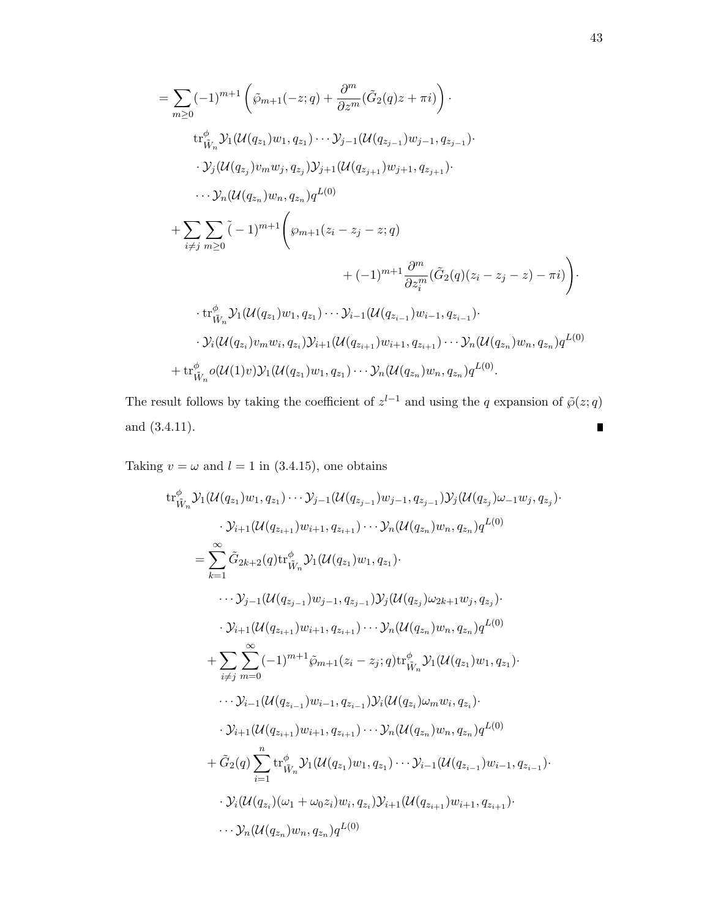$$
= \sum_{m\geq 0} (-1)^{m+1} \left( \tilde{\wp}_{m+1}(-z;q) + \frac{\partial^m}{\partial z^m} (\tilde{G}_2(q)z + \pi i) \right) \cdot
$$
  
\n
$$
\text{tr}_{\tilde{W}_n}^{\phi} \mathcal{Y}_1(\mathcal{U}(q_{z_1})w_1, q_{z_1}) \cdots \mathcal{Y}_{j-1}(\mathcal{U}(q_{z_{j-1}})w_{j-1}, q_{z_{j-1}}) \cdot
$$
  
\n
$$
\cdot \mathcal{Y}_j(\mathcal{U}(q_{z_j})v_m w_j, q_{z_j}) \mathcal{Y}_{j+1}(\mathcal{U}(q_{z_{j+1}})w_{j+1}, q_{z_{j+1}}) \cdot
$$
  
\n
$$
\cdots \mathcal{Y}_n(\mathcal{U}(q_{z_n})w_n, q_{z_n}) q^{L(0)}
$$
  
\n
$$
+ \sum_{i \neq j} \sum_{m \geq 0} (-1)^{m+1} \left( \wp_{m+1}(z_i - z_j - z; q) + (-1)^{m+1} \frac{\partial^m}{\partial z_i^m} (\tilde{G}_2(q)(z_i - z_j - z) - \pi i) \right) \cdot
$$
  
\n
$$
\cdot \text{tr}_{\tilde{W}_n}^{\phi} \mathcal{Y}_1(\mathcal{U}(q_{z_1})w_1, q_{z_1}) \cdots \mathcal{Y}_{i-1}(\mathcal{U}(q_{z_{i-1}})w_{i-1}, q_{z_{i-1}}) \cdot
$$
  
\n
$$
\cdot \mathcal{Y}_i(\mathcal{U}(q_{z_i})v_m w_i, q_{z_i}) \mathcal{Y}_{i+1}(\mathcal{U}(q_{z_{i+1}})w_{i+1}, q_{z_{i+1}}) \cdots \mathcal{Y}_n(\mathcal{U}(q_{z_n})w_n, q_{z_n}) q^{L(0)}
$$
  
\n
$$
+ \text{tr}_{\tilde{W}_n}^{\phi} o(\mathcal{U}(1)v) \mathcal{Y}_1(\mathcal{U}(q_{z_1})w_1, q_{z_1}) \cdots \mathcal{Y}_n(\mathcal{U}(q_{z_n})w_n, q_{z_n}) q^{L(0)}.
$$

The result follows by taking the coefficient of  $z^{l-1}$  and using the q expansion of  $\tilde{\varphi}(z;q)$ and (3.4.11).  $\blacksquare$ 

Taking  $v = \omega$  and  $l = 1$  in (3.4.15), one obtains

tr
$$
tr^{\phi}_{\tilde{W}_{n}}\mathcal{Y}_{1}(\mathcal{U}(q_{z_{1}})w_{1}, q_{z_{1}})\cdots \mathcal{Y}_{j-1}(\mathcal{U}(q_{z_{j-1}})w_{j-1}, q_{z_{j-1}})\mathcal{Y}_{j}(\mathcal{U}(q_{z_{j}})\omega_{-1}w_{j}, q_{z_{j}})\cdot
$$
  
\n
$$
\cdot \mathcal{Y}_{i+1}(\mathcal{U}(q_{z_{i+1}})w_{i+1}, q_{z_{i+1}})\cdots \mathcal{Y}_{n}(\mathcal{U}(q_{z_{n}})w_{n}, q_{z_{n}})q^{L(0)}
$$
  
\n
$$
=\sum_{k=1}^{\infty}\tilde{G}_{2k+2}(q)tr^{\phi}_{\tilde{W}_{n}}\mathcal{Y}_{1}(\mathcal{U}(q_{z_{1}})w_{1}, q_{z_{1}})\cdot
$$
  
\n
$$
\cdots \mathcal{Y}_{j-1}(\mathcal{U}(q_{z_{j-1}})w_{j-1}, q_{z_{j-1}})\mathcal{Y}_{j}(\mathcal{U}(q_{z_{j}})\omega_{2k+1}w_{j}, q_{z_{j}})\cdot
$$
  
\n
$$
\cdot \mathcal{Y}_{i+1}(\mathcal{U}(q_{z_{i+1}})w_{i+1}, q_{z_{i+1}})\cdots \mathcal{Y}_{n}(\mathcal{U}(q_{z_{n}})w_{n}, q_{z_{n}})q^{L(0)}
$$
  
\n
$$
+\sum_{i\neq j}\sum_{m=0}^{\infty}(-1)^{m+1}\tilde{\wp}_{m+1}(z_{i}-z_{j}; q)tr^{\phi}_{\tilde{W}_{n}}\mathcal{Y}_{1}(\mathcal{U}(q_{z_{1}})w_{1}, q_{z_{1}})\cdot
$$
  
\n
$$
\cdots \mathcal{Y}_{i-1}(\mathcal{U}(q_{z_{i-1}})w_{i-1}, q_{z_{i-1}})\mathcal{Y}_{i}(\mathcal{U}(q_{z_{i}})\omega_{m}w_{i}, q_{z_{i}})\cdot
$$
  
\n
$$
\cdot \mathcal{Y}_{i+1}(\mathcal{U}(q_{z_{i+1}})w_{i+1}, q_{z_{i+1}})\cdots \mathcal{Y}_{n}(\mathcal{U}(q_{z_{n}})w_{n},
$$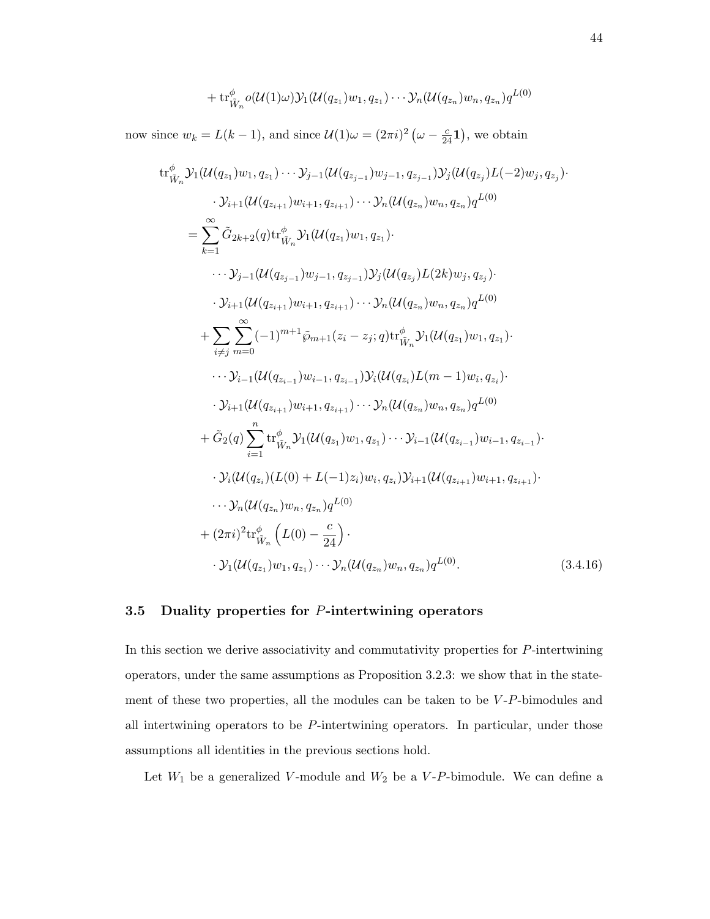$$
+ \operatorname{tr}^{\phi}_{\tilde{W}_n} o(\mathcal{U}(1)\omega) \mathcal{Y}_1(\mathcal{U}(q_{z_1})w_1, q_{z_1}) \cdots \mathcal{Y}_n(\mathcal{U}(q_{z_n})w_n, q_{z_n}) q^{L(0)}
$$

now since  $w_k = L(k-1)$ , and since  $\mathcal{U}(1)\omega = (2\pi i)^2 \left(\omega - \frac{c}{24}\mathbf{1}\right)$ , we obtain

tr<sup>φ</sup><sub>W</sub> 
$$
y_1(U(q_{z_1})w_1, q_{z_1}) \cdots y_{j-1}(U(q_{z_{j-1}})w_{j-1}, q_{z_{j-1}})y_j(U(q_{z_j})L(-2)w_j, q_{z_j})
$$
  
\n
$$
\cdot y_{i+1}(U(q_{z_{i+1}})w_{i+1}, q_{z_{i+1}}) \cdots y_n(U(q_{z_n})w_n, q_{z_n})q^{L(0)}
$$
\n
$$
= \sum_{k=1}^{\infty} \tilde{G}_{2k+2}(q) \text{tr}_{W_n}^{\phi} y_1(U(q_{z_1})w_1, q_{z_1})
$$
\n
$$
\cdots y_{j-1}(U(q_{z_{j-1}})w_{j-1}, q_{z_{j-1}})y_j(U(q_{z_j})L(2k)w_j, q_{z_j})
$$
\n
$$
\cdot y_{i+1}(U(q_{z_{i+1}})w_{i+1}, q_{z_{i+1}}) \cdots y_n(U(q_{z_n})w_n, q_{z_n})q^{L(0)}
$$
\n
$$
+ \sum_{i \neq j} \sum_{m=0}^{\infty} (-1)^{m+1} \tilde{\wp}_{m+1}(z_i - z_j; q) \text{tr}_{W_n}^{\phi} y_1(U(q_{z_1})w_1, q_{z_1})
$$
\n
$$
\cdots y_{i-1}(U(q_{z_{i-1}})w_{i-1}, q_{z_{i-1}})y_i(U(q_{z_i})L(m-1)w_i, q_{z_i})
$$
\n
$$
\cdot y_{i+1}(U(q_{z_{i+1}})w_{i+1}, q_{z_{i+1}}) \cdots y_n(U(q_{z_n})w_n, q_{z_n})q^{L(0)}
$$
\n
$$
+ \tilde{G}_2(q) \sum_{i=1}^n \text{tr}_{\tilde{W}_n}^{\phi} y_1(U(q_{z_1})w_1, q_{z_1}) \cdots y_{i-1}(U(q_{z_{i-1}})w_{i-1}, q_{z_{i-1}}).
$$
\n
$$
\cdot y_i(U(q_{z_i})(L(0) + L(-1)z_i)w_i, q_{z_i})y_{i+1}(U(q_{z_{i+1}})w_{i+1}, q_{z_{i+1}}).
$$
\n
$$
\cdots y_n(U(q_{z_n})w
$$

### 3.5 Duality properties for P-intertwining operators

In this section we derive associativity and commutativity properties for  $P$ -intertwining operators, under the same assumptions as Proposition 3.2.3: we show that in the statement of these two properties, all the modules can be taken to be  $V-P$ -bimodules and all intertwining operators to be P-intertwining operators. In particular, under those assumptions all identities in the previous sections hold.

Let  $W_1$  be a generalized V-module and  $W_2$  be a V-P-bimodule. We can define a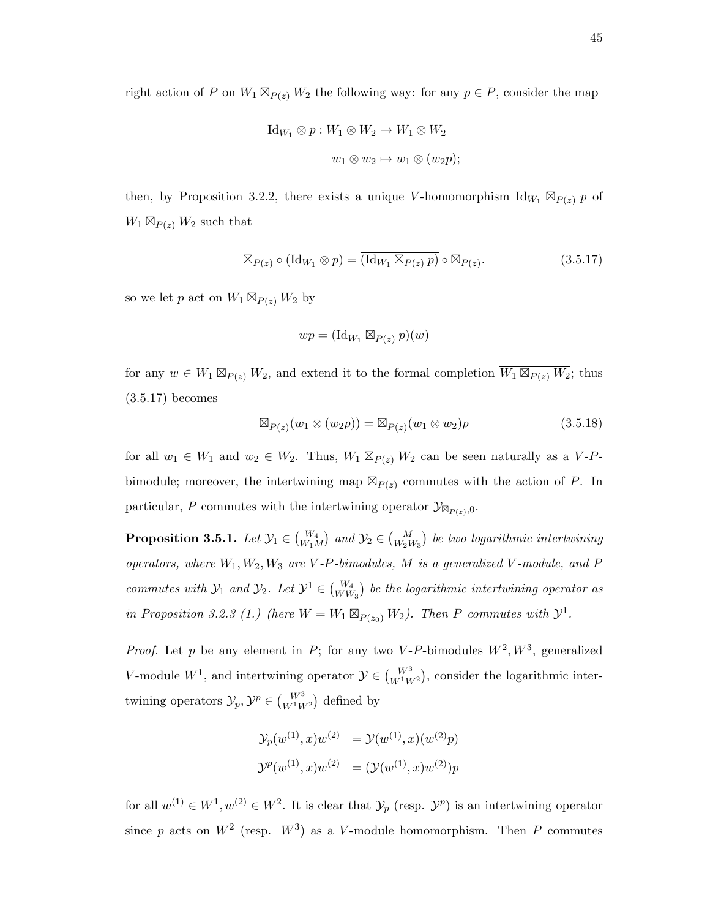right action of P on  $W_1 \boxtimes_{P(z)} W_2$  the following way: for any  $p \in P$ , consider the map

$$
\mathrm{Id}_{W_1} \otimes p: W_1 \otimes W_2 \to W_1 \otimes W_2
$$

$$
w_1 \otimes w_2 \mapsto w_1 \otimes (w_2 p);
$$

then, by Proposition 3.2.2, there exists a unique V-homomorphism  $\mathrm{Id}_{W_1} \boxtimes_{P(z)} p$  of  $W_1 \boxtimes_{P(z)} W_2$  such that

$$
\boxtimes_{P(z)} \circ (\mathrm{Id}_{W_1} \otimes p) = \overline{(\mathrm{Id}_{W_1} \boxtimes_{P(z)} p)} \circ \boxtimes_{P(z)}.
$$
 (3.5.17)

so we let p act on  $W_1 \boxtimes_{P(z)} W_2$  by

$$
wp = (\mathrm{Id}_{W_1} \boxtimes_{P(z)} p)(w)
$$

for any  $w \in W_1 \boxtimes_{P(z)} W_2$ , and extend it to the formal completion  $\overline{W_1 \boxtimes_{P(z)} W_2}$ ; thus (3.5.17) becomes

$$
\boxtimes_{P(z)} (w_1 \otimes (w_2 p)) = \boxtimes_{P(z)} (w_1 \otimes w_2)p \tag{3.5.18}
$$

for all  $w_1 \in W_1$  and  $w_2 \in W_2$ . Thus,  $W_1 \boxtimes_{P(z)} W_2$  can be seen naturally as a V-Pbimodule; moreover, the intertwining map  $\mathbb{Z}_{P(z)}$  commutes with the action of P. In particular, P commutes with the intertwining operator  $\mathcal{Y}_{\boxtimes_{P(z)},0}$ .

**Proposition 3.5.1.** Let  $\mathcal{Y}_1 \in \binom{W_4}{W_1M}$  and  $\mathcal{Y}_2 \in \binom{M}{W_2W_3}$  be two logarithmic intertwining operators, where  $W_1, W_2, W_3$  are V-P-bimodules, M is a generalized V-module, and P commutes with  $\mathcal{Y}_1$  and  $\mathcal{Y}_2$ . Let  $\mathcal{Y}^1 \in \binom{W_4}{WW_3}$  be the logarithmic intertwining operator as in Proposition 3.2.3 (1.) (here  $W = W_1 \boxtimes_{P(z_0)} W_2$ ). Then P commutes with  $\mathcal{Y}^1$ .

*Proof.* Let p be any element in P; for any two V-P-bimodules  $W^2, W^3$ , generalized V-module  $W^1$ , and intertwining operator  $\mathcal{Y} \in \binom{W^3}{W^1 W^2}$ , consider the logarithmic intertwining operators  $\mathcal{Y}_p, \mathcal{Y}^p \in \binom{W^3}{W^1W^2}$  defined by

$$
\mathcal{Y}_p(w^{(1)}, x)w^{(2)} = \mathcal{Y}(w^{(1)}, x)(w^{(2)}p)
$$
  

$$
\mathcal{Y}^p(w^{(1)}, x)w^{(2)} = (\mathcal{Y}(w^{(1)}, x)w^{(2)})p
$$

for all  $w^{(1)} \in W^1, w^{(2)} \in W^2$ . It is clear that  $\mathcal{Y}_p$  (resp.  $\mathcal{Y}^p$ ) is an intertwining operator since p acts on  $W^2$  (resp.  $W^3$ ) as a V-module homomorphism. Then P commutes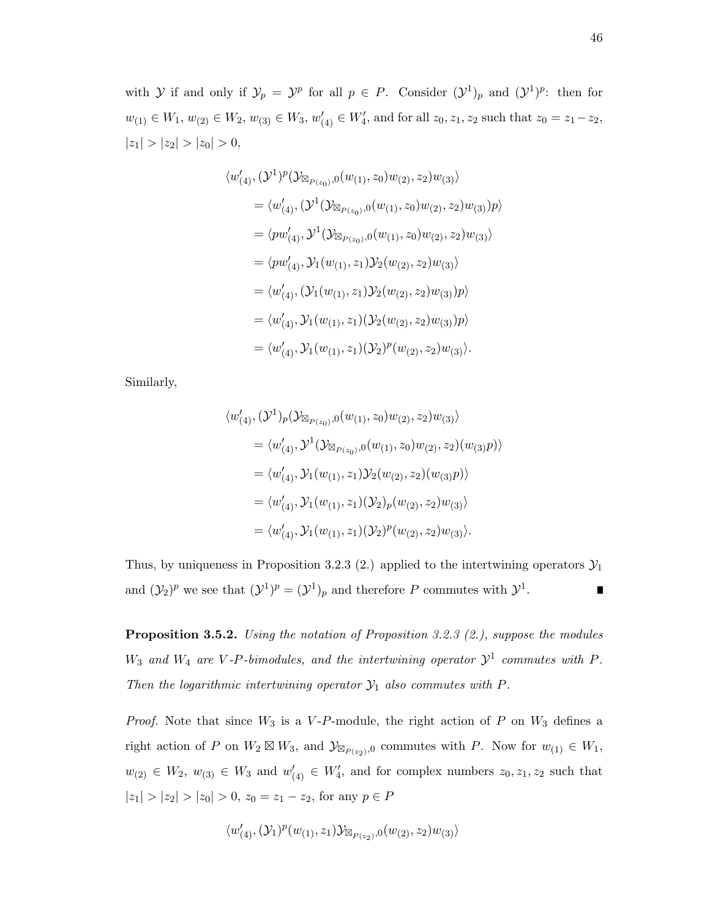with Y if and only if  $\mathcal{Y}_p = \mathcal{Y}^p$  for all  $p \in P$ . Consider  $(\mathcal{Y}^1)_p$  and  $(\mathcal{Y}^1)^p$ : then for  $w_{(1)} \in W_1, w_{(2)} \in W_2, w_{(3)} \in W_3, w'_{(4)} \in W'_4$ , and for all  $z_0, z_1, z_2$  such that  $z_0 = z_1 - z_2$ ,  $|z_1| > |z_2| > |z_0| > 0,$ 

$$
\langle w'_{(4)}, (\mathcal{Y}^1)^p (\mathcal{Y}_{\boxtimes_{P(z_0)},0}(w_{(1)}, z_0) w_{(2)}, z_2) w_{(3)} \rangle
$$
  
\n
$$
= \langle w'_{(4)}, (\mathcal{Y}^1 (\mathcal{Y}_{\boxtimes_{P(z_0)},0}(w_{(1)}, z_0) w_{(2)}, z_2) w_{(3)}) p \rangle
$$
  
\n
$$
= \langle p w'_{(4)}, \mathcal{Y}^1 (\mathcal{Y}_{\boxtimes_{P(z_0)},0}(w_{(1)}, z_0) w_{(2)}, z_2) w_{(3)} \rangle
$$
  
\n
$$
= \langle p w'_{(4)}, \mathcal{Y}_1 (w_{(1)}, z_1) \mathcal{Y}_2 (w_{(2)}, z_2) w_{(3)} \rangle
$$
  
\n
$$
= \langle w'_{(4)}, (\mathcal{Y}_1 (w_{(1)}, z_1) \mathcal{Y}_2 (w_{(2)}, z_2) w_{(3)}) p \rangle
$$
  
\n
$$
= \langle w'_{(4)}, \mathcal{Y}_1 (w_{(1)}, z_1) (\mathcal{Y}_2 (w_{(2)}, z_2) w_{(3)}) p \rangle
$$
  
\n
$$
= \langle w'_{(4)}, \mathcal{Y}_1 (w_{(1)}, z_1) (\mathcal{Y}_2)^p (w_{(2)}, z_2) w_{(3)} \rangle.
$$

Similarly,

$$
\langle w'_{(4)}, (\mathcal{Y}^1)_p (\mathcal{Y}_{\boxtimes_{P(z_0)},0}(w_{(1)}, z_0) w_{(2)}, z_2) w_{(3)} \rangle
$$
  
\n
$$
= \langle w'_{(4)}, \mathcal{Y}^1 (\mathcal{Y}_{\boxtimes_{P(z_0)},0}(w_{(1)}, z_0) w_{(2)}, z_2) (w_{(3)} p) \rangle
$$
  
\n
$$
= \langle w'_{(4)}, \mathcal{Y}_1 (w_{(1)}, z_1) \mathcal{Y}_2 (w_{(2)}, z_2) (w_{(3)} p) \rangle
$$
  
\n
$$
= \langle w'_{(4)}, \mathcal{Y}_1 (w_{(1)}, z_1) (\mathcal{Y}_2)_p (w_{(2)}, z_2) w_{(3)} \rangle
$$
  
\n
$$
= \langle w'_{(4)}, \mathcal{Y}_1 (w_{(1)}, z_1) (\mathcal{Y}_2)_p (w_{(2)}, z_2) w_{(3)} \rangle.
$$

Thus, by uniqueness in Proposition 3.2.3 (2.) applied to the intertwining operators  $\mathcal{Y}_1$ and  $(\mathcal{Y}_2)^p$  we see that  $(\mathcal{Y}^1)^p = (\mathcal{Y}^1)_p$  and therefore P commutes with  $\mathcal{Y}^1$ .  $\blacksquare$ 

Proposition 3.5.2. Using the notation of Proposition 3.2.3 (2.), suppose the modules  $W_3$  and  $W_4$  are V-P-bimodules, and the intertwining operator  $\mathcal{Y}^1$  commutes with P. Then the logarithmic intertwining operator  $\mathcal{Y}_1$  also commutes with  $P$ .

*Proof.* Note that since  $W_3$  is a V-P-module, the right action of P on  $W_3$  defines a right action of P on  $W_2 \boxtimes W_3$ , and  $\mathcal{Y}_{\boxtimes_{P(z_2)},0}$  commutes with P. Now for  $w_{(1)} \in W_1$ ,  $w_{(2)} \in W_2$ ,  $w_{(3)} \in W_3$  and  $w'_{(4)} \in W'_4$ , and for complex numbers  $z_0, z_1, z_2$  such that  $|z_1| > |z_2| > |z_0| > 0, z_0 = z_1 - z_2$ , for any  $p \in P$ 

$$
\langle w'_{(4)}, (\mathcal{Y}_1)^p(w_{(1)}, z_1)\mathcal{Y}_{\boxtimes_{P(z_2)},0}(w_{(2)}, z_2)w_{(3)}\rangle
$$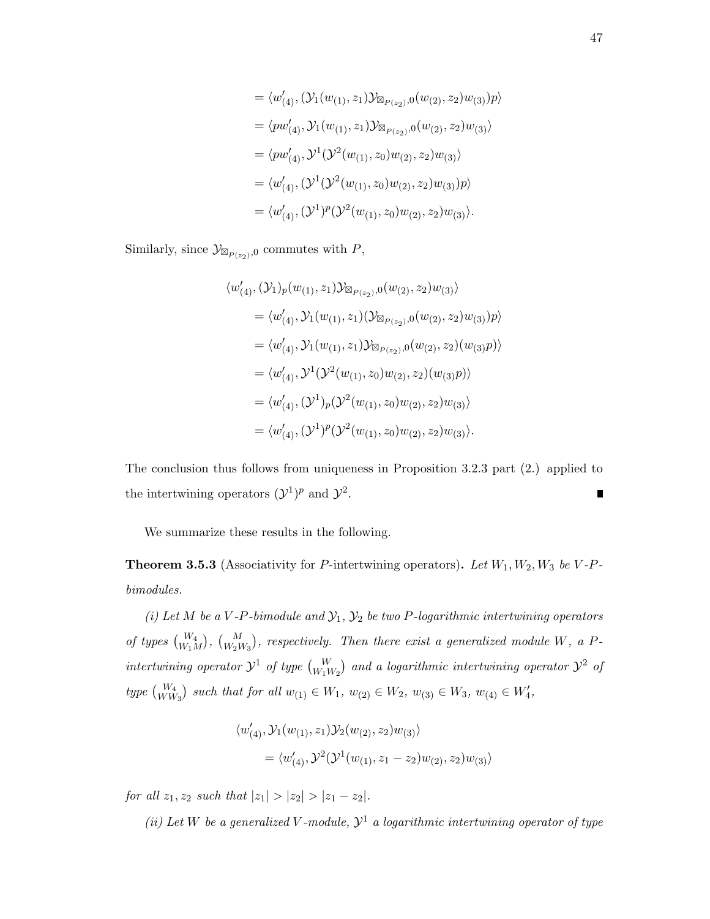$$
= \langle w'_{(4)}, (\mathcal{Y}_1(w_{(1)}, z_1)\mathcal{Y}_{\boxtimes_{P(z_2)},0}(w_{(2)}, z_2)w_{(3)})p \rangle
$$
  
\n
$$
= \langle pw'_{(4)}, \mathcal{Y}_1(w_{(1)}, z_1)\mathcal{Y}_{\boxtimes_{P(z_2)},0}(w_{(2)}, z_2)w_{(3)} \rangle
$$
  
\n
$$
= \langle pw'_{(4)}, \mathcal{Y}^1(\mathcal{Y}^2(w_{(1)}, z_0)w_{(2)}, z_2)w_{(3)} \rangle
$$
  
\n
$$
= \langle w'_{(4)}, (\mathcal{Y}^1(\mathcal{Y}^2(w_{(1)}, z_0)w_{(2)}, z_2)w_{(3)})p \rangle
$$
  
\n
$$
= \langle w'_{(4)}, (\mathcal{Y}^1)^p(\mathcal{Y}^2(w_{(1)}, z_0)w_{(2)}, z_2)w_{(3)} \rangle.
$$

Similarly, since  $\mathcal{Y}_{\boxtimes_{P(z_2)},0}$  commutes with  $P$ ,

$$
\langle w'_{(4)}, (\mathcal{Y}_1)_p (w_{(1)}, z_1) \mathcal{Y}_{\mathbb{R}_{P(z_2)},0}(w_{(2)}, z_2) w_{(3)} \rangle
$$
  
\n
$$
= \langle w'_{(4)}, \mathcal{Y}_1 (w_{(1)}, z_1) (\mathcal{Y}_{\mathbb{R}_{P(z_2)},0}(w_{(2)}, z_2) w_{(3)}) p \rangle
$$
  
\n
$$
= \langle w'_{(4)}, \mathcal{Y}_1 (w_{(1)}, z_1) \mathcal{Y}_{\mathbb{R}_{P(z_2)},0}(w_{(2)}, z_2) (w_{(3)} p) \rangle
$$
  
\n
$$
= \langle w'_{(4)}, \mathcal{Y}^1 (\mathcal{Y}^2 (w_{(1)}, z_0) w_{(2)}, z_2) (w_{(3)} p) \rangle
$$
  
\n
$$
= \langle w'_{(4)}, (\mathcal{Y}^1)_p (\mathcal{Y}^2 (w_{(1)}, z_0) w_{(2)}, z_2) w_{(3)} \rangle
$$
  
\n
$$
= \langle w'_{(4)}, (\mathcal{Y}^1)_p (\mathcal{Y}^2 (w_{(1)}, z_0) w_{(2)}, z_2) w_{(3)} \rangle.
$$

The conclusion thus follows from uniqueness in Proposition 3.2.3 part (2.) applied to the intertwining operators  $({\cal Y}^1)^p$  and  ${\cal Y}^2$ . П

We summarize these results in the following.

**Theorem 3.5.3** (Associativity for P-intertwining operators). Let  $W_1, W_2, W_3$  be V-Pbimodules.

(i) Let M be a V-P-bimodule and  $\mathcal{Y}_1$ ,  $\mathcal{Y}_2$  be two P-logarithmic intertwining operators of types  $\binom{W_4}{W_1M}$ ,  $\binom{M}{W_2W_3}$ , respectively. Then there exist a generalized module W, a Pintertwining operator  $\mathcal{Y}^1$  of type  ${W \choose W_1 W_2}$  and a logarithmic intertwining operator  $\mathcal{Y}^2$  of type  $\binom{W_4}{WW_3}$  such that for all  $w_{(1)} \in W_1$ ,  $w_{(2)} \in W_2$ ,  $w_{(3)} \in W_3$ ,  $w_{(4)} \in W'_4$ ,

$$
\begin{aligned} &\langle w'_{(4)}, \mathcal{Y}_1(w_{(1)}, z_1) \mathcal{Y}_2(w_{(2)}, z_2) w_{(3)} \rangle \\ &= \langle w'_{(4)}, \mathcal{Y}^2(\mathcal{Y}^1(w_{(1)}, z_1 - z_2) w_{(2)}, z_2) w_{(3)} \rangle \end{aligned}
$$

for all  $z_1, z_2$  such that  $|z_1| > |z_2| > |z_1 - z_2|$ .

(ii) Let W be a generalized V-module,  $\mathcal{Y}^1$  a logarithmic intertwining operator of type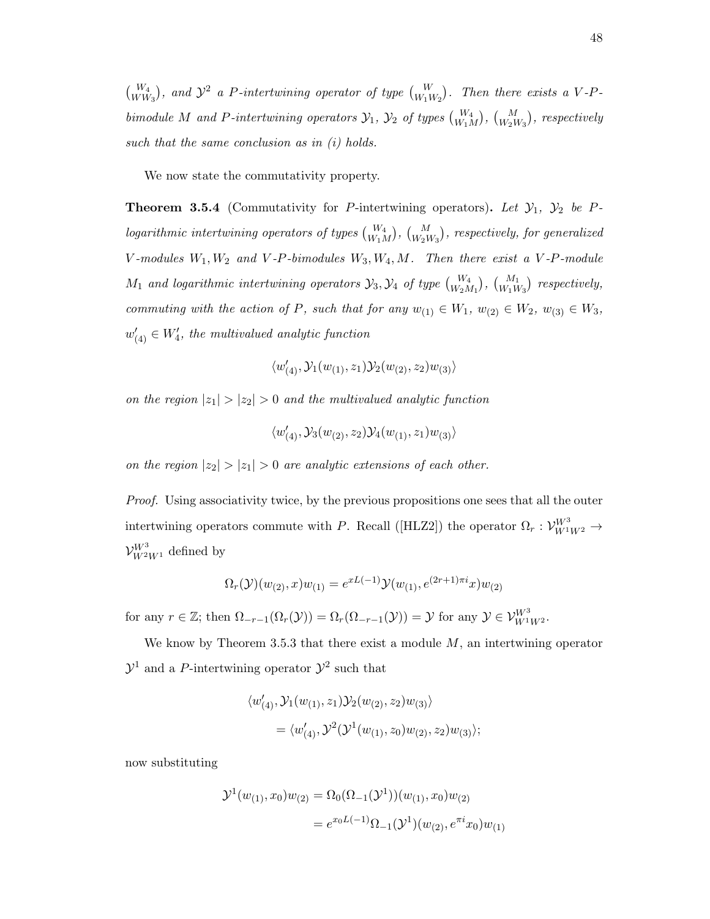$\binom{W_4}{WW_3}$ , and  $\mathcal{Y}^2$  a P-intertwining operator of type  $\binom{W}{W_1W_2}$ . Then there exists a V-Pbimodule M and P-intertwining operators  $\mathcal{Y}_1$ ,  $\mathcal{Y}_2$  of types  $\binom{W_4}{W_1M}$ ,  $\binom{M}{W_2W_3}$ , respectively such that the same conclusion as in (i) holds.

We now state the commutativity property.

**Theorem 3.5.4** (Commutativity for P-intertwining operators). Let  $\mathcal{Y}_1$ ,  $\mathcal{Y}_2$  be P $logarithmic$  intertwining operators of types  $\binom{W_4}{W_1M}$ ,  $\binom{M}{W_2W_3}$ , respectively, for generalized  $V$ -modules  $W_1, W_2$  and  $V$ -P-bimodules  $W_3, W_4, M$ . Then there exist a  $V$ -P-module  $M_1$  and logarithmic intertwining operators  $\mathcal{Y}_3, \mathcal{Y}_4$  of type  ${W_4 \choose W_2 M_1}, {M_1 \choose W_1 W_3}$  respectively, commuting with the action of P, such that for any  $w_{(1)} \in W_1$ ,  $w_{(2)} \in W_2$ ,  $w_{(3)} \in W_3$ ,  $w'_{(4)} \in W'_4$ , the multivalued analytic function

$$
\langle w'_{(4)}, \mathcal{Y}_1(w_{(1)}, z_1) \mathcal{Y}_2(w_{(2)}, z_2) w_{(3)} \rangle
$$

on the region  $|z_1| > |z_2| > 0$  and the multivalued analytic function

$$
\langle w'_{(4)}, \mathcal{Y}_3(w_{(2)}, z_2) \mathcal{Y}_4(w_{(1)}, z_1) w_{(3)} \rangle
$$

on the region  $|z_2| > |z_1| > 0$  are analytic extensions of each other.

Proof. Using associativity twice, by the previous propositions one sees that all the outer intertwining operators commute with P. Recall ([HLZ2]) the operator  $\Omega_r: \mathcal{V}_{W^1 W^2}^{W^3} \to$  $\mathcal{V}_{W^2 W^1}^{W^3}$  defined by

$$
\Omega_r(\mathcal{Y})(w_{(2)},x)w_{(1)} = e^{xL(-1)}\mathcal{Y}(w_{(1)},e^{(2r+1)\pi i}x)w_{(2)}
$$

for any  $r \in \mathbb{Z}$ ; then  $\Omega_{-r-1}(\Omega_r(\mathcal{Y})) = \Omega_r(\Omega_{-r-1}(\mathcal{Y})) = \mathcal{Y}$  for any  $\mathcal{Y} \in \mathcal{V}_{W^1 W^2}^{W^3}$ .

We know by Theorem 3.5.3 that there exist a module  $M$ , an intertwining operator  $\mathcal{Y}^1$  and a P-intertwining operator  $\mathcal{Y}^2$  such that

$$
\langle w'_{(4)}, \mathcal{Y}_1(w_{(1)}, z_1) \mathcal{Y}_2(w_{(2)}, z_2) w_{(3)} \rangle
$$
  
= 
$$
\langle w'_{(4)}, \mathcal{Y}^2(\mathcal{Y}^1(w_{(1)}, z_0) w_{(2)}, z_2) w_{(3)} \rangle;
$$

now substituting

$$
\mathcal{Y}^1(w_{(1)}, x_0)w_{(2)} = \Omega_0(\Omega_{-1}(\mathcal{Y}^1))(w_{(1)}, x_0)w_{(2)}
$$
  
=  $e^{x_0L(-1)}\Omega_{-1}(\mathcal{Y}^1)(w_{(2)}, e^{\pi i}x_0)w_{(1)}$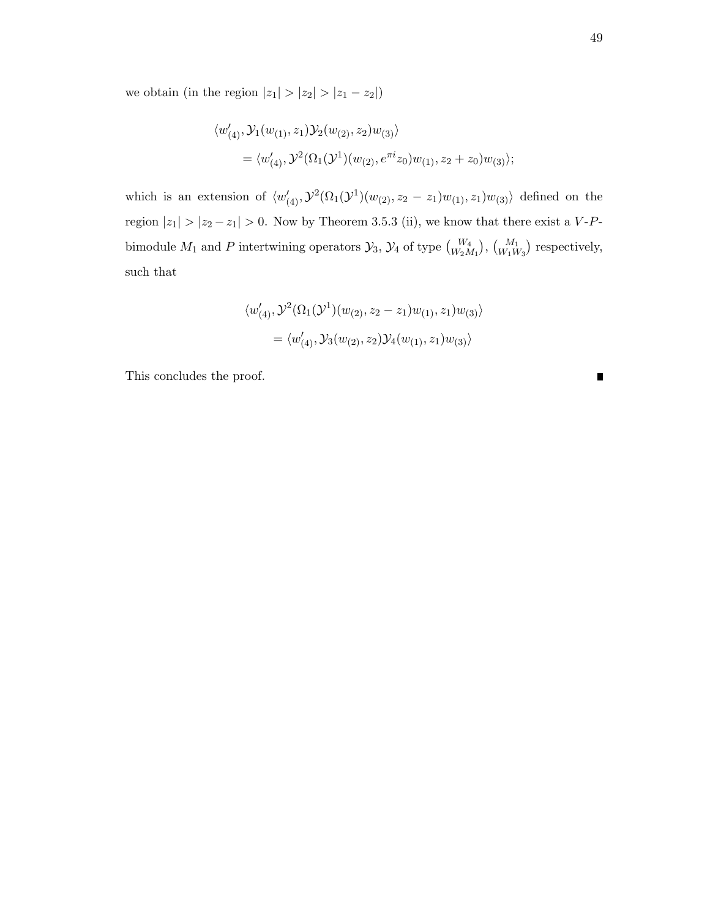we obtain (in the region  $|z_1| > |z_2| > |z_1 - z_2|$ )

$$
\langle w'_{(4)}, \mathcal{Y}_1(w_{(1)}, z_1) \mathcal{Y}_2(w_{(2)}, z_2) w_{(3)} \rangle
$$
  
= 
$$
\langle w'_{(4)}, \mathcal{Y}^2(\Omega_1(\mathcal{Y}^1)(w_{(2)}, e^{\pi i} z_0) w_{(1)}, z_2 + z_0) w_{(3)} \rangle;
$$

which is an extension of  $\langle w'_{(4)}, \mathcal{Y}^2(\Omega_1(\mathcal{Y}^1)(w_{(2)}, z_2 - z_1)w_{(1)}, z_1)w_{(3)}\rangle$  defined on the region  $|z_1| > |z_2 - z_1| > 0$ . Now by Theorem 3.5.3 (ii), we know that there exist a V-Pbimodule  $M_1$  and P intertwining operators  $\mathcal{Y}_3$ ,  $\mathcal{Y}_4$  of type  $\binom{W_4}{W_2M_1}$ ,  $\binom{M_1}{W_1W_3}$  respectively, such that

$$
\langle w'_{(4)}, \mathcal{Y}^2(\Omega_1(\mathcal{Y}^1)(w_{(2)}, z_2 - z_1)w_{(1)}, z_1)w_{(3)} \rangle
$$
  
= 
$$
\langle w'_{(4)}, \mathcal{Y}_3(w_{(2)}, z_2) \mathcal{Y}_4(w_{(1)}, z_1)w_{(3)} \rangle
$$

This concludes the proof.

 $\blacksquare$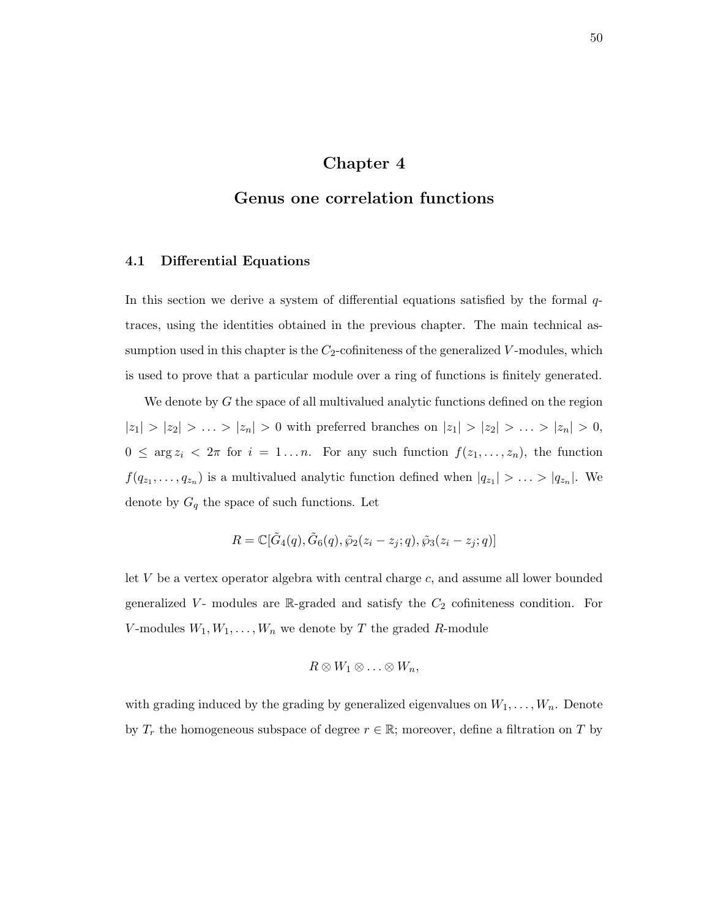# Chapter 4

## Genus one correlation functions

#### 4.1 Differential Equations

In this section we derive a system of differential equations satisfied by the formal  $q$ traces, using the identities obtained in the previous chapter. The main technical assumption used in this chapter is the  $C_2$ -cofiniteness of the generalized V-modules, which is used to prove that a particular module over a ring of functions is finitely generated.

We denote by  $G$  the space of all multivalued analytic functions defined on the region  $|z_1| > |z_2| > \ldots > |z_n| > 0$  with preferred branches on  $|z_1| > |z_2| > \ldots > |z_n| > 0$ ,  $0 \leq \arg z_i < 2\pi$  for  $i = 1...n$ . For any such function  $f(z_1,...,z_n)$ , the function  $f(q_{z_1},...,q_{z_n})$  is a multivalued analytic function defined when  $|q_{z_1}| > ... > |q_{z_n}|$ . We denote by  ${\cal G}_q$  the space of such functions. Let

$$
R = \mathbb{C}[\tilde{G}_4(q), \tilde{G}_6(q), \tilde{\wp}_2(z_i - z_j; q), \tilde{\wp}_3(z_i - z_j; q)]
$$

let  $V$  be a vertex operator algebra with central charge  $c$ , and assume all lower bounded generalized  $V$ - modules are R-graded and satisfy the  $C_2$  cofiniteness condition. For V-modules  $W_1, W_1, \ldots, W_n$  we denote by T the graded R-module

$$
R\otimes W_1\otimes\ldots\otimes W_n,
$$

with grading induced by the grading by generalized eigenvalues on  $W_1, \ldots, W_n$ . Denote by  $T_r$  the homogeneous subspace of degree  $r \in \mathbb{R}$ ; moreover, define a filtration on T by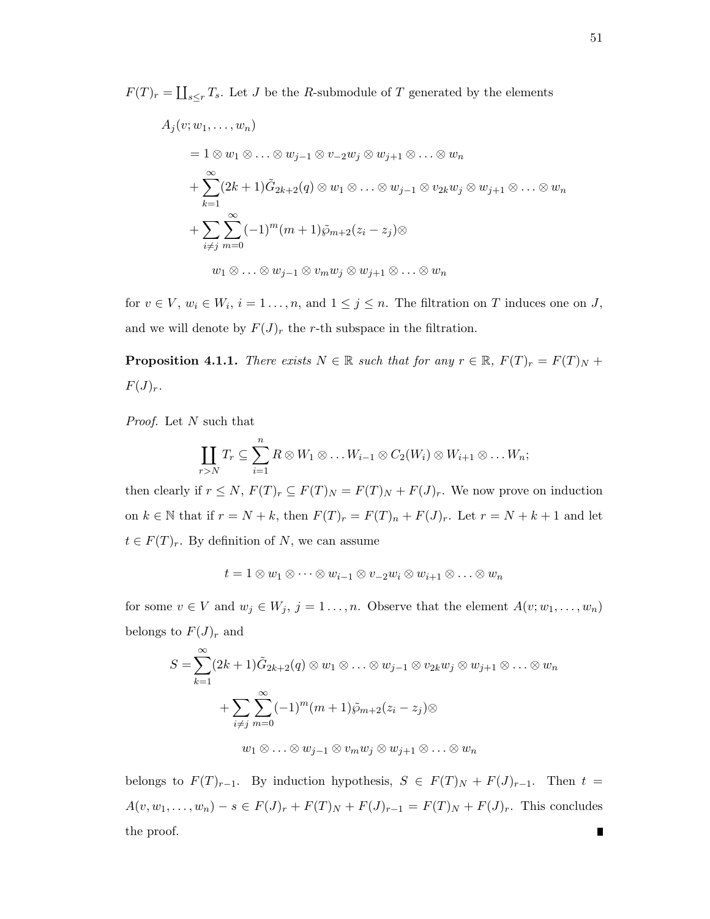$F(T)_r = \coprod_{s \leq r} T_s$ . Let J be the R-submodule of T generated by the elements

$$
A_j(v; w_1, \ldots, w_n)
$$
  
=  $1 \otimes w_1 \otimes \ldots \otimes w_{j-1} \otimes v_{-2}w_j \otimes w_{j+1} \otimes \ldots \otimes w_n$   
+  $\sum_{k=1}^{\infty} (2k+1)\tilde{G}_{2k+2}(q) \otimes w_1 \otimes \ldots \otimes w_{j-1} \otimes v_{2k}w_j \otimes w_{j+1} \otimes \ldots \otimes w_n$   
+  $\sum_{i \neq j}^{\infty} \sum_{m=0}^{\infty} (-1)^m (m+1)\tilde{\varphi}_{m+2}(z_i - z_j) \otimes$   
 $w_1 \otimes \ldots \otimes w_{j-1} \otimes v_m w_j \otimes w_{j+1} \otimes \ldots \otimes w_n$ 

for  $v \in V$ ,  $w_i \in W_i$ ,  $i = 1 \ldots, n$ , and  $1 \leq j \leq n$ . The filtration on T induces one on J, and we will denote by  $F(J)_r$  the r-th subspace in the filtration.

**Proposition 4.1.1.** There exists  $N \in \mathbb{R}$  such that for any  $r \in \mathbb{R}$ ,  $F(T)_r = F(T)_N +$  $F(J)<sub>r</sub>$ .

Proof. Let N such that

$$
\coprod_{r>N}T_r\subseteq \sum_{i=1}^n R\otimes W_1\otimes \ldots W_{i-1}\otimes C_2(W_i)\otimes W_{i+1}\otimes \ldots W_n;
$$

then clearly if  $r \leq N$ ,  $F(T)_r \subseteq F(T)_N = F(T)_N + F(J)_r$ . We now prove on induction on  $k \in \mathbb{N}$  that if  $r = N + k$ , then  $F(T)_r = F(T)_n + F(J)_r$ . Let  $r = N + k + 1$  and let  $t \in F(T)<sub>r</sub>$ . By definition of N, we can assume

$$
t=1\otimes w_1\otimes\cdots\otimes w_{i-1}\otimes v_{-2}w_i\otimes w_{i+1}\otimes\ldots\otimes w_n
$$

for some  $v \in V$  and  $w_j \in W_j$ ,  $j = 1, ..., n$ . Observe that the element  $A(v; w_1, ..., w_n)$ belongs to  ${\cal F}({\cal J})_r$  and

$$
S = \sum_{k=1}^{\infty} (2k+1)\tilde{G}_{2k+2}(q) \otimes w_1 \otimes \ldots \otimes w_{j-1} \otimes v_{2k}w_j \otimes w_{j+1} \otimes \ldots \otimes w_n
$$
  
+ 
$$
\sum_{i \neq j} \sum_{m=0}^{\infty} (-1)^m (m+1)\tilde{\varphi}_{m+2}(z_i - z_j) \otimes
$$
  

$$
w_1 \otimes \ldots \otimes w_{j-1} \otimes v_m w_j \otimes w_{j+1} \otimes \ldots \otimes w_n
$$

belongs to  $F(T)_{r-1}$ . By induction hypothesis,  $S \in F(T)_N + F(J)_{r-1}$ . Then  $t =$  $A(v, w_1, \ldots, w_n) - s \in F(J)_r + F(T)_N + F(J)_{r-1} = F(T)_N + F(J)_r$ . This concludes the proof. $\blacksquare$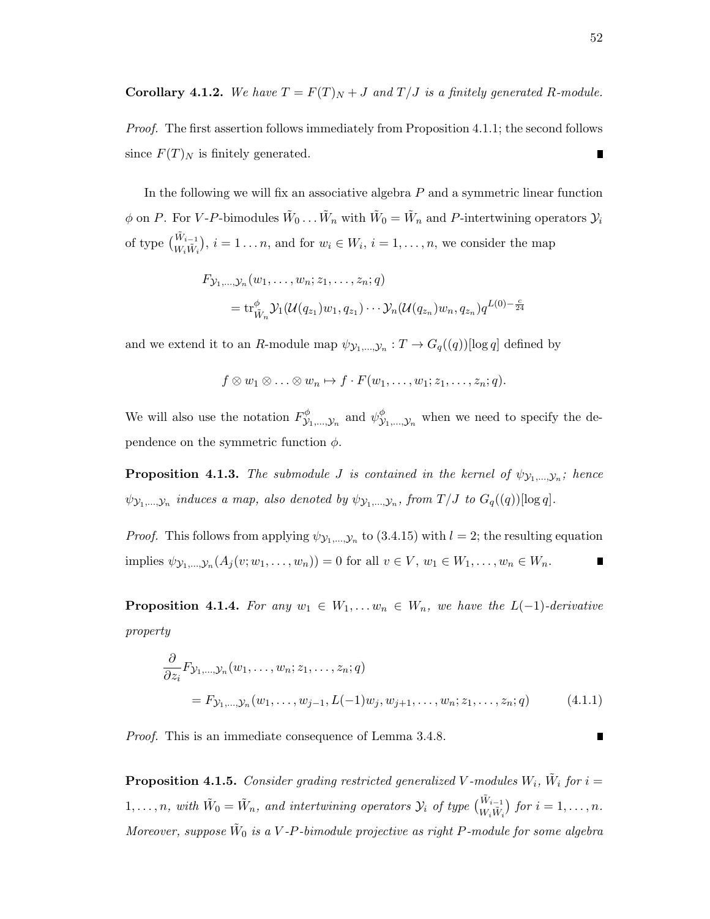**Corollary 4.1.2.** We have  $T = F(T)_N + J$  and  $T/J$  is a finitely generated R-module.

Proof. The first assertion follows immediately from Proposition 4.1.1; the second follows since  $F(T)_N$  is finitely generated. Г

In the following we will fix an associative algebra  $P$  and a symmetric linear function  $\phi$  on P. For V-P-bimodules  $\tilde{W}_0 \dots \tilde{W}_n$  with  $\tilde{W}_0 = \tilde{W}_n$  and P-intertwining operators  $\mathcal{Y}_i$ of type  $\binom{\tilde{W}_{i-1}}{W_i \tilde{W}_i}$ ,  $i = 1...n$ , and for  $w_i \in W_i$ ,  $i = 1,...,n$ , we consider the map

$$
F_{\mathcal{Y}_1, ..., \mathcal{Y}_n}(w_1, ..., w_n; z_1, ..., z_n; q)
$$
  
=  $\text{tr}_{\tilde{W}_n}^{\phi} \mathcal{Y}_1(\mathcal{U}(q_{z_1})w_1, q_{z_1}) \cdots \mathcal{Y}_n(\mathcal{U}(q_{z_n})w_n, q_{z_n}) q^{L(0) - \frac{c}{24}}$ 

and we extend it to an R-module map  $\psi_{\mathcal{Y}_1,...,\mathcal{Y}_n} : T \to G_q((q))$ [log q] defined by

$$
f \otimes w_1 \otimes \ldots \otimes w_n \mapsto f \cdot F(w_1, \ldots, w_1; z_1, \ldots, z_n; q).
$$

We will also use the notation  $F_{\mathcal{V}}^{\phi}$  $\psi_{\mathcal{Y}_1,\dots,\mathcal{Y}_n}^{\phi}$  and  $\psi_{\mathcal{Y}}^{\phi}$  $\mathcal{Y}_{1,\ldots,\mathcal{Y}_{n}}^{\varphi}$  when we need to specify the dependence on the symmetric function  $\phi$ .

**Proposition 4.1.3.** The submodule *J* is contained in the kernel of  $\psi_{\mathcal{Y}_1,...,\mathcal{Y}_n}$ ; hence  $\psi_{\mathcal{Y}_1,\dots,\mathcal{Y}_n}$  induces a map, also denoted by  $\psi_{\mathcal{Y}_1,\dots,\mathcal{Y}_n}$ , from  $T/J$  to  $G_q((q))[\log q]$ .

*Proof.* This follows from applying  $\psi_{\mathcal{Y}_1,...,\mathcal{Y}_n}$  to (3.4.15) with  $l = 2$ ; the resulting equation implies  $\psi_{\mathcal{Y}_1,...,\mathcal{Y}_n}(A_j(v; w_1,...,w_n)) = 0$  for all  $v \in V, w_1 \in W_1,...,w_n \in W_n$ .  $\blacksquare$ 

**Proposition 4.1.4.** For any  $w_1 \in W_1, \ldots, w_n \in W_n$ , we have the  $L(-1)$ -derivative property

$$
\frac{\partial}{\partial z_i} F_{\mathcal{Y}_1, \dots, \mathcal{Y}_n}(w_1, \dots, w_n; z_1, \dots, z_n; q)
$$
\n
$$
= F_{\mathcal{Y}_1, \dots, \mathcal{Y}_n}(w_1, \dots, w_{j-1}, L(-1)w_j, w_{j+1}, \dots, w_n; z_1, \dots, z_n; q) \tag{4.1.1}
$$

Proof. This is an immediate consequence of Lemma 3.4.8.

**Proposition 4.1.5.** Consider grading restricted generalized V-modules  $W_i$ ,  $\tilde{W}_i$  for  $i =$  $1,\ldots,n$ , with  $\tilde{W}_0 = \tilde{W}_n$ , and intertwining operators  $\mathcal{Y}_i$  of type  $\begin{pmatrix} \tilde{W}_{i-1} \\ W_i \tilde{W}_i \end{pmatrix}$  for  $i = 1,\ldots,n$ . Moreover, suppose  $\tilde{W}_0$  is a V-P-bimodule projective as right P-module for some algebra

П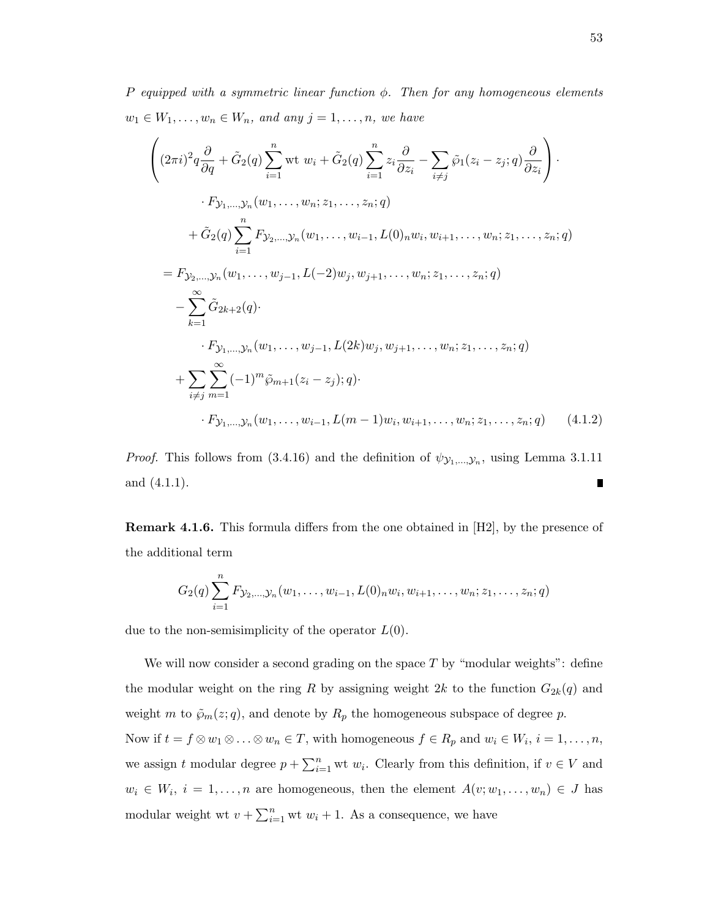P equipped with a symmetric linear function  $\phi$ . Then for any homogeneous elements  $w_1 \in W_1, \ldots, w_n \in W_n$ , and any  $j = 1, \ldots, n$ , we have

$$
\begin{split}\n&\left((2\pi i)^2 q \frac{\partial}{\partial q} + \tilde{G}_2(q) \sum_{i=1}^n \text{wt } w_i + \tilde{G}_2(q) \sum_{i=1}^n z_i \frac{\partial}{\partial z_i} - \sum_{i \neq j} \tilde{\wp}_1(z_i - z_j; q) \frac{\partial}{\partial z_i}\right) \cdot \\
&\cdot F_{\mathcal{Y}_1, \dots, \mathcal{Y}_n}(w_1, \dots, w_n; z_1, \dots, z_n; q) \\
&\quad + \tilde{G}_2(q) \sum_{i=1}^n F_{\mathcal{Y}_2, \dots, \mathcal{Y}_n}(w_1, \dots, w_{i-1}, L(0)_n w_i, w_{i+1}, \dots, w_n; z_1, \dots, z_n; q) \\
&= F_{\mathcal{Y}_2, \dots, \mathcal{Y}_n}(w_1, \dots, w_{j-1}, L(-2)w_j, w_{j+1}, \dots, w_n; z_1, \dots, z_n; q) \\
&\quad - \sum_{k=1}^\infty \tilde{G}_{2k+2}(q) \cdot \\
&\quad \cdot F_{\mathcal{Y}_1, \dots, \mathcal{Y}_n}(w_1, \dots, w_{j-1}, L(2k)w_j, w_{j+1}, \dots, w_n; z_1, \dots, z_n; q) \\
&\quad + \sum_{i \neq j} \sum_{m=1}^\infty (-1)^m \tilde{\wp}_{m+1}(z_i - z_j); q) \cdot \\
&\quad \cdot F_{\mathcal{Y}_1, \dots, \mathcal{Y}_n}(w_1, \dots, w_{i-1}, L(m-1)w_i, w_{i+1}, \dots, w_n; z_1, \dots, z_n; q) \tag{4.1.2}\n\end{split}
$$

*Proof.* This follows from (3.4.16) and the definition of  $\psi_{\mathcal{Y}_1,\dots,\mathcal{Y}_n}$ , using Lemma 3.1.11 and (4.1.1).  $\blacksquare$ 

Remark 4.1.6. This formula differs from the one obtained in [H2], by the presence of the additional term

$$
G_2(q) \sum_{i=1}^n F_{\mathcal{Y}_2,\dots,\mathcal{Y}_n}(w_1,\dots,w_{i-1},L(0)_n w_i,w_{i+1},\dots,w_n;z_1,\dots,z_n;q)
$$

due to the non-semisimplicity of the operator  $L(0)$ .

We will now consider a second grading on the space  $T$  by "modular weights": define the modular weight on the ring R by assigning weight 2k to the function  $G_{2k}(q)$  and weight m to  $\tilde{\wp}_m(z; q)$ , and denote by  $R_p$  the homogeneous subspace of degree p. Now if  $t = f \otimes w_1 \otimes \ldots \otimes w_n \in T$ , with homogeneous  $f \in R_p$  and  $w_i \in W_i$ ,  $i = 1, \ldots, n$ , we assign t modular degree  $p + \sum_{i=1}^{n}$  wt  $w_i$ . Clearly from this definition, if  $v \in V$  and  $w_i \in W_i$ ,  $i = 1, \ldots, n$  are homogeneous, then the element  $A(v; w_1, \ldots, w_n) \in J$  has modular weight wt  $v + \sum_{i=1}^{n}$  wt  $w_i + 1$ . As a consequence, we have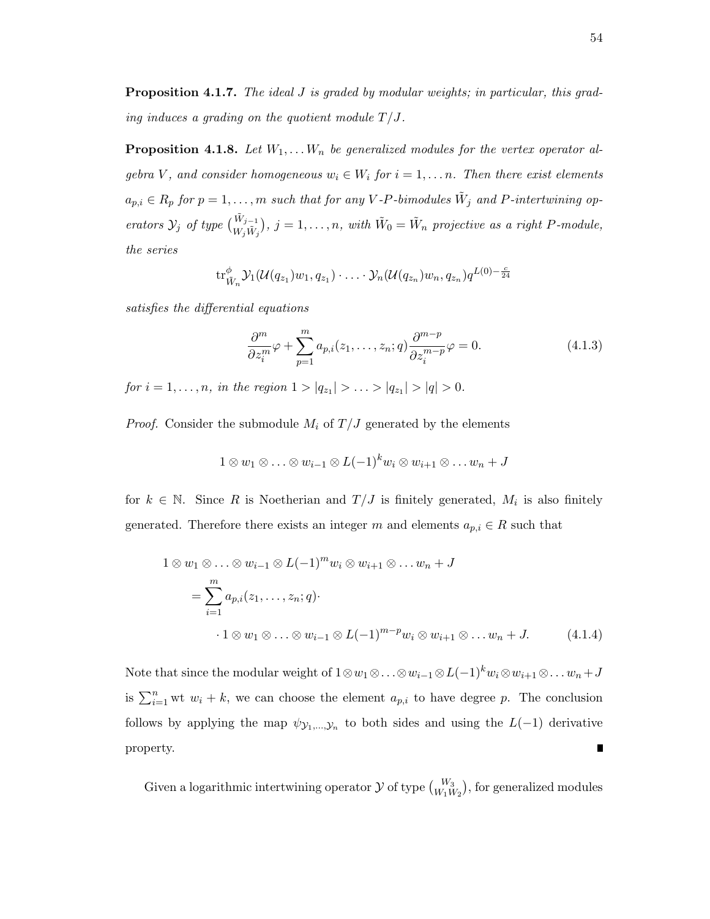**Proposition 4.1.7.** The ideal J is graded by modular weights; in particular, this grading induces a grading on the quotient module  $T/J$ .

**Proposition 4.1.8.** Let  $W_1, \ldots, W_n$  be generalized modules for the vertex operator algebra V, and consider homogeneous  $w_i \in W_i$  for  $i = 1, \ldots n$ . Then there exist elements  $a_{p,i} \in R_p$  for  $p = 1, \ldots, m$  such that for any V-P-bimodules  $\tilde{W}_j$  and P-intertwining operators  $\mathcal{Y}_j$  of type  $\begin{pmatrix} \tilde{W}_{j-1} \\ W_j \tilde{W}_j \end{pmatrix}$ ,  $j = 1, \ldots, n$ , with  $\tilde{W}_0 = \tilde{W}_n$  projective as a right P-module, the series

$$
\mathrm{tr}_{\tilde{W}_n}^{\phi} \mathcal{Y}_1(\mathcal{U}(q_{z_1})w_1, q_{z_1}) \cdot \ldots \cdot \mathcal{Y}_n(\mathcal{U}(q_{z_n})w_n, q_{z_n}) q^{L(0)-\frac{c}{24}}
$$

satisfies the differential equations

$$
\frac{\partial^m}{\partial z_i^m} \varphi + \sum_{p=1}^m a_{p,i}(z_1, \dots, z_n; q) \frac{\partial^{m-p}}{\partial z_i^{m-p}} \varphi = 0.
$$
\n(4.1.3)

for  $i = 1, ..., n$ , in the region  $1 > |q_{z_1}| > ... > |q_{z_1}| > |q| > 0$ .

*Proof.* Consider the submodule  $M_i$  of  $T/J$  generated by the elements

$$
1 \otimes w_1 \otimes \ldots \otimes w_{i-1} \otimes L(-1)^k w_i \otimes w_{i+1} \otimes \ldots w_n + J
$$

for  $k \in \mathbb{N}$ . Since R is Noetherian and  $T/J$  is finitely generated,  $M_i$  is also finitely generated. Therefore there exists an integer m and elements  $a_{p,i} \in R$  such that

$$
1 \otimes w_1 \otimes \ldots \otimes w_{i-1} \otimes L(-1)^m w_i \otimes w_{i+1} \otimes \ldots w_n + J
$$
  
= 
$$
\sum_{i=1}^m a_{p,i}(z_1, \ldots, z_n; q) \cdot
$$
  

$$
\cdot 1 \otimes w_1 \otimes \ldots \otimes w_{i-1} \otimes L(-1)^{m-p} w_i \otimes w_{i+1} \otimes \ldots w_n + J. \qquad (4.1.4)
$$

Note that since the modular weight of  $1 \otimes w_1 \otimes \ldots \otimes w_{i-1} \otimes L(-1)^k w_i \otimes w_{i+1} \otimes \ldots w_n + J$ is  $\sum_{i=1}^{n}$  wt  $w_i + k$ , we can choose the element  $a_{p,i}$  to have degree p. The conclusion follows by applying the map  $\psi_{\mathcal{Y}_1,\dots,\mathcal{Y}_n}$  to both sides and using the  $L(-1)$  derivative property.  $\blacksquare$ 

Given a logarithmic intertwining operator  $\mathcal Y$  of type  ${W_3 \choose W_1 W_2}$ , for generalized modules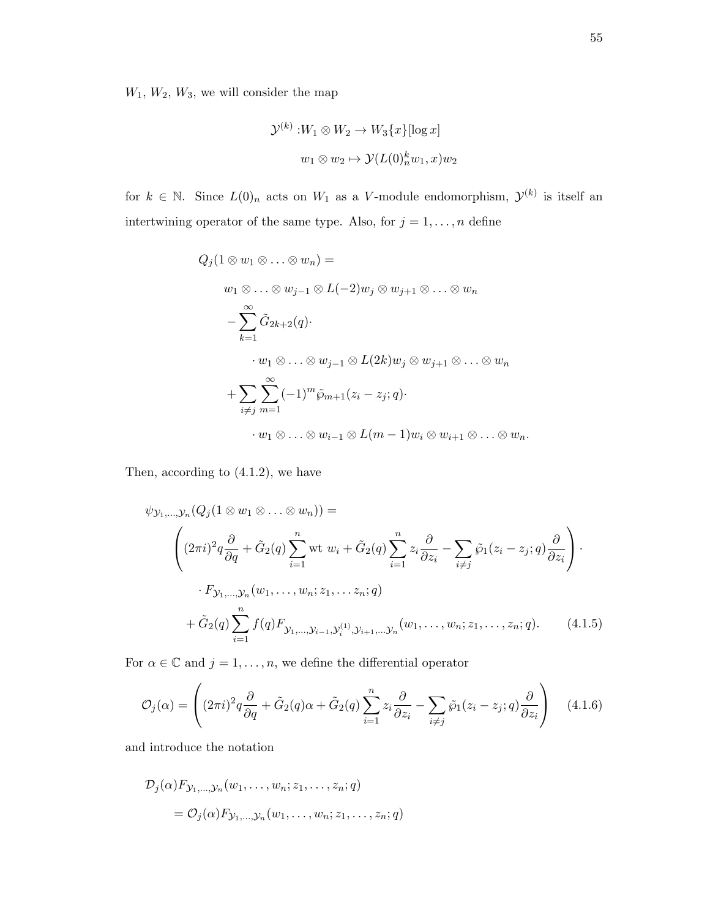$W_1, W_2, W_3$ , we will consider the map

$$
\mathcal{Y}^{(k)} : W_1 \otimes W_2 \to W_3\{x\} [\log x]
$$

$$
w_1 \otimes w_2 \mapsto \mathcal{Y}(L(0)_n^k w_1, x) w_2
$$

for  $k \in \mathbb{N}$ . Since  $L(0)_n$  acts on  $W_1$  as a V-module endomorphism,  $\mathcal{Y}^{(k)}$  is itself an intertwining operator of the same type. Also, for  $j = 1, \ldots, n$  define

$$
Q_j(1 \otimes w_1 \otimes \ldots \otimes w_n) =
$$
  
\n
$$
w_1 \otimes \ldots \otimes w_{j-1} \otimes L(-2)w_j \otimes w_{j+1} \otimes \ldots \otimes w_n
$$
  
\n
$$
-\sum_{k=1}^{\infty} \tilde{G}_{2k+2}(q) \cdot
$$
  
\n
$$
\cdot w_1 \otimes \ldots \otimes w_{j-1} \otimes L(2k)w_j \otimes w_{j+1} \otimes \ldots \otimes w_n
$$
  
\n
$$
+\sum_{i \neq j} \sum_{m=1}^{\infty} (-1)^m \tilde{\wp}_{m+1}(z_i - z_j; q) \cdot
$$
  
\n
$$
\cdot w_1 \otimes \ldots \otimes w_{i-1} \otimes L(m-1)w_i \otimes w_{i+1} \otimes \ldots \otimes w_n.
$$

Then, according to (4.1.2), we have

$$
\psi_{\mathcal{Y}_1,\dots,\mathcal{Y}_n}(Q_j(1\otimes w_1\otimes \dots \otimes w_n)) =
$$
\n
$$
\left((2\pi i)^2 q \frac{\partial}{\partial q} + \tilde{G}_2(q) \sum_{i=1}^n \text{wt } w_i + \tilde{G}_2(q) \sum_{i=1}^n z_i \frac{\partial}{\partial z_i} - \sum_{i \neq j} \tilde{\wp}_1(z_i - z_j; q) \frac{\partial}{\partial z_i}\right) \cdot F_{\mathcal{Y}_1,\dots,\mathcal{Y}_n}(w_1,\dots,w_n; z_1,\dots z_n; q)
$$
\n
$$
+ \tilde{G}_2(q) \sum_{i=1}^n f(q) F_{\mathcal{Y}_1,\dots,\mathcal{Y}_{i-1},\mathcal{Y}_i^{(1)},\mathcal{Y}_{i+1},\dots,\mathcal{Y}_n}(w_1,\dots,w_n; z_1,\dots,z_n; q). \tag{4.1.5}
$$

For  $\alpha \in \mathbb{C}$  and  $j = 1, \ldots, n$ , we define the differential operator

$$
\mathcal{O}_j(\alpha) = \left( (2\pi i)^2 q \frac{\partial}{\partial q} + \tilde{G}_2(q)\alpha + \tilde{G}_2(q) \sum_{i=1}^n z_i \frac{\partial}{\partial z_i} - \sum_{i \neq j} \tilde{\wp}_1(z_i - z_j; q) \frac{\partial}{\partial z_i} \right) \quad (4.1.6)
$$

and introduce the notation

$$
\mathcal{D}_j(\alpha) F_{\mathcal{Y}_1,\dots,\mathcal{Y}_n}(w_1,\dots,w_n;z_1,\dots,z_n;q)
$$
  
=  $\mathcal{O}_j(\alpha) F_{\mathcal{Y}_1,\dots,\mathcal{Y}_n}(w_1,\dots,w_n;z_1,\dots,z_n;q)$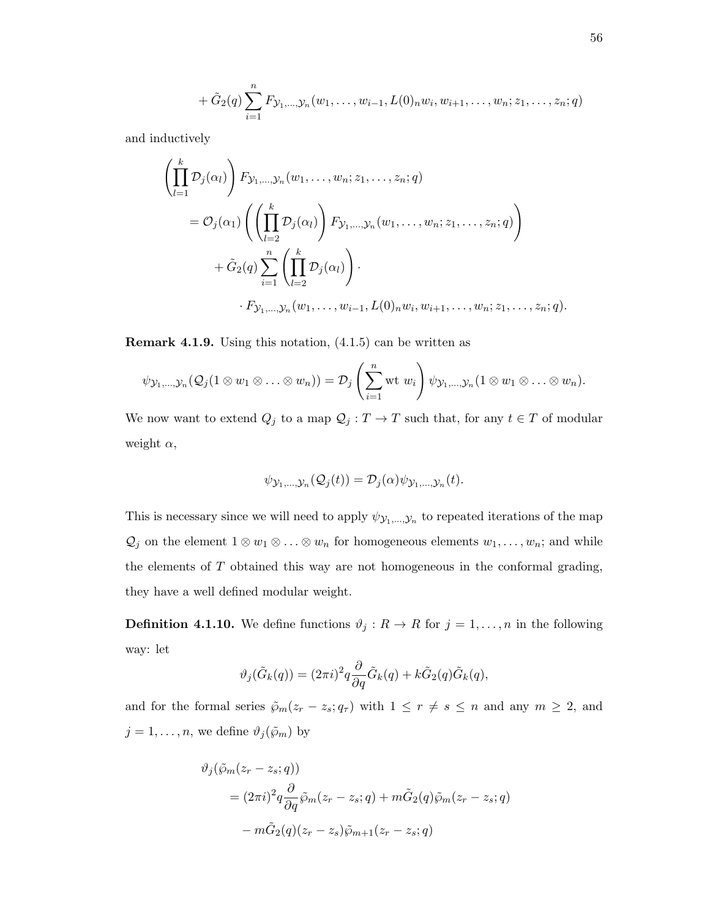+ 
$$
\tilde{G}_2(q) \sum_{i=1}^n F_{\mathcal{Y}_1,\dots,\mathcal{Y}_n}(w_1,\dots,w_{i-1},L(0)_n w_i,w_{i+1},\dots,w_n;z_1,\dots,z_n;q)
$$

and inductively

$$
\left(\prod_{l=1}^{k} \mathcal{D}_{j}(\alpha_{l})\right) F_{\mathcal{Y}_{1},\dots,\mathcal{Y}_{n}}(w_{1},\dots,w_{n};z_{1},\dots,z_{n};q)
$$
\n
$$
= \mathcal{O}_{j}(\alpha_{1}) \left(\left(\prod_{l=2}^{k} \mathcal{D}_{j}(\alpha_{l})\right) F_{\mathcal{Y}_{1},\dots,\mathcal{Y}_{n}}(w_{1},\dots,w_{n};z_{1},\dots,z_{n};q)\right)
$$
\n
$$
+ \tilde{G}_{2}(q) \sum_{i=1}^{n} \left(\prod_{l=2}^{k} \mathcal{D}_{j}(\alpha_{l})\right).
$$
\n
$$
\cdot F_{\mathcal{Y}_{1},\dots,\mathcal{Y}_{n}}(w_{1},\dots,w_{i-1},L(0)_{n}w_{i},w_{i+1},\dots,w_{n};z_{1},\dots,z_{n};q).
$$

Remark 4.1.9. Using this notation, (4.1.5) can be written as

$$
\psi_{\mathcal{Y}_1,\ldots,\mathcal{Y}_n}(\mathcal{Q}_j(1\otimes w_1\otimes\ldots\otimes w_n))=\mathcal{D}_j\left(\sum_{i=1}^n\mathrm{wt}\;w_i\right)\psi_{\mathcal{Y}_1,\ldots,\mathcal{Y}_n}(1\otimes w_1\otimes\ldots\otimes w_n).
$$

We now want to extend  $Q_j$  to a map  $\mathcal{Q}_j:T\to T$  such that, for any  $t\in T$  of modular weight  $\alpha$ ,

$$
\psi_{\mathcal{Y}_1,\ldots,\mathcal{Y}_n}(\mathcal{Q}_j(t))=\mathcal{D}_j(\alpha)\psi_{\mathcal{Y}_1,\ldots,\mathcal{Y}_n}(t).
$$

This is necessary since we will need to apply  $\psi_{\mathcal{Y}_1,\dots,\mathcal{Y}_n}$  to repeated iterations of the map  $\mathcal{Q}_j$  on the element  $1 \otimes w_1 \otimes \ldots \otimes w_n$  for homogeneous elements  $w_1, \ldots, w_n$ ; and while the elements of  $T$  obtained this way are not homogeneous in the conformal grading, they have a well defined modular weight.

**Definition 4.1.10.** We define functions  $\vartheta_j : R \to R$  for  $j = 1, ..., n$  in the following way: let

$$
\vartheta_j(\tilde{G}_k(q)) = (2\pi i)^2 q \frac{\partial}{\partial q} \tilde{G}_k(q) + k \tilde{G}_2(q) \tilde{G}_k(q),
$$

and for the formal series  $\tilde{\wp}_m(z_r - z_s; q_\tau)$  with  $1 \le r \ne s \le n$  and any  $m \ge 2$ , and  $j = 1, \ldots, n$ , we define  $\vartheta_j(\tilde{\wp}_m)$  by

$$
\vartheta_j(\tilde{\wp}_m(z_r - z_s; q))
$$
  
=  $(2\pi i)^2 q \frac{\partial}{\partial q} \tilde{\wp}_m(z_r - z_s; q) + m\tilde{G}_2(q) \tilde{\wp}_m(z_r - z_s; q)$   
 $- m\tilde{G}_2(q)(z_r - z_s) \tilde{\wp}_{m+1}(z_r - z_s; q)$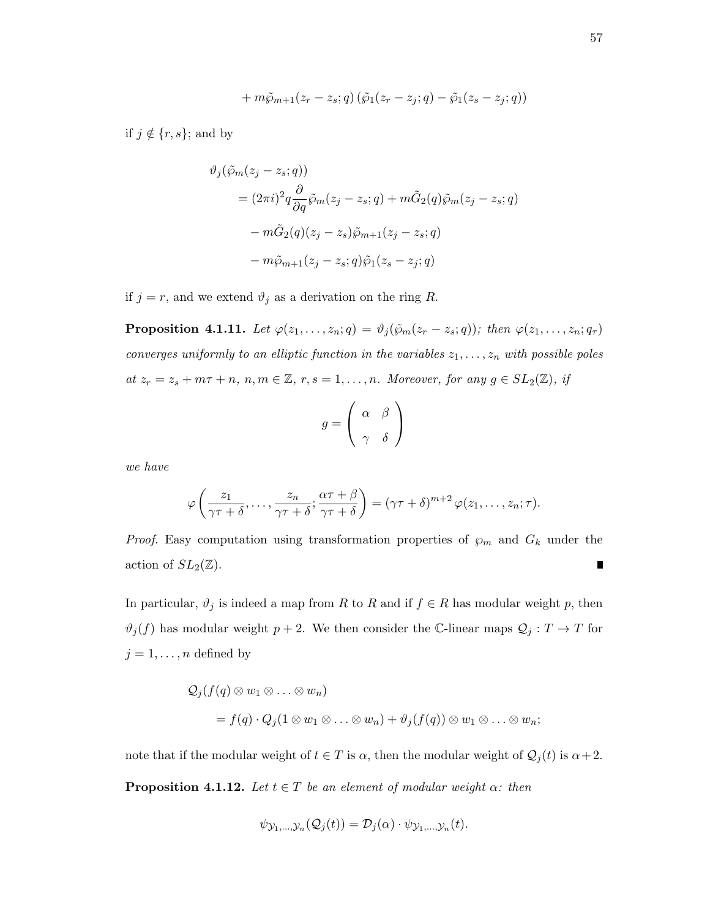$$
+ m\tilde{\varphi}_{m+1}(z_r - z_s; q) (\tilde{\varphi}_1(z_r - z_j; q) - \tilde{\varphi}_1(z_s - z_j; q))
$$

if  $j \notin \{r, s\}$ ; and by

$$
\vartheta_j(\tilde{\wp}_m(z_j - z_s; q))
$$
  
=  $(2\pi i)^2 q \frac{\partial}{\partial q} \tilde{\wp}_m(z_j - z_s; q) + m\tilde{G}_2(q) \tilde{\wp}_m(z_j - z_s; q)$   
 $- m\tilde{G}_2(q)(z_j - z_s) \tilde{\wp}_{m+1}(z_j - z_s; q)$   
 $- m\tilde{\wp}_{m+1}(z_j - z_s; q) \tilde{\wp}_1(z_s - z_j; q)$ 

if  $j = r$ , and we extend  $\vartheta_j$  as a derivation on the ring R.

**Proposition 4.1.11.** Let  $\varphi(z_1,\ldots,z_n;q) = \vartheta_j(\tilde{\varphi}_m(z_r-z_s;q))$ ; then  $\varphi(z_1,\ldots,z_n;q_\tau)$ converges uniformly to an elliptic function in the variables  $z_1, \ldots, z_n$  with possible poles at  $z_r = z_s + m\tau + n$ ,  $n, m \in \mathbb{Z}$ ,  $r, s = 1, ..., n$ . Moreover, for any  $g \in SL_2(\mathbb{Z})$ , if

$$
g = \left(\begin{array}{cc} \alpha & \beta \\ \gamma & \delta \end{array}\right)
$$

we have

$$
\varphi\left(\frac{z_1}{\gamma\tau+\delta},\ldots,\frac{z_n}{\gamma\tau+\delta};\frac{\alpha\tau+\beta}{\gamma\tau+\delta}\right)=(\gamma\tau+\delta)^{m+2}\varphi(z_1,\ldots,z_n;\tau).
$$

*Proof.* Easy computation using transformation properties of  $\wp_m$  and  $G_k$  under the action of  $SL_2(\mathbb{Z})$ .  $\blacksquare$ 

In particular,  $\vartheta_j$  is indeed a map from R to R and if  $f \in R$  has modular weight p, then  $\vartheta_j(f)$  has modular weight  $p+2$ . We then consider the C-linear maps  $\mathcal{Q}_j : T \to T$  for  $j = 1, \ldots, n$  defined by

$$
Q_j(f(q) \otimes w_1 \otimes \ldots \otimes w_n)
$$
  
=  $f(q) \cdot Q_j(1 \otimes w_1 \otimes \ldots \otimes w_n) + \vartheta_j(f(q)) \otimes w_1 \otimes \ldots \otimes w_n;$ 

note that if the modular weight of  $t \in T$  is  $\alpha$ , then the modular weight of  $\mathcal{Q}_j(t)$  is  $\alpha+2$ .

**Proposition 4.1.12.** Let  $t \in T$  be an element of modular weight  $\alpha$ : then

$$
\psi_{\mathcal{Y}_1,\ldots,\mathcal{Y}_n}(\mathcal{Q}_j(t))=\mathcal{D}_j(\alpha)\cdot\psi_{\mathcal{Y}_1,\ldots,\mathcal{Y}_n}(t).
$$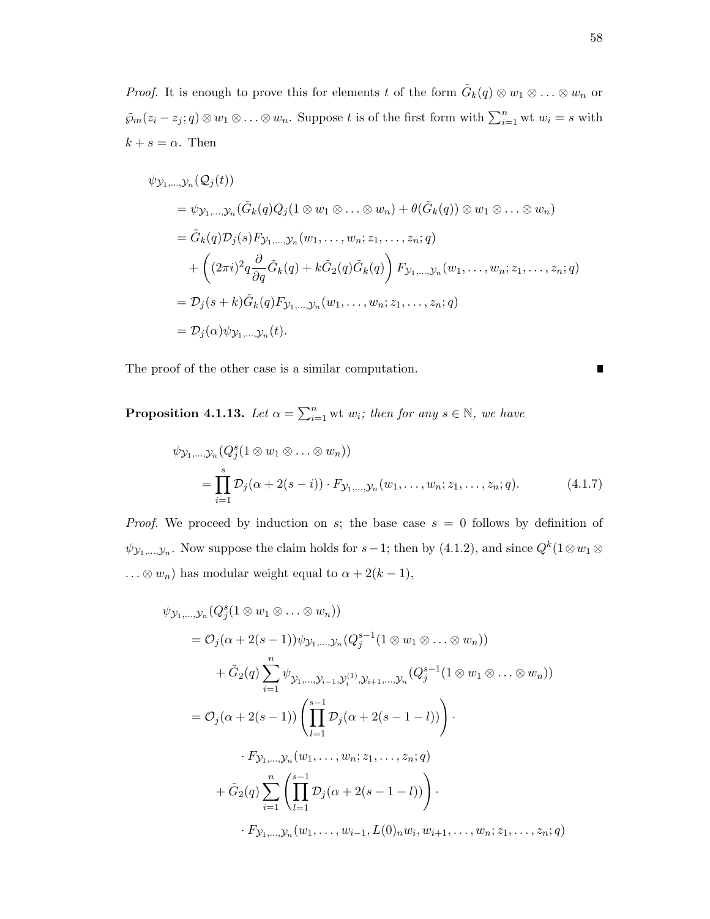*Proof.* It is enough to prove this for elements t of the form  $\tilde{G}_k(q) \otimes w_1 \otimes \ldots \otimes w_n$  or  $\tilde{\wp}_m(z_i - z_j; q) \otimes w_1 \otimes \ldots \otimes w_n$ . Suppose t is of the first form with  $\sum_{i=1}^n \text{wt } w_i = s$  with  $k + s = \alpha$ . Then

$$
\psi_{\mathcal{Y}_1,\dots,\mathcal{Y}_n}(\mathcal{Q}_j(t))
$$
\n
$$
= \psi_{\mathcal{Y}_1,\dots,\mathcal{Y}_n}(\tilde{G}_k(q)Q_j(1 \otimes w_1 \otimes \dots \otimes w_n) + \theta(\tilde{G}_k(q)) \otimes w_1 \otimes \dots \otimes w_n)
$$
\n
$$
= \tilde{G}_k(q)\mathcal{D}_j(s)\mathcal{F}_{\mathcal{Y}_1,\dots,\mathcal{Y}_n}(w_1,\dots,w_n;z_1,\dots,z_n;q)
$$
\n
$$
+ \left( (2\pi i)^2 q \frac{\partial}{\partial q} \tilde{G}_k(q) + k \tilde{G}_2(q) \tilde{G}_k(q) \right) \mathcal{F}_{\mathcal{Y}_1,\dots,\mathcal{Y}_n}(w_1,\dots,w_n;z_1,\dots,z_n;q)
$$
\n
$$
= \mathcal{D}_j(s+k) \tilde{G}_k(q) \mathcal{F}_{\mathcal{Y}_1,\dots,\mathcal{Y}_n}(w_1,\dots,w_n;z_1,\dots,z_n;q)
$$
\n
$$
= \mathcal{D}_j(\alpha)\psi_{\mathcal{Y}_1,\dots,\mathcal{Y}_n}(t).
$$

The proof of the other case is a similar computation.

**Proposition 4.1.13.** Let  $\alpha = \sum_{i=1}^{n}$  wt  $w_i$ ; then for any  $s \in \mathbb{N}$ , we have

$$
\psi_{\mathcal{Y}_1, ..., \mathcal{Y}_n} (Q_j^s (1 \otimes w_1 \otimes ... \otimes w_n))
$$
  
= 
$$
\prod_{i=1}^s \mathcal{D}_j (\alpha + 2(s - i)) \cdot F_{\mathcal{Y}_1, ..., \mathcal{Y}_n} (w_1, ..., w_n; z_1, ..., z_n; q).
$$
 (4.1.7)

*Proof.* We proceed by induction on s; the base case  $s = 0$  follows by definition of  $\psi_{\mathcal{Y}_1,\dots,\mathcal{Y}_n}$ . Now suppose the claim holds for  $s-1$ ; then by  $(4.1.2)$ , and since  $Q^k(1\otimes w_1\otimes$  $\ldots \otimes w_n$ ) has modular weight equal to  $\alpha + 2(k - 1)$ ,

$$
\psi_{\mathcal{Y}_{1},\ldots,\mathcal{Y}_{n}}(Q_{j}^{s}(1\otimes w_{1}\otimes\ldots\otimes w_{n}))
$$
\n
$$
= \mathcal{O}_{j}(\alpha + 2(s - 1))\psi_{\mathcal{Y}_{1},\ldots,\mathcal{Y}_{n}}(Q_{j}^{s-1}(1\otimes w_{1}\otimes\ldots\otimes w_{n}))
$$
\n
$$
+ \tilde{G}_{2}(q)\sum_{i=1}^{n}\psi_{\mathcal{Y}_{1},\ldots,\mathcal{Y}_{i-1},\mathcal{Y}_{i}}(1\otimes w_{1}\otimes\ldots\otimes w_{n}))
$$
\n
$$
= \mathcal{O}_{j}(\alpha + 2(s - 1))\left(\prod_{l=1}^{s-1}\mathcal{D}_{j}(\alpha + 2(s - 1 - l))\right).
$$
\n
$$
\cdot F_{\mathcal{Y}_{1},\ldots,\mathcal{Y}_{n}}(w_{1},\ldots,w_{n};z_{1},\ldots,z_{n};q)
$$
\n
$$
+ \tilde{G}_{2}(q)\sum_{i=1}^{n}\left(\prod_{l=1}^{s-1}\mathcal{D}_{j}(\alpha + 2(s - 1 - l))\right).
$$
\n
$$
\cdot F_{\mathcal{Y}_{1},\ldots,\mathcal{Y}_{n}}(w_{1},\ldots,w_{i-1},L(0)_{n}w_{i},w_{i+1},\ldots,w_{n};z_{1},\ldots,z_{n};q)
$$

 $\blacksquare$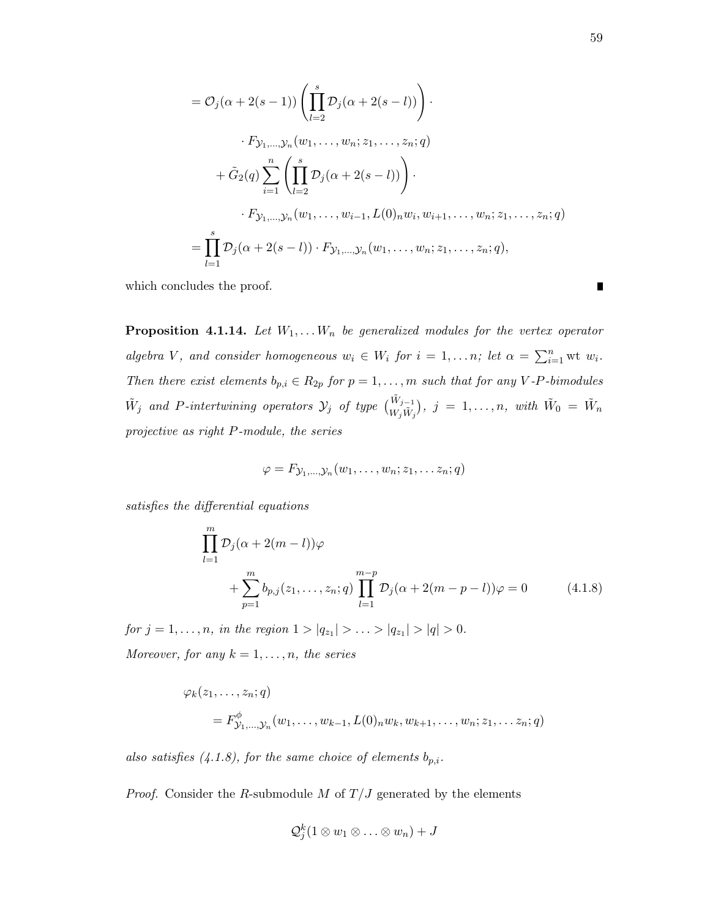$$
= O_j(\alpha + 2(s - 1)) \left( \prod_{l=2}^s \mathcal{D}_j(\alpha + 2(s - l)) \right) \cdot
$$
  
\n
$$
\cdot F_{\mathcal{Y}_1, \dots, \mathcal{Y}_n}(w_1, \dots, w_n; z_1, \dots, z_n; q)
$$
  
\n
$$
+ \tilde{G}_2(q) \sum_{i=1}^n \left( \prod_{l=2}^s \mathcal{D}_j(\alpha + 2(s - l)) \right) \cdot
$$
  
\n
$$
\cdot F_{\mathcal{Y}_1, \dots, \mathcal{Y}_n}(w_1, \dots, w_{i-1}, L(0)_n w_i, w_{i+1}, \dots, w_n; z_1, \dots, z_n; q)
$$
  
\n
$$
= \prod_{l=1}^s \mathcal{D}_j(\alpha + 2(s - l)) \cdot F_{\mathcal{Y}_1, \dots, \mathcal{Y}_n}(w_1, \dots, w_n; z_1, \dots, z_n; q),
$$

which concludes the proof.

**Proposition 4.1.14.** Let  $W_1, \ldots, W_n$  be generalized modules for the vertex operator algebra V, and consider homogeneous  $w_i \in W_i$  for  $i = 1, \ldots n$ ; let  $\alpha = \sum_{i=1}^n \text{wt } w_i$ . Then there exist elements  $b_{p,i} \in R_{2p}$  for  $p = 1, ..., m$  such that for any V-P-bimodules  $\tilde{W}_j$  and P-intertwining operators  $\mathcal{Y}_j$  of type  $\binom{\tilde{W}_{j-1}}{W_j\tilde{W}_j}$ ,  $j=1,\ldots,n$ , with  $\tilde{W}_0 = \tilde{W}_n$ projective as right P-module, the series

$$
\varphi = F_{\mathcal{Y}_1,\ldots,\mathcal{Y}_n}(w_1,\ldots,w_n;z_1,\ldots z_n;q)
$$

satisfies the differential equations

$$
\prod_{l=1}^{m} \mathcal{D}_j(\alpha + 2(m - l))\varphi + \sum_{p=1}^{m} b_{p,j}(z_1, ..., z_n; q) \prod_{l=1}^{m-p} \mathcal{D}_j(\alpha + 2(m - p - l))\varphi = 0
$$
 (4.1.8)

 $for j = 1, \ldots, n, in the region  $1 > |q_{z_1}| > \ldots > |q_{z_1}| > |q| > 0$ .$ Moreover, for any  $k = 1, \ldots, n$ , the series

$$
\varphi_k(z_1, ..., z_n; q)
$$
  
=  $F^{\phi}_{\mathcal{Y}_1, ..., \mathcal{Y}_n}(w_1, ..., w_{k-1}, L(0)_n w_k, w_{k+1}, ..., w_n; z_1, ..., z_n; q)$ 

also satisfies  $(4.1.8)$ , for the same choice of elements  $b_{p,i}$ .

*Proof.* Consider the R-submodule M of  $T/J$  generated by the elements

$$
\mathcal{Q}_j^k(1\otimes w_1\otimes\ldots\otimes w_n)+J
$$

 $\blacksquare$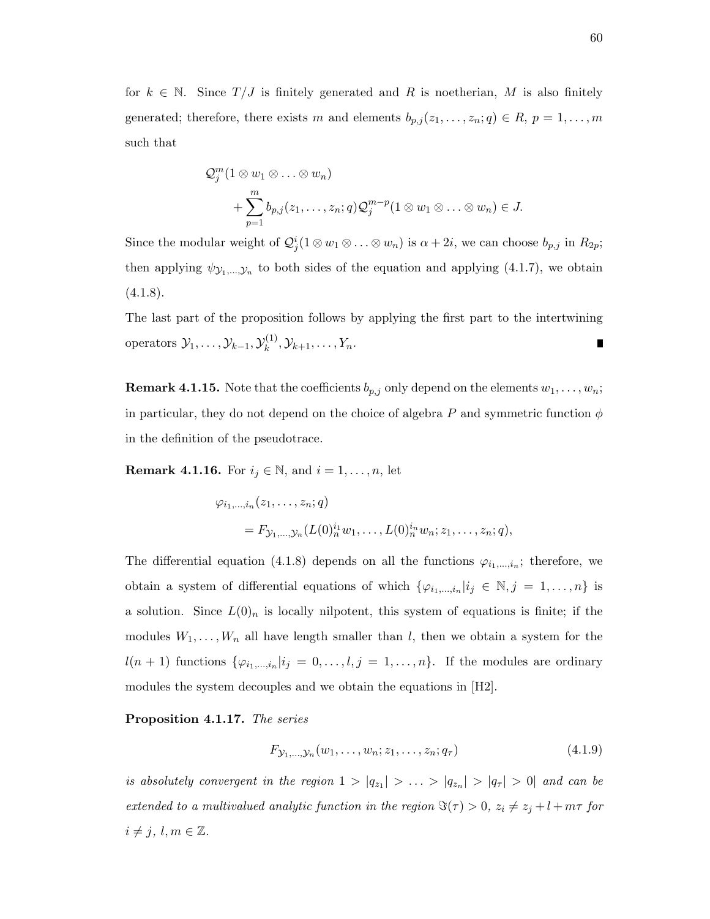for  $k \in \mathbb{N}$ . Since  $T/J$  is finitely generated and R is noetherian, M is also finitely generated; therefore, there exists m and elements  $b_{p,j}(z_1,\ldots,z_n;q) \in R$ ,  $p = 1,\ldots,m$ such that

$$
\mathcal{Q}_j^m(1 \otimes w_1 \otimes \ldots \otimes w_n)
$$
  
+ 
$$
\sum_{p=1}^m b_{p,j}(z_1, \ldots, z_n; q) \mathcal{Q}_j^{m-p}(1 \otimes w_1 \otimes \ldots \otimes w_n) \in J.
$$

Since the modular weight of  $\mathcal{Q}_j^i(1 \otimes w_1 \otimes \ldots \otimes w_n)$  is  $\alpha + 2i$ , we can choose  $b_{p,j}$  in  $R_{2p}$ ; then applying  $\psi_{\mathcal{Y}_1,\dots,\mathcal{Y}_n}$  to both sides of the equation and applying (4.1.7), we obtain  $(4.1.8).$ 

The last part of the proposition follows by applying the first part to the intertwining operators  $\mathcal{Y}_1, \ldots, \mathcal{Y}_{k-1}, \mathcal{Y}_k^{(1)}$  $x_k^{(1)}, Y_{k+1}, \ldots, Y_n.$  $\blacksquare$ 

**Remark 4.1.15.** Note that the coefficients  $b_{p,j}$  only depend on the elements  $w_1, \ldots, w_n$ ; in particular, they do not depend on the choice of algebra P and symmetric function  $\phi$ in the definition of the pseudotrace.

**Remark 4.1.16.** For  $i_j \in \mathbb{N}$ , and  $i = 1, \ldots, n$ , let

$$
\varphi_{i_1,...,i_n}(z_1,...,z_n;q)
$$
  
=  $F_{\mathcal{Y}_1,...,\mathcal{Y}_n}(L(0)^{i_1}_n w_1,...,L(0)^{i_n}_n w_n; z_1,...,z_n;q),$ 

The differential equation (4.1.8) depends on all the functions  $\varphi_{i_1,\dots,i_n}$ ; therefore, we obtain a system of differential equations of which  $\{\varphi_{i_1,\dots,i_n}|i_j \in \mathbb{N}, j = 1,\dots,n\}$  is a solution. Since  $L(0)_n$  is locally nilpotent, this system of equations is finite; if the modules  $W_1, \ldots, W_n$  all have length smaller than l, then we obtain a system for the  $l(n + 1)$  functions  $\{\varphi_{i_1,\dots,i_n}|i_j = 0,\dots,l,j = 1,\dots,n\}$ . If the modules are ordinary modules the system decouples and we obtain the equations in [H2].

Proposition 4.1.17. The series

$$
F_{\mathcal{Y}_1,\dots,\mathcal{Y}_n}(w_1,\dots,w_n;z_1,\dots,z_n;q_\tau) \tag{4.1.9}
$$

is absolutely convergent in the region  $1 > |q_{z_1}| > ... > |q_{z_n}| > |q_{\tau}| > 0$  and can be extended to a multivalued analytic function in the region  $\Im(\tau) > 0$ ,  $z_i \neq z_j + l + m\tau$  for  $i \neq j, l, m \in \mathbb{Z}$ .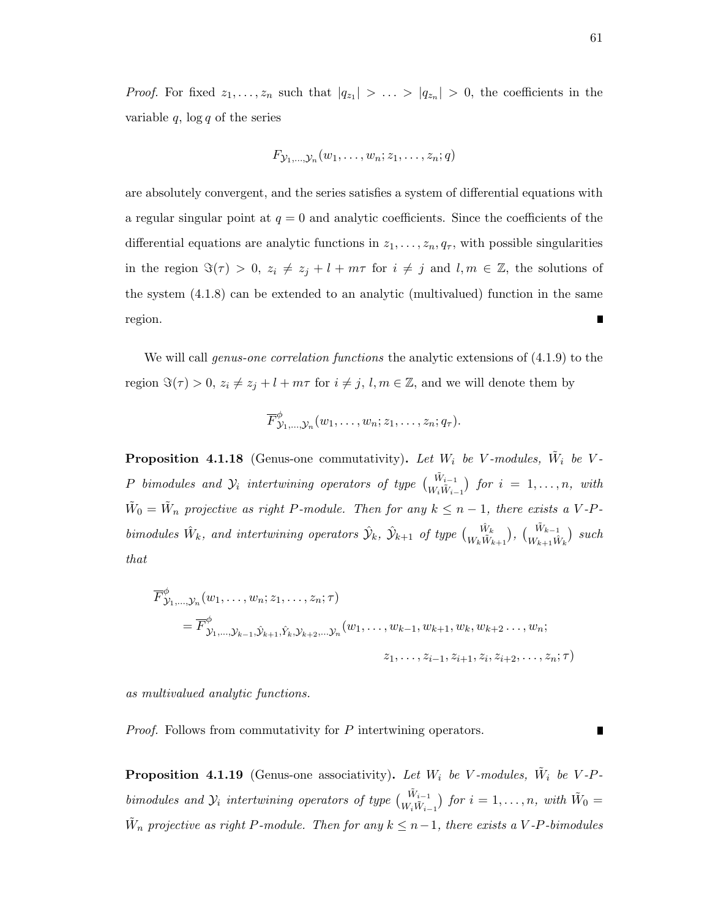*Proof.* For fixed  $z_1, \ldots, z_n$  such that  $|q_{z_1}| > \ldots > |q_{z_n}| > 0$ , the coefficients in the variable  $q$ ,  $\log q$  of the series

$$
F_{\mathcal{Y}_1,\ldots,\mathcal{Y}_n}(w_1,\ldots,w_n;z_1,\ldots,z_n;q)
$$

are absolutely convergent, and the series satisfies a system of differential equations with a regular singular point at  $q = 0$  and analytic coefficients. Since the coefficients of the differential equations are analytic functions in  $z_1, \ldots, z_n, q_\tau$ , with possible singularities in the region  $\Im(\tau) > 0$ ,  $z_i \neq z_j + l + m\tau$  for  $i \neq j$  and  $l, m \in \mathbb{Z}$ , the solutions of the system (4.1.8) can be extended to an analytic (multivalued) function in the same region. П

We will call *genus-one correlation functions* the analytic extensions of  $(4.1.9)$  to the region  $\Im(\tau) > 0$ ,  $z_i \neq z_j + l + m\tau$  for  $i \neq j$ ,  $l, m \in \mathbb{Z}$ , and we will denote them by

$$
\overline{F}_{\mathcal{Y}_1,\ldots,\mathcal{Y}_n}^{\phi}(w_1,\ldots,w_n;z_1,\ldots,z_n;q_{\tau}).
$$

**Proposition 4.1.18** (Genus-one commutativity). Let  $W_i$  be V-modules,  $\tilde{W}_i$  be V-P bimodules and  $\mathcal{Y}_i$  intertwining operators of type  $\begin{pmatrix} \tilde{W}_{i-1} \\ W_i \tilde{W}_{i-1} \end{pmatrix}$  for  $i = 1, \ldots, n$ , with  $\tilde{W}_0 = \tilde{W}_n$  projective as right P-module. Then for any  $k \leq n-1$ , there exists a V-P $bimodules \hat{W}_k$ , and intertwining operators  $\hat{\mathcal{Y}}_k$ ,  $\hat{\mathcal{Y}}_{k+1}$  of type  $\begin{pmatrix} \hat{W}_k \\ W_k\hat{W}_{k+1} \end{pmatrix}$ ,  $\begin{pmatrix} \tilde{W}_{k-1} \\ W_{k+1}\hat{W}_k \end{pmatrix}$  such that

$$
\overline{F}_{\mathcal{Y}_1,...,\mathcal{Y}_n}^{\phi}(w_1,...,w_n; z_1,...,z_n; \tau)
$$
\n
$$
= \overline{F}_{\mathcal{Y}_1,...,\mathcal{Y}_{k-1},\hat{\mathcal{Y}}_{k+1},\hat{Y}_k,\mathcal{Y}_{k+2},..., \mathcal{Y}_n}^{\phi}(w_1,...,w_{k-1},w_{k+1},w_k,w_{k+2},...,w_n; z_1,...,z_{i-1},z_{i+1},z_i,z_{i+2},...,z_n; \tau)
$$

as multivalued analytic functions.

Proof. Follows from commutativity for P intertwining operators.

**Proposition 4.1.19** (Genus-one associativity). Let  $W_i$  be V-modules,  $\tilde{W}_i$  be V-Pbimodules and  $\mathcal{Y}_i$  intertwining operators of type  $\begin{pmatrix} \tilde{W}_{i-1} \\ W_i \tilde{W}_{i-1} \end{pmatrix}$  for  $i = 1, \ldots, n$ , with  $\tilde{W}_0 =$  $\tilde{W}_n$  projective as right P-module. Then for any  $k \leq n-1$ , there exists a V-P-bimodules

П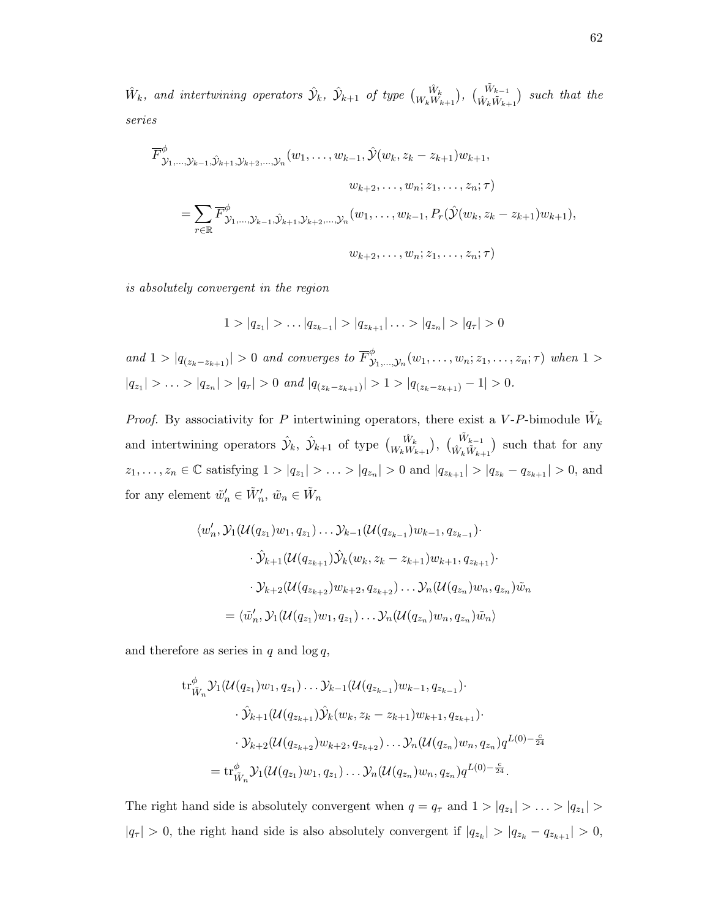$\hat{W}_k$ , and intertwining operators  $\hat{\mathcal{Y}}_k$ ,  $\hat{\mathcal{Y}}_{k+1}$  of type  $\begin{pmatrix} \hat{W}_k & \hat{W}_{k+1} \ W_kW_{k+1} \end{pmatrix}$ ,  $\begin{pmatrix} \tilde{W}_{k-1} & \hat{W}_{k+1} \end{pmatrix}$  such that the series

$$
\overline{F}_{\mathcal{Y}_{1},\ldots,\mathcal{Y}_{k-1},\hat{\mathcal{Y}}_{k+1},\mathcal{Y}_{k+2},\ldots,\mathcal{Y}_{n}}^{\phi}(w_{1},\ldots,w_{k-1},\hat{\mathcal{Y}}(w_{k},z_{k}-z_{k+1})w_{k+1},
$$
\n
$$
w_{k+2},\ldots,w_{n};z_{1},\ldots,z_{n};\tau)
$$
\n
$$
=\sum_{r\in\mathbb{R}}\overline{F}_{\mathcal{Y}_{1},\ldots,\mathcal{Y}_{k-1},\hat{\mathcal{Y}}_{k+1},\mathcal{Y}_{k+2},\ldots,\mathcal{Y}_{n}}^{\phi}(w_{1},\ldots,w_{k-1},P_{r}(\hat{\mathcal{Y}}(w_{k},z_{k}-z_{k+1})w_{k+1}),
$$
\n
$$
w_{k+2},\ldots,w_{n};z_{1},\ldots,z_{n};\tau)
$$

is absolutely convergent in the region

$$
1 > |q_{z_1}| > \dots |q_{z_{k-1}}| > |q_{z_{k+1}}| \dots > |q_{z_n}| > |q_{\tau}| > 0
$$

and  $1 > |q_{(z_k - z_{k+1})}| > 0$  and converges to  $\overline{F}_{\lambda}^{\phi}$  $y_1^{\varphi}$ <sub> $y_1,...,y_n$ </sub> $(w_1,...,w_n; z_1,...,z_n; \tau)$  when  $1 >$  $|q_{z_1}| > \ldots > |q_{z_n}| > |q_{\tau}| > 0$  and  $|q_{(z_k - z_{k+1})}| > 1 > |q_{(z_k - z_{k+1})} - 1| > 0$ .

*Proof.* By associativity for P intertwining operators, there exist a V-P-bimodule  $\tilde{W}_k$ and intertwining operators  $\hat{\mathcal{Y}}_k$ ,  $\hat{\mathcal{Y}}_{k+1}$  of type  $\begin{pmatrix} \hat{W}_k \\ W_k W_{k+1} \end{pmatrix}$ ,  $\begin{pmatrix} \tilde{W}_{k-1} \\ \hat{W}_k \tilde{W}_{k+1} \end{pmatrix}$  such that for any  $z_1, \ldots, z_n \in \mathbb{C}$  satisfying  $1 > |q_{z_1}| > \ldots > |q_{z_n}| > 0$  and  $|q_{z_{k+1}}| > |q_{z_k} - q_{z_{k+1}}| > 0$ , and for any element  $\tilde{w}'_n \in \tilde{W}'_n$ ,  $\tilde{w}_n \in \tilde{W}_n$ 

$$
\langle w'_n, \mathcal{Y}_1(\mathcal{U}(q_{z_1})w_1, q_{z_1}) \dots \mathcal{Y}_{k-1}(\mathcal{U}(q_{z_{k-1}})w_{k-1}, q_{z_{k-1}}) \cdot
$$
  

$$
\cdot \hat{\mathcal{Y}}_{k+1}(\mathcal{U}(q_{z_{k+1}})\hat{\mathcal{Y}}_k(w_k, z_k - z_{k+1})w_{k+1}, q_{z_{k+1}}) \cdot
$$
  

$$
\cdot \mathcal{Y}_{k+2}(\mathcal{U}(q_{z_{k+2}})w_{k+2}, q_{z_{k+2}}) \dots \mathcal{Y}_n(\mathcal{U}(q_{z_n})w_n, q_{z_n})\tilde{w}_n
$$
  

$$
= \langle \tilde{w}'_n, \mathcal{Y}_1(\mathcal{U}(q_{z_1})w_1, q_{z_1}) \dots \mathcal{Y}_n(\mathcal{U}(q_{z_n})w_n, q_{z_n})\tilde{w}_n \rangle
$$

and therefore as series in  $q$  and  $\log q$ ,

$$
\operatorname{tr}_{\tilde{W}_n}^{\phi} \mathcal{Y}_1(\mathcal{U}(q_{z_1}) w_1, q_{z_1}) \dots \mathcal{Y}_{k-1}(\mathcal{U}(q_{z_{k-1}}) w_{k-1}, q_{z_{k-1}}) \cdot
$$
  

$$
\cdot \hat{\mathcal{Y}}_{k+1}(\mathcal{U}(q_{z_{k+1}}) \hat{\mathcal{Y}}_k(w_k, z_k - z_{k+1}) w_{k+1}, q_{z_{k+1}}) \cdot
$$
  

$$
\cdot \mathcal{Y}_{k+2}(\mathcal{U}(q_{z_{k+2}}) w_{k+2}, q_{z_{k+2}}) \dots \mathcal{Y}_n(\mathcal{U}(q_{z_n}) w_n, q_{z_n}) q^{L(0) - \frac{c}{24}}
$$
  

$$
= \operatorname{tr}_{\tilde{W}_n}^{\phi} \mathcal{Y}_1(\mathcal{U}(q_{z_1}) w_1, q_{z_1}) \dots \mathcal{Y}_n(\mathcal{U}(q_{z_n}) w_n, q_{z_n}) q^{L(0) - \frac{c}{24}}.
$$

The right hand side is absolutely convergent when  $q = q_{\tau}$  and  $1 > |q_{z_1}| > ... > |q_{z_1}| >$  $|q_{\tau}| > 0$ , the right hand side is also absolutely convergent if  $|q_{z_k}| > |q_{z_k} - q_{z_{k+1}}| > 0$ ,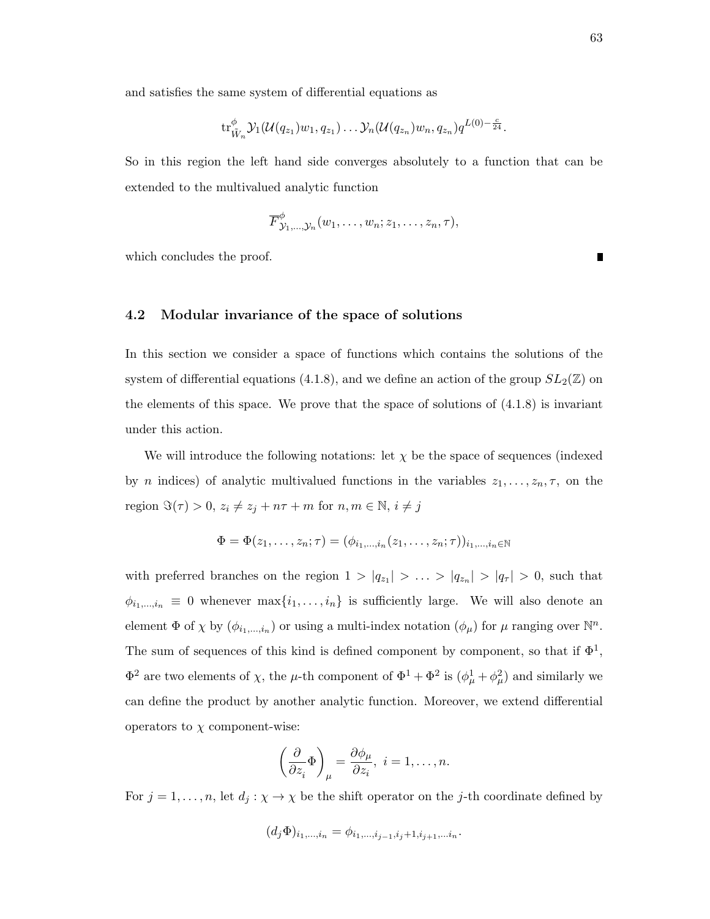and satisfies the same system of differential equations as

$$
\mathrm{tr}^{\phi}_{\tilde{W}_n} \mathcal{Y}_1(\mathcal{U}(q_{z_1})w_1, q_{z_1}) \dots \mathcal{Y}_n(\mathcal{U}(q_{z_n})w_n, q_{z_n}) q^{L(0)-\frac{c}{24}}.
$$

So in this region the left hand side converges absolutely to a function that can be extended to the multivalued analytic function

$$
\overline{F}^{\phi}_{\mathcal{Y}_1,\ldots,\mathcal{Y}_n}(w_1,\ldots,w_n;z_1,\ldots,z_n,\tau),
$$

which concludes the proof.

#### 4.2 Modular invariance of the space of solutions

In this section we consider a space of functions which contains the solutions of the system of differential equations (4.1.8), and we define an action of the group  $SL_2(\mathbb{Z})$  on the elements of this space. We prove that the space of solutions of  $(4.1.8)$  is invariant under this action.

We will introduce the following notations: let  $\chi$  be the space of sequences (indexed by *n* indices) of analytic multivalued functions in the variables  $z_1, \ldots, z_n, \tau$ , on the region  $\Im(\tau) > 0, z_i \neq z_j + n\tau + m$  for  $n, m \in \mathbb{N}, i \neq j$ 

$$
\Phi = \Phi(z_1, \ldots, z_n; \tau) = (\phi_{i_1, \ldots, i_n}(z_1, \ldots, z_n; \tau))_{i_1, \ldots, i_n \in \mathbb{N}}
$$

with preferred branches on the region  $1 > |q_{z_1}| > ... > |q_{z_n}| > |q_{\tau}| > 0$ , such that  $\phi_{i_1,\dots,i_n} \equiv 0$  whenever  $\max\{i_1,\dots,i_n\}$  is sufficiently large. We will also denote an element  $\Phi$  of  $\chi$  by  $(\phi_{i_1,\dots,i_n})$  or using a multi-index notation  $(\phi_\mu)$  for  $\mu$  ranging over  $\mathbb{N}^n$ . The sum of sequences of this kind is defined component by component, so that if  $\Phi^1$ ,  $\Phi^2$  are two elements of  $\chi$ , the  $\mu$ -th component of  $\Phi^1 + \Phi^2$  is  $(\phi^1_\mu + \phi^2_\mu)$  and similarly we can define the product by another analytic function. Moreover, we extend differential operators to  $\chi$  component-wise:

$$
\left(\frac{\partial}{\partial z_i}\Phi\right)_\mu = \frac{\partial \phi_\mu}{\partial z_i}, \ i = 1, \dots, n.
$$

For  $j = 1, \ldots, n$ , let  $d_j : \chi \to \chi$  be the shift operator on the j-th coordinate defined by

$$
(d_j\Phi)_{i_1,\dots,i_n} = \phi_{i_1,\dots,i_{j-1},i_j+1,i_{j+1},\dots,i_n}.
$$

П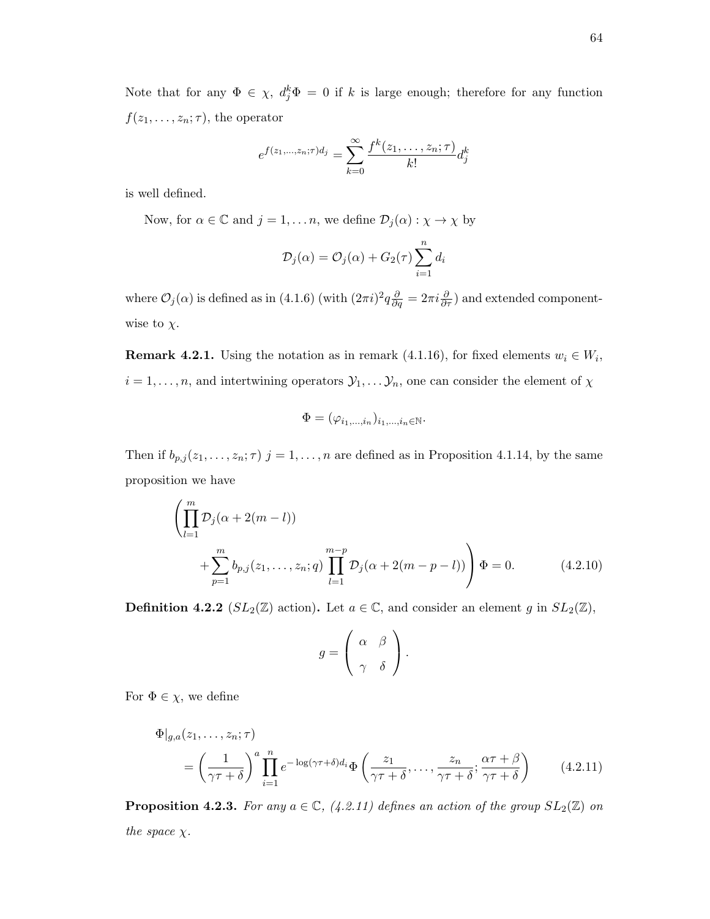Note that for any  $\Phi \in \chi$ ,  $d_j^k \Phi = 0$  if k is large enough; therefore for any function  $f(z_1, \ldots, z_n; \tau)$ , the operator

$$
e^{f(z_1,...,z_n;\tau)d_j} = \sum_{k=0}^{\infty} \frac{f^k(z_1,...,z_n;\tau)}{k!} d_j^k
$$

is well defined.

Now, for  $\alpha \in \mathbb{C}$  and  $j = 1, ..., n$ , we define  $\mathcal{D}_j(\alpha) : \chi \to \chi$  by

$$
\mathcal{D}_j(\alpha) = \mathcal{O}_j(\alpha) + G_2(\tau) \sum_{i=1}^n d_i
$$

where  $\mathcal{O}_j(\alpha)$  is defined as in (4.1.6) (with  $(2\pi i)^2 q \frac{\partial}{\partial q} = 2\pi i \frac{\partial}{\partial \tau}$ ) and extended componentwise to  $\chi$ .

**Remark 4.2.1.** Using the notation as in remark (4.1.16), for fixed elements  $w_i \in W_i$ ,  $i = 1, \ldots, n$ , and intertwining operators  $\mathcal{Y}_1, \ldots, \mathcal{Y}_n$ , one can consider the element of  $\chi$ 

$$
\Phi=(\varphi_{i_1,\ldots,i_n})_{i_1,\ldots,i_n\in\mathbb{N}}.
$$

Then if  $b_{p,j}(z_1,\ldots,z_n;\tau)$  j = 1,..., n are defined as in Proposition 4.1.14, by the same proposition we have

$$
\left(\prod_{l=1}^{m} \mathcal{D}_{j}(\alpha + 2(m-l))\n+ \sum_{p=1}^{m} b_{p,j}(z_{1}, \ldots, z_{n}; q) \prod_{l=1}^{m-p} \mathcal{D}_{j}(\alpha + 2(m-p-l))\right) \Phi = 0.
$$
\n(4.2.10)

**Definition 4.2.2** ( $SL_2(\mathbb{Z})$  action). Let  $a \in \mathbb{C}$ , and consider an element g in  $SL_2(\mathbb{Z})$ ,

$$
g = \left(\begin{array}{cc} \alpha & \beta \\ \gamma & \delta \end{array}\right).
$$

For  $\Phi \in \chi$ , we define

$$
\Phi|_{g,a}(z_1,\ldots,z_n;\tau) = \left(\frac{1}{\gamma\tau+\delta}\right)^a \prod_{i=1}^n e^{-\log(\gamma\tau+\delta)d_i} \Phi\left(\frac{z_1}{\gamma\tau+\delta},\ldots,\frac{z_n}{\gamma\tau+\delta};\frac{\alpha\tau+\beta}{\gamma\tau+\delta}\right) \tag{4.2.11}
$$

**Proposition 4.2.3.** For any  $a \in \mathbb{C}$ , (4.2.11) defines an action of the group  $SL_2(\mathbb{Z})$  on the space  $\chi$ .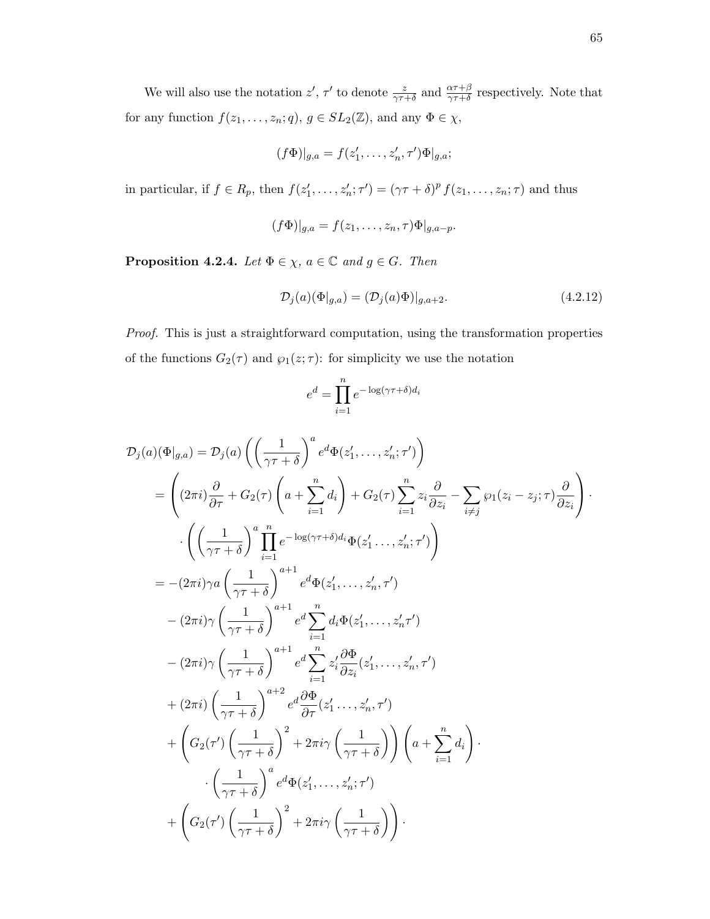We will also use the notation  $z'$ ,  $\tau'$  to denote  $\frac{z}{\gamma\tau+\delta}$  and  $\frac{\alpha\tau+\beta}{\gamma\tau+\delta}$  respectively. Note that for any function  $f(z_1, \ldots, z_n; q)$ ,  $g \in SL_2(\mathbb{Z})$ , and any  $\Phi \in \chi$ ,

$$
(f\Phi)|_{g,a}=f(z'_1,\ldots,z'_n,\tau')\Phi|_{g,a};
$$

in particular, if  $f \in R_p$ , then  $f(z'_1, \ldots, z'_n; \tau') = (\gamma \tau + \delta)^p f(z_1, \ldots, z_n; \tau)$  and thus

$$
(f\Phi)|_{g,a}=f(z_1,\ldots,z_n,\tau)\Phi|_{g,a-p}.
$$

**Proposition 4.2.4.** Let  $\Phi \in \chi$ ,  $a \in \mathbb{C}$  and  $g \in G$ . Then

$$
\mathcal{D}_j(a)(\Phi|_{g,a}) = (\mathcal{D}_j(a)\Phi)|_{g,a+2}.\tag{4.2.12}
$$

Proof. This is just a straightforward computation, using the transformation properties of the functions  $G_2(\tau)$  and  $\wp_1(z;\tau)$ : for simplicity we use the notation

$$
e^d = \prod_{i=1}^n e^{-\log(\gamma \tau + \delta)d_i}
$$

D<sup>j</sup> (a)(Φ|g,a) = D<sup>j</sup> (a) 1 γτ + δ a e <sup>d</sup>Φ(z 0 1 , . . . , z<sup>0</sup> n ; τ 0 ) = (2πi) ∂ ∂τ <sup>+</sup> <sup>G</sup>2(<sup>τ</sup> ) a + Xn i=1 di ! + G2(τ ) Xn i=1 zi ∂ ∂z<sup>i</sup> − X i6=j ℘1(z<sup>i</sup> − z<sup>j</sup> ; τ ) ∂ ∂z<sup>i</sup> · · 1 γτ + δ aY<sup>n</sup> i=1 e <sup>−</sup> log(γτ+δ)diΦ(z 0 1 . . . , z<sup>0</sup> n ; τ 0 ) ! <sup>=</sup> <sup>−</sup>(2πi)γa 1 γτ + δ a+1 e <sup>d</sup>Φ(z 0 1 , . . . , z<sup>0</sup> n , τ 0 ) − (2πi)γ 1 γτ + δ a+1 e dX<sup>n</sup> i=1 diΦ(z 0 1 , . . . , z<sup>0</sup> n τ 0 ) − (2πi)γ 1 γτ + δ a+1 e dX<sup>n</sup> i=1 z 0 i ∂Φ ∂z<sup>i</sup> (z 0 1 , . . . , z<sup>0</sup> n , τ 0 ) + (2πi) 1 γτ + δ a+2 e <sup>d</sup> ∂Φ ∂τ (<sup>z</sup> 0 1 . . . , z<sup>0</sup> n , τ 0 ) + G2(τ 0 ) 1 γτ + δ 2 + 2πiγ 1 γτ + δ ! <sup>a</sup> <sup>+</sup> Xn i=1 di ! · · 1 γτ + δ a e <sup>d</sup>Φ(z 0 1 , . . . , z<sup>0</sup> n ; τ 0 ) + G2(τ 0 ) 1 γτ + δ 2 + 2πiγ 1 γτ + δ ! ·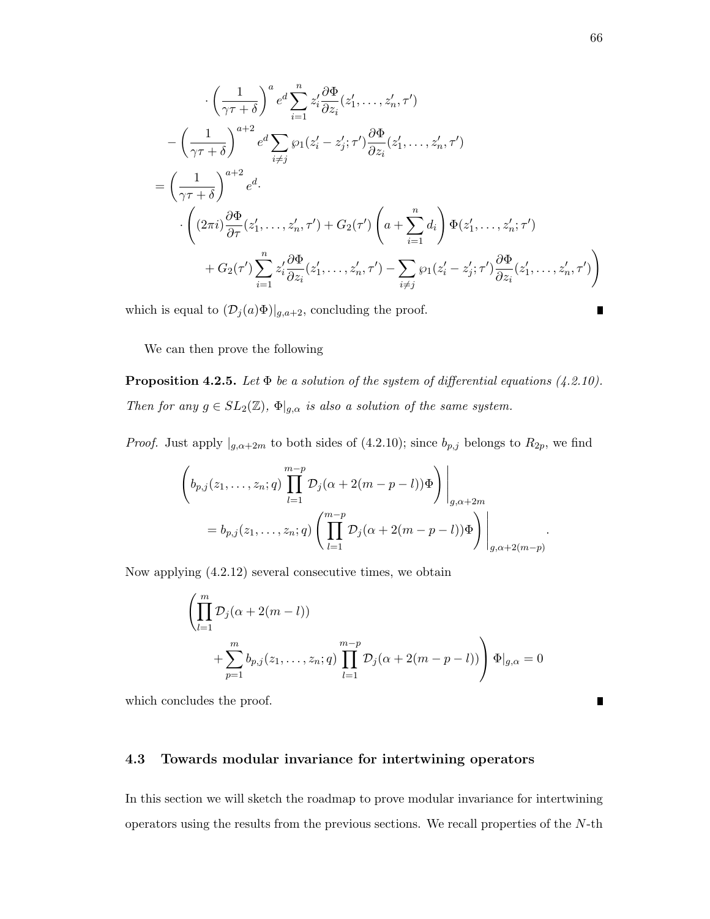$$
\begin{split}\n& \cdot \left(\frac{1}{\gamma\tau+\delta}\right)^a e^d \sum_{i=1}^n z_i' \frac{\partial \Phi}{\partial z_i}(z_1', \dots, z_n', \tau') \\
& - \left(\frac{1}{\gamma\tau+\delta}\right)^{a+2} e^d \sum_{i\neq j} \wp_1(z_i'-z_j';\tau') \frac{\partial \Phi}{\partial z_i}(z_1', \dots, z_n', \tau') \\
& = \left(\frac{1}{\gamma\tau+\delta}\right)^{a+2} e^d \cdot \left(\frac{2\pi i}{\gamma\tau+\delta}\right)^{a+2} e^d \cdot \left(\frac{2\pi i}{\gamma\tau+\delta}\right)^{a+2} e^d \cdot \left(\frac{2\pi i}{\gamma\tau+\delta}\right)^{a+2} \cdot \left(\frac{2\pi i}{\gamma\tau+\delta}\right)^{a+2} e^d \cdot \left(\frac{2\pi i}{\gamma\tau+\delta}\right)^{a+2} \cdot \left(\frac{2\pi i}{\gamma\tau+\delta}\right)^{a+2} e^d \cdot \left(\frac{2\pi i}{\gamma\tau+\delta}\right)^{a+2} \cdot \left(\frac{2\pi i}{\gamma\tau+\delta}\right)^{a+2} \cdot \left(\frac{2\pi i}{\gamma\tau+\delta}\right)^{a+2} e^d \cdot \left(\frac{2\pi i}{\gamma\tau+\delta}\right)^{a+2} \cdot \left(\frac{2\pi i}{\gamma\tau+\delta}\right)^{a+2} e^d \cdot \left(\frac{2\pi i}{\gamma\tau+\delta}\right)^{a+2} \cdot \left(\frac{2\pi i}{\gamma\tau+\delta}\right)^{a+2} e^d \cdot \left(\frac{2\pi i}{\gamma\tau+\delta}\right)^{a+2} e^d \cdot \left(\frac{2\pi i}{\gamma\tau+\delta}\right)^{a+2} e^d \cdot \left(\frac{2\pi i}{\gamma\tau+\delta}\right)^{a+2} e^d \cdot \left(\frac{2\pi i}{\gamma\tau+\delta}\right)^{a+2} e^d \cdot \left(\frac{2\pi i}{\gamma\tau+\delta}\right)^{a+2} e^d \cdot \left(\frac{2\pi i}{\gamma\tau+\delta}\right)^{a+2} e^d \cdot \left(\frac{2\pi i}{\gamma\tau+\delta}\right)^{a+2} e^d \cdot \left(\frac{2\pi i}{\gamma\tau+\delta}\right)^{a+2} e^
$$

which is equal to  $(\mathcal{D}_j(a)\Phi)|_{g,a+2}$ , concluding the proof.

We can then prove the following

**Proposition 4.2.5.** Let  $\Phi$  be a solution of the system of differential equations (4.2.10). Then for any  $g \in SL_2(\mathbb{Z})$ ,  $\Phi|_{g,\alpha}$  is also a solution of the same system.

*Proof.* Just apply  $|_{g,\alpha+2m}$  to both sides of (4.2.10); since  $b_{p,j}$  belongs to  $R_{2p}$ , we find

$$
\left(b_{p,j}(z_1,\ldots,z_n;q)\prod_{l=1}^{m-p} \mathcal{D}_j(\alpha+2(m-p-l))\Phi\right)\Bigg|_{g,\alpha+2m}
$$
  
=  $b_{p,j}(z_1,\ldots,z_n;q)\left(\prod_{l=1}^{m-p} \mathcal{D}_j(\alpha+2(m-p-l))\Phi\right)\Bigg|_{g,\alpha+2(m-p)}$ 

Now applying (4.2.12) several consecutive times, we obtain

$$
\left(\prod_{l=1}^{m} \mathcal{D}_j(\alpha + 2(m-l))\n+ \sum_{p=1}^{m} b_{p,j}(z_1, \ldots, z_n; q) \prod_{l=1}^{m-p} \mathcal{D}_j(\alpha + 2(m-p-l))\right) \Phi|_{g,\alpha} = 0
$$

which concludes the proof.

#### 4.3 Towards modular invariance for intertwining operators

In this section we will sketch the roadmap to prove modular invariance for intertwining operators using the results from the previous sections. We recall properties of the N-th

 $\blacksquare$ 

 $\blacksquare$ 

.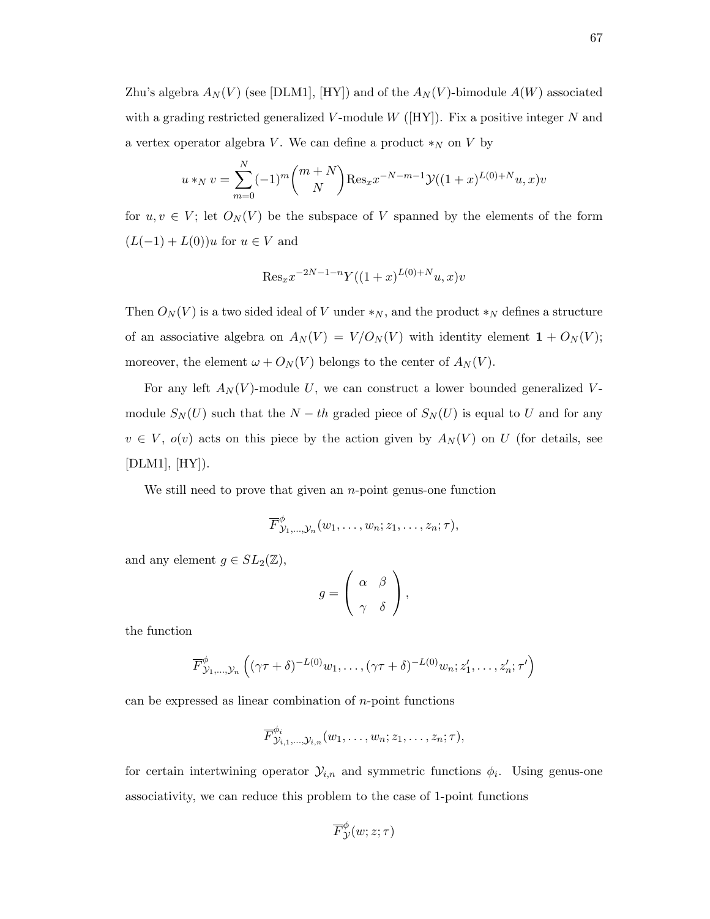Zhu's algebra  $A_N(V)$  (see [DLM1], [HY]) and of the  $A_N(V)$ -bimodule  $A(W)$  associated with a grading restricted generalized V-module  $W$  ([HY]). Fix a positive integer N and a vertex operator algebra V. We can define a product  $*_N$  on V by

$$
u *_{N} v = \sum_{m=0}^{N} (-1)^{m} {m+N \choose N} \text{Res}_{x} x^{-N-m-1} \mathcal{Y}((1+x)^{L(0)+N} u, x)v
$$

for  $u, v \in V$ ; let  $O<sub>N</sub>(V)$  be the subspace of V spanned by the elements of the form  $(L(-1) + L(0))u$  for  $u \in V$  and

$$
Res_x x^{-2N-1-n} Y((1+x)^{L(0)+N}u, x)v
$$

Then  $O<sub>N</sub>(V)$  is a two sided ideal of V under  $*_N$ , and the product  $*_N$  defines a structure of an associative algebra on  $A_N(V) = V/O_N(V)$  with identity element  $\mathbf{1} + O_N(V)$ ; moreover, the element  $\omega + O_N(V)$  belongs to the center of  $A_N(V)$ .

For any left  $A_N(V)$ -module U, we can construct a lower bounded generalized Vmodule  $S_N(U)$  such that the  $N-th$  graded piece of  $S_N(U)$  is equal to U and for any  $v \in V$ ,  $o(v)$  acts on this piece by the action given by  $A_N(V)$  on U (for details, see  $[DLM1], [HY]).$ 

We still need to prove that given an  $n$ -point genus-one function

$$
\overline{F}_{\mathcal{Y}_1,\ldots,\mathcal{Y}_n}^{\phi}(w_1,\ldots,w_n;z_1,\ldots,z_n;\tau),
$$

and any element  $g \in SL_2(\mathbb{Z}),$ 

$$
g = \left(\begin{array}{cc} \alpha & \beta \\ \gamma & \delta \end{array}\right),
$$

the function

$$
\overline{F}^{\phi}_{\mathcal{Y}_1,\ldots,\mathcal{Y}_n}\left((\gamma\tau+\delta)^{-L(0)}w_1,\ldots,(\gamma\tau+\delta)^{-L(0)}w_n; z'_1,\ldots,z'_n;\tau'\right)
$$

can be expressed as linear combination of  $n$ -point functions

$$
\overline{F}_{\mathcal{Y}_{i,1},\ldots,\mathcal{Y}_{i,n}}^{\phi_i}(w_1,\ldots,w_n;z_1,\ldots,z_n;\tau),
$$

for certain intertwining operator  $\mathcal{Y}_{i,n}$  and symmetric functions  $\phi_i$ . Using genus-one associativity, we can reduce this problem to the case of 1-point functions

$$
\overline{F}^\phi_{\mathcal{Y}}(w; z; \tau)
$$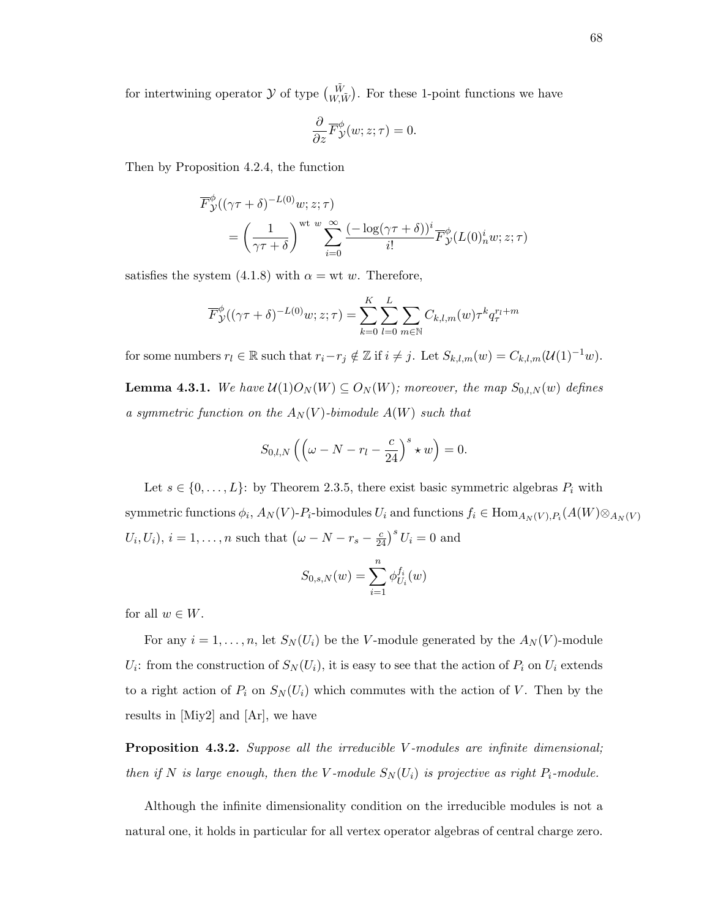for intertwining operator  $\mathcal Y$  of type  $\begin{pmatrix} \tilde{W} \\ W, \tilde{W} \end{pmatrix}$ . For these 1-point functions we have

$$
\frac{\partial}{\partial z}\overline{F}_{\mathcal{Y}}^{\phi}(w; z; \tau) = 0.
$$

Then by Proposition 4.2.4, the function

$$
\overline{F}_{\mathcal{Y}}^{\phi}((\gamma \tau + \delta)^{-L(0)} w; z; \tau) = \left(\frac{1}{\gamma \tau + \delta}\right)^{\text{wt } w} \sum_{i=0}^{\infty} \frac{(-\log(\gamma \tau + \delta))^{i}}{i!} \overline{F}_{\mathcal{Y}}^{\phi}(L(0)^{i}_{n} w; z; \tau)
$$

satisfies the system (4.1.8) with  $\alpha = \text{wt } w$ . Therefore,

$$
\overline{F}_{\mathcal{Y}}^{\phi}((\gamma \tau + \delta)^{-L(0)}w; z; \tau) = \sum_{k=0}^{K} \sum_{l=0}^{L} \sum_{m \in \mathbb{N}} C_{k,l,m}(w) \tau^{k} q_{\tau}^{r_{l}+m}
$$

for some numbers  $r_l \in \mathbb{R}$  such that  $r_i-r_j \notin \mathbb{Z}$  if  $i \neq j$ . Let  $S_{k,l,m}(w) = C_{k,l,m}(\mathcal{U}(1)^{-1}w)$ .

**Lemma 4.3.1.** We have  $\mathcal{U}(1)O_N(W) \subseteq O_N(W)$ ; moreover, the map  $S_{0,l,N}(w)$  defines a symmetric function on the  $A_N(V)$ -bimodule  $A(W)$  such that

$$
S_{0,l,N}\left(\left(\omega-N-r_l-\frac{c}{24}\right)^s\star w\right)=0.
$$

Let  $s \in \{0, \ldots, L\}$ : by Theorem 2.3.5, there exist basic symmetric algebras  $P_i$  with symmetric functions  $\phi_i$ ,  $A_N(V)$ - $P_i$ -bimodules  $U_i$  and functions  $f_i \in \mathrm{Hom}_{A_N(V), P_i}(A(W) \otimes_{A_N(V)} A_N)$  $U_i, U_i$ ,  $i = 1, \ldots, n$  such that  $(\omega - N - r_s - \frac{c}{24})^s U_i = 0$  and

$$
S_{0,s,N}(w) = \sum_{i=1}^{n} \phi_{U_i}^{f_i}(w)
$$

for all  $w \in W$ .

For any  $i = 1, ..., n$ , let  $S_N(U_i)$  be the V-module generated by the  $A_N(V)$ -module  $U_i$ : from the construction of  $S_N(U_i)$ , it is easy to see that the action of  $P_i$  on  $U_i$  extends to a right action of  $P_i$  on  $S_N(U_i)$  which commutes with the action of V. Then by the results in [Miy2] and [Ar], we have

**Proposition 4.3.2.** Suppose all the irreducible V-modules are infinite dimensional; then if N is large enough, then the V-module  $S_N(U_i)$  is projective as right  $P_i$ -module.

Although the infinite dimensionality condition on the irreducible modules is not a natural one, it holds in particular for all vertex operator algebras of central charge zero.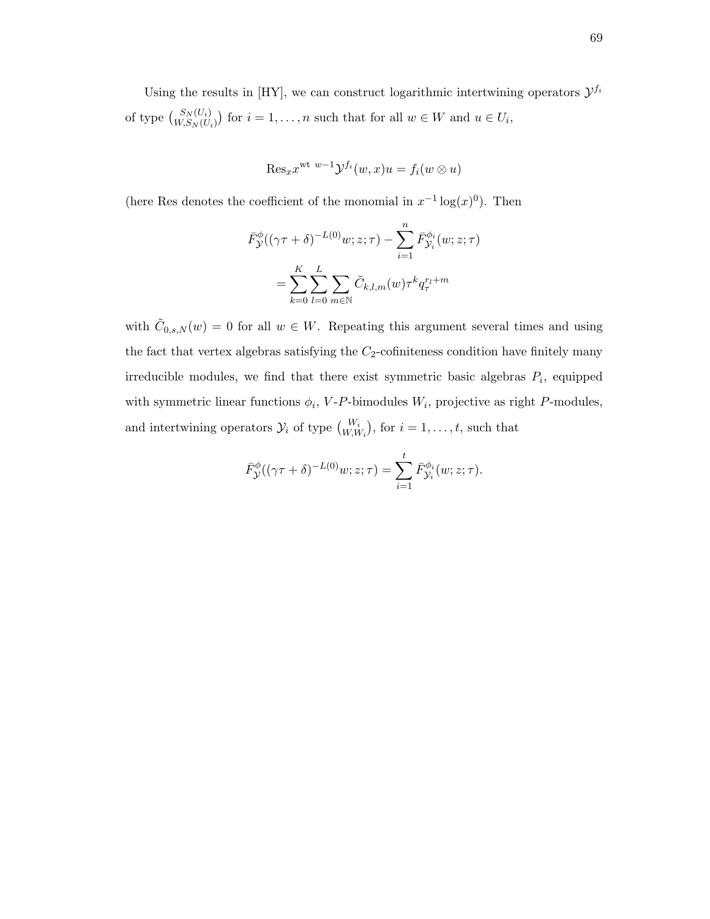Using the results in [HY], we can construct logarithmic intertwining operators  $\mathcal{Y}^{f_i}$ of type  $\binom{S_N(U_i)}{W,S_N(U_i)}$  for  $i = 1, ..., n$  such that for all  $w \in W$  and  $u \in U_i$ ,

$$
\mathrm{Res}_x x^{\mathrm{wt} \ w-1} \mathcal{Y}^{f_i}(w, x)u = f_i(w \otimes u)
$$

(here Res denotes the coefficient of the monomial in  $x^{-1} \log(x)^0$ ). Then

$$
\bar{F}_{\mathcal{Y}}^{\phi}((\gamma \tau + \delta)^{-L(0)}w; z; \tau) - \sum_{i=1}^{n} \bar{F}_{\mathcal{Y}_i}^{\phi_i}(w; z; \tau)
$$
\n
$$
= \sum_{k=0}^{K} \sum_{l=0}^{L} \sum_{m \in \mathbb{N}} \tilde{C}_{k,l,m}(w) \tau^k q_{\tau}^{r_l + m}
$$

with  $\tilde{C}_{0,s,N}(w) = 0$  for all  $w \in W$ . Repeating this argument several times and using the fact that vertex algebras satisfying the  $C_2$ -cofiniteness condition have finitely many irreducible modules, we find that there exist symmetric basic algebras  $P_i$ , equipped with symmetric linear functions  $\phi_i$ , V-P-bimodules  $W_i$ , projective as right P-modules, and intertwining operators  $\mathcal{Y}_i$  of type  ${W_i \choose W,W_i}$ , for  $i = 1, \ldots, t$ , such that

$$
\bar{F}_{\mathcal{Y}}^{\phi}((\gamma \tau + \delta)^{-L(0)}w; z; \tau) = \sum_{i=1}^{t} \bar{F}_{\mathcal{Y}_i}^{\phi_i}(w; z; \tau).
$$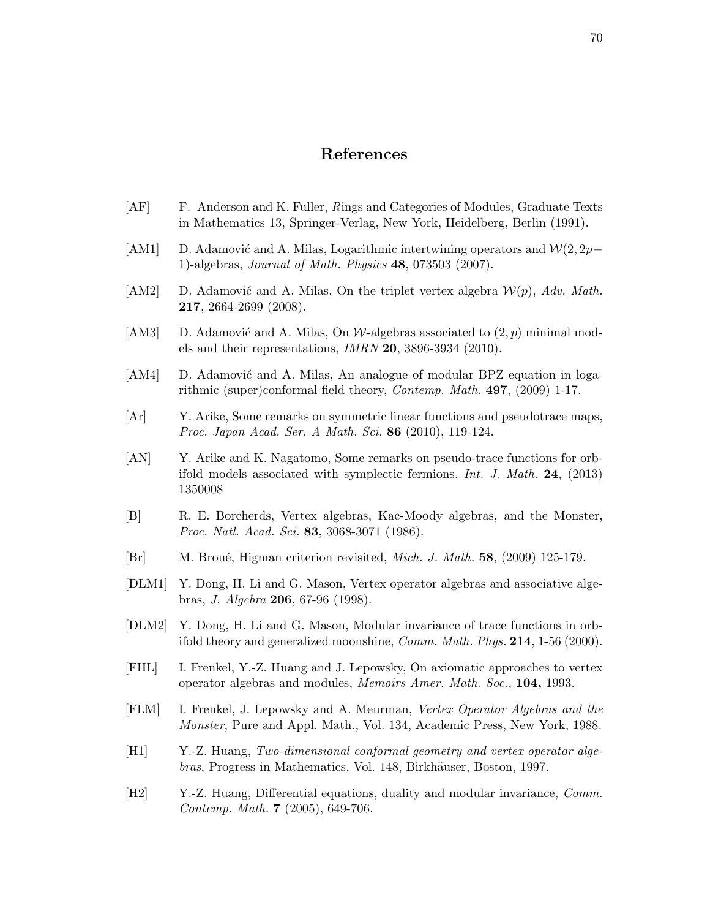## References

- [AF] F. Anderson and K. Fuller, Rings and Categories of Modules, Graduate Texts in Mathematics 13, Springer-Verlag, New York, Heidelberg, Berlin (1991).
- [AM1] D. Adamović and A. Milas, Logarithmic intertwining operators and  $\mathcal{W}(2, 2p-\mathcal{W})$ 1)-algebras, Journal of Math. Physics 48, 073503 (2007).
- [AM2] D. Adamović and A. Milas, On the triplet vertex algebra  $\mathcal{W}(p)$ , Adv. Math. 217, 2664-2699 (2008).
- [AM3] D. Adamović and A. Milas, On  $\mathcal{W}$ -algebras associated to  $(2, p)$  minimal models and their representations, IMRN 20, 3896-3934 (2010).
- [AM4] D. Adamović and A. Milas, An analogue of modular BPZ equation in logarithmic (super)conformal field theory, Contemp. Math. 497, (2009) 1-17.
- [Ar] Y. Arike, Some remarks on symmetric linear functions and pseudotrace maps, Proc. Japan Acad. Ser. A Math. Sci. 86 (2010), 119-124.
- [AN] Y. Arike and K. Nagatomo, Some remarks on pseudo-trace functions for orbifold models associated with symplectic fermions. Int. J. Math. 24, (2013) 1350008
- [B] R. E. Borcherds, Vertex algebras, Kac-Moody algebras, and the Monster, Proc. Natl. Acad. Sci. 83, 3068-3071 (1986).
- $[Br]$  M. Broué, Higman criterion revisited, *Mich. J. Math.* **58**, (2009) 125-179.
- [DLM1] Y. Dong, H. Li and G. Mason, Vertex operator algebras and associative algebras, J. Algebra 206, 67-96 (1998).
- [DLM2] Y. Dong, H. Li and G. Mason, Modular invariance of trace functions in orbifold theory and generalized moonshine, Comm. Math. Phys. 214, 1-56 (2000).
- [FHL] I. Frenkel, Y.-Z. Huang and J. Lepowsky, On axiomatic approaches to vertex operator algebras and modules, Memoirs Amer. Math. Soc., 104, 1993.
- [FLM] I. Frenkel, J. Lepowsky and A. Meurman, Vertex Operator Algebras and the Monster, Pure and Appl. Math., Vol. 134, Academic Press, New York, 1988.
- [H1] Y.-Z. Huang, Two-dimensional conformal geometry and vertex operator algebras, Progress in Mathematics, Vol. 148, Birkhäuser, Boston, 1997.
- [H2] Y.-Z. Huang, Differential equations, duality and modular invariance, Comm. Contemp. Math. 7 (2005), 649-706.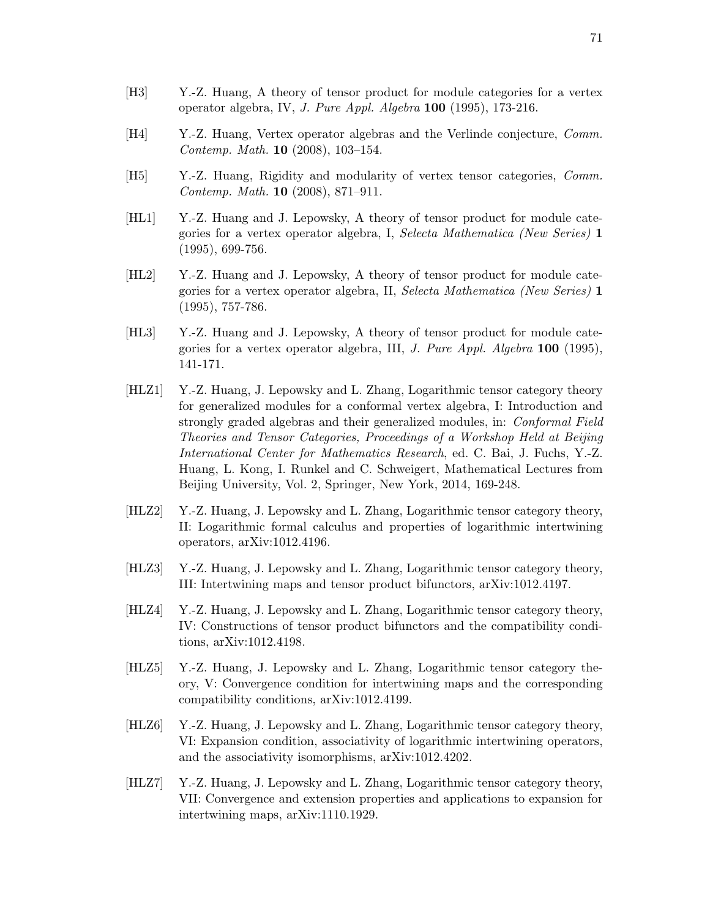- [H4] Y.-Z. Huang, Vertex operator algebras and the Verlinde conjecture, Comm. Contemp. Math. 10 (2008), 103–154.
- [H5] Y.-Z. Huang, Rigidity and modularity of vertex tensor categories, Comm. Contemp. Math. 10 (2008), 871–911.
- [HL1] Y.-Z. Huang and J. Lepowsky, A theory of tensor product for module categories for a vertex operator algebra, I, Selecta Mathematica (New Series) 1 (1995), 699-756.
- [HL2] Y.-Z. Huang and J. Lepowsky, A theory of tensor product for module categories for a vertex operator algebra, II, Selecta Mathematica (New Series) 1 (1995), 757-786.
- [HL3] Y.-Z. Huang and J. Lepowsky, A theory of tensor product for module categories for a vertex operator algebra, III, J. Pure Appl. Algebra  $100$  (1995), 141-171.
- [HLZ1] Y.-Z. Huang, J. Lepowsky and L. Zhang, Logarithmic tensor category theory for generalized modules for a conformal vertex algebra, I: Introduction and strongly graded algebras and their generalized modules, in: Conformal Field Theories and Tensor Categories, Proceedings of a Workshop Held at Beijing International Center for Mathematics Research, ed. C. Bai, J. Fuchs, Y.-Z. Huang, L. Kong, I. Runkel and C. Schweigert, Mathematical Lectures from Beijing University, Vol. 2, Springer, New York, 2014, 169-248.
- [HLZ2] Y.-Z. Huang, J. Lepowsky and L. Zhang, Logarithmic tensor category theory, II: Logarithmic formal calculus and properties of logarithmic intertwining operators, arXiv:1012.4196.
- [HLZ3] Y.-Z. Huang, J. Lepowsky and L. Zhang, Logarithmic tensor category theory, III: Intertwining maps and tensor product bifunctors, arXiv:1012.4197.
- [HLZ4] Y.-Z. Huang, J. Lepowsky and L. Zhang, Logarithmic tensor category theory, IV: Constructions of tensor product bifunctors and the compatibility conditions, arXiv:1012.4198.
- [HLZ5] Y.-Z. Huang, J. Lepowsky and L. Zhang, Logarithmic tensor category theory, V: Convergence condition for intertwining maps and the corresponding compatibility conditions, arXiv:1012.4199.
- [HLZ6] Y.-Z. Huang, J. Lepowsky and L. Zhang, Logarithmic tensor category theory, VI: Expansion condition, associativity of logarithmic intertwining operators, and the associativity isomorphisms, arXiv:1012.4202.
- [HLZ7] Y.-Z. Huang, J. Lepowsky and L. Zhang, Logarithmic tensor category theory, VII: Convergence and extension properties and applications to expansion for intertwining maps, arXiv:1110.1929.